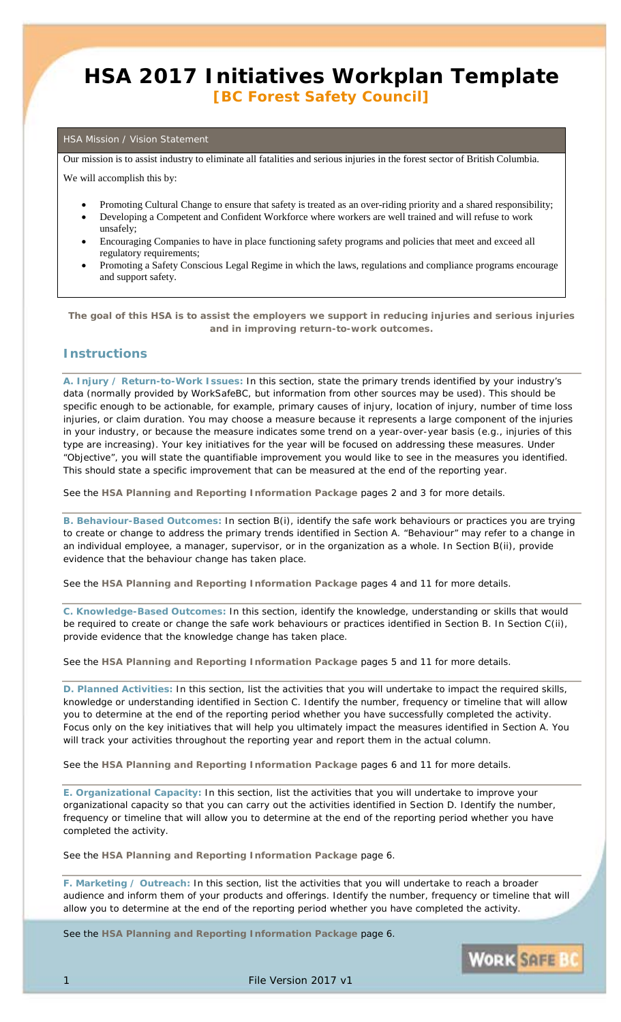## **HSA 2017 Initiatives Workplan Template** *[BC Forest Safety Council]*

#### HSA Mission / Vision Statement

Our mission is to assist industry to eliminate all fatalities and serious injuries in the forest sector of British Columbia.

We will accomplish this by:

- Promoting Cultural Change to ensure that safety is treated as an over-riding priority and a shared responsibility;
- Developing a Competent and Confident Workforce where workers are well trained and will refuse to work unsafely;
- Encouraging Companies to have in place functioning safety programs and policies that meet and exceed all regulatory requirements;
- Promoting a Safety Conscious Legal Regime in which the laws, regulations and compliance programs encourage and support safety.

*The goal of this HSA is to assist the employers we support in reducing injuries and serious injuries and in improving return-to-work outcomes.*

#### **Instructions**

**A. Injury / Return-to-Work Issues:** In this section, state the primary trends identified by your industry's data (normally provided by WorkSafeBC, but information from other sources may be used). This should be specific enough to be actionable, for example, primary causes of injury, location of injury, number of time loss injuries, or claim duration. You may choose a measure because it represents a large component of the injuries in your industry, or because the measure indicates some trend on a year-over-year basis (e.g., injuries of this type are increasing). Your key initiatives for the year will be focused on addressing these measures. Under "Objective", you will state the quantifiable improvement you would like to see in the measures you identified. This should state a specific improvement that can be measured at the end of the reporting year.

See the **HSA Planning and Reporting Information Package** pages 2 and 3 for more details.

**B. Behaviour-Based Outcomes:** In section B(i), identify the safe work behaviours or practices you are trying to create or change to address the primary trends identified in Section A. "Behaviour" may refer to a change in an individual employee, a manager, supervisor, or in the organization as a whole. In Section B(ii), provide evidence that the behaviour change has taken place.

See the **HSA Planning and Reporting Information Package** pages 4 and 11 for more details.

**C. Knowledge-Based Outcomes:** In this section, identify the knowledge, understanding or skills that would be required to create or change the safe work behaviours or practices identified in Section B. In Section C(ii), provide evidence that the knowledge change has taken place.

See the **HSA Planning and Reporting Information Package** pages 5 and 11 for more details.

**D. Planned Activities:** In this section, list the activities that you will undertake to impact the required skills, knowledge or understanding identified in Section C. Identify the number, frequency or timeline that will allow you to determine at the end of the reporting period whether you have successfully completed the activity. Focus only on the key initiatives that will help you ultimately impact the measures identified in Section A. You will track your activities throughout the reporting year and report them in the actual column.

See the **HSA Planning and Reporting Information Package** pages 6 and 11 for more details.

**E. Organizational Capacity:** In this section, list the activities that you will undertake to improve your organizational capacity so that you can carry out the activities identified in Section D. Identify the number, frequency or timeline that will allow you to determine at the end of the reporting period whether you have completed the activity.

See the **HSA Planning and Reporting Information Package** page 6.

**F. Marketing / Outreach:** In this section, list the activities that you will undertake to reach a broader audience and inform them of your products and offerings. Identify the number, frequency or timeline that will allow you to determine at the end of the reporting period whether you have completed the activity.

See the **HSA Planning and Reporting Information Package** page 6.

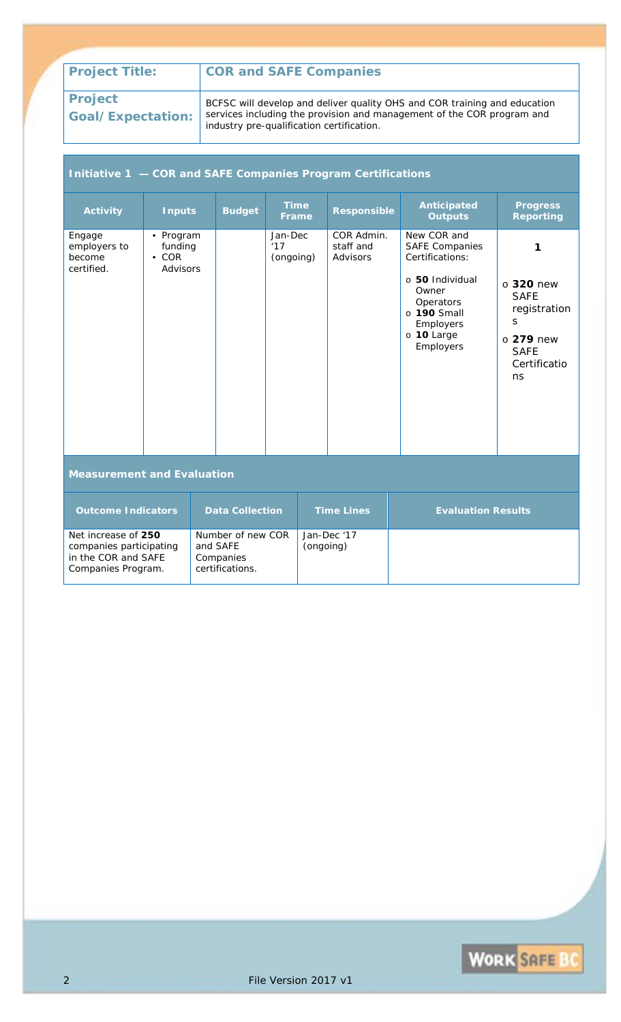**Project Goal/Expectation:**

BCFSC will develop and deliver quality OHS and COR training and education services including the provision and management of the COR program and industry pre-qualification certification.

### **Initiative 1 — COR and SAFE Companies Program Certifications**

| <b>Activity</b>                                                                             | <b>Inputs</b>                                   |  | <b>Budget</b>                                                 | <b>Time</b><br>Frame        |                   | <b>Responsible</b>                  | <b>Anticipated</b><br><b>Outputs</b>                                                                                                                          | <b>Progress</b><br><b>Reporting</b>                                                                              |
|---------------------------------------------------------------------------------------------|-------------------------------------------------|--|---------------------------------------------------------------|-----------------------------|-------------------|-------------------------------------|---------------------------------------------------------------------------------------------------------------------------------------------------------------|------------------------------------------------------------------------------------------------------------------|
| Engage<br>employers to<br>become<br>certified.                                              | • Program<br>funding<br>$\cdot$ COR<br>Advisors |  |                                                               | Jan-Dec<br>17'<br>(ongoing) |                   | COR Admin.<br>staff and<br>Advisors | New COR and<br><b>SAFE Companies</b><br>Certifications:<br>o 50 Individual<br>Owner<br>Operators<br>$\circ$ 190 Small<br>Employers<br>o 10 Large<br>Employers | 1<br>$\circ$ 320 new<br><b>SAFE</b><br>registration<br>S<br>$\circ$ 279 new<br><b>SAFE</b><br>Certificatio<br>ns |
| <b>Measurement and Evaluation</b>                                                           |                                                 |  |                                                               |                             |                   |                                     |                                                                                                                                                               |                                                                                                                  |
| <b>Outcome Indicators</b><br><b>Data Collection</b>                                         |                                                 |  |                                                               |                             | <b>Time Lines</b> | <b>Evaluation Results</b>           |                                                                                                                                                               |                                                                                                                  |
| Net increase of 250<br>companies participating<br>in the COR and SAFE<br>Companies Program. |                                                 |  | Number of new COR<br>and SAFE<br>Companies<br>certifications. |                             | (ongoing)         | Jan-Dec '17                         |                                                                                                                                                               |                                                                                                                  |

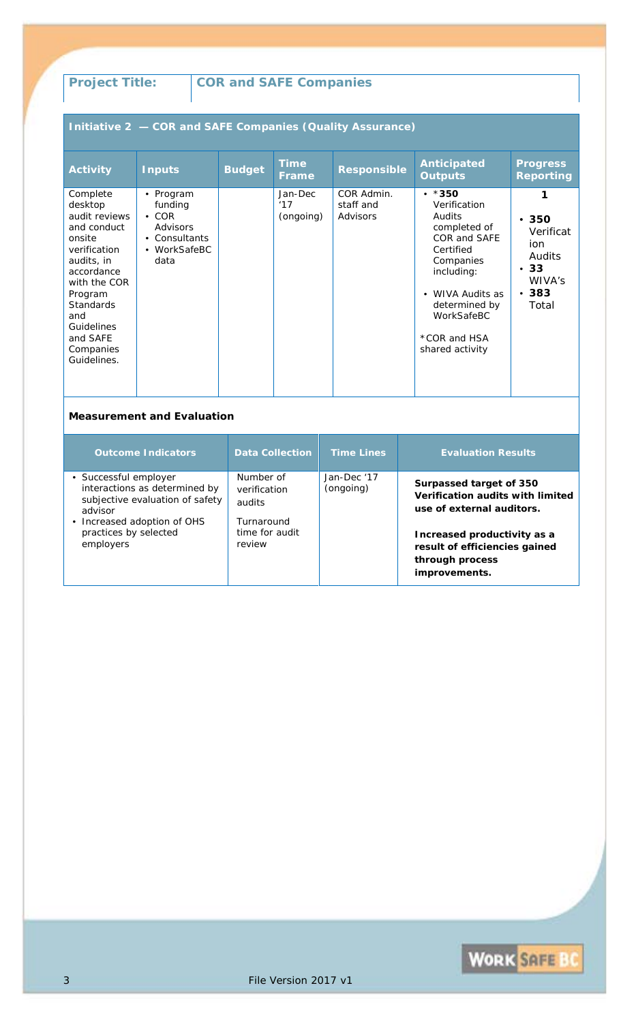## **Initiative 2 — COR and SAFE Companies (Quality Assurance)**

| <b>Activity</b>                                                                                                                                                                                                       | <b>Inputs</b>                                                                            | <b>Budget</b> | <b>Time</b><br><b>Frame</b> | <b>Responsible</b>                  | <b>Anticipated</b><br><b>Outputs</b>                                                                                                                                                                            | <b>Progress</b><br><b>Reporting</b>                                                    |
|-----------------------------------------------------------------------------------------------------------------------------------------------------------------------------------------------------------------------|------------------------------------------------------------------------------------------|---------------|-----------------------------|-------------------------------------|-----------------------------------------------------------------------------------------------------------------------------------------------------------------------------------------------------------------|----------------------------------------------------------------------------------------|
| Complete<br>desktop<br>audit reviews<br>and conduct<br>onsite<br>verification<br>audits, in<br>accordance<br>with the COR<br>Program<br>Standards<br>and<br><b>Guidelines</b><br>and SAFE<br>Companies<br>Guidelines. | • Program<br>funding<br>$\cdot$ COR<br>Advisors<br>• Consultants<br>• WorkSafeBC<br>data |               | Jan-Dec<br>17'<br>(ongoing) | COR Admin.<br>staff and<br>Advisors | $\cdot$ *350<br>Verification<br>Audits<br>completed of<br>COR and SAFE<br>Certified<br>Companies<br>including:<br>WIVA Audits as<br>$\bullet$<br>determined by<br>WorkSafeBC<br>*COR and HSA<br>shared activity | 1<br>•350<br>Verificat<br>ion.<br>Audits<br>•33<br>WIVA's<br>383<br>$\bullet$<br>Total |

| <b>Outcome Indicators</b>                                                                                                                                                 | <b>Data Collection</b>                                                        | <b>Time Lines</b>        | <b>Evaluation Results</b>                                                                                                                                                                    |
|---------------------------------------------------------------------------------------------------------------------------------------------------------------------------|-------------------------------------------------------------------------------|--------------------------|----------------------------------------------------------------------------------------------------------------------------------------------------------------------------------------------|
| • Successful employer<br>interactions as determined by<br>subjective evaluation of safety<br>advisor<br>• Increased adoption of OHS<br>practices by selected<br>employers | Number of<br>verification<br>audits<br>Turnaround<br>time for audit<br>review | Jan-Dec '17<br>(ongoing) | Surpassed target of 350<br>Verification audits with limited<br>use of external auditors.<br>Increased productivity as a<br>result of efficiencies gained<br>through process<br>improvements. |

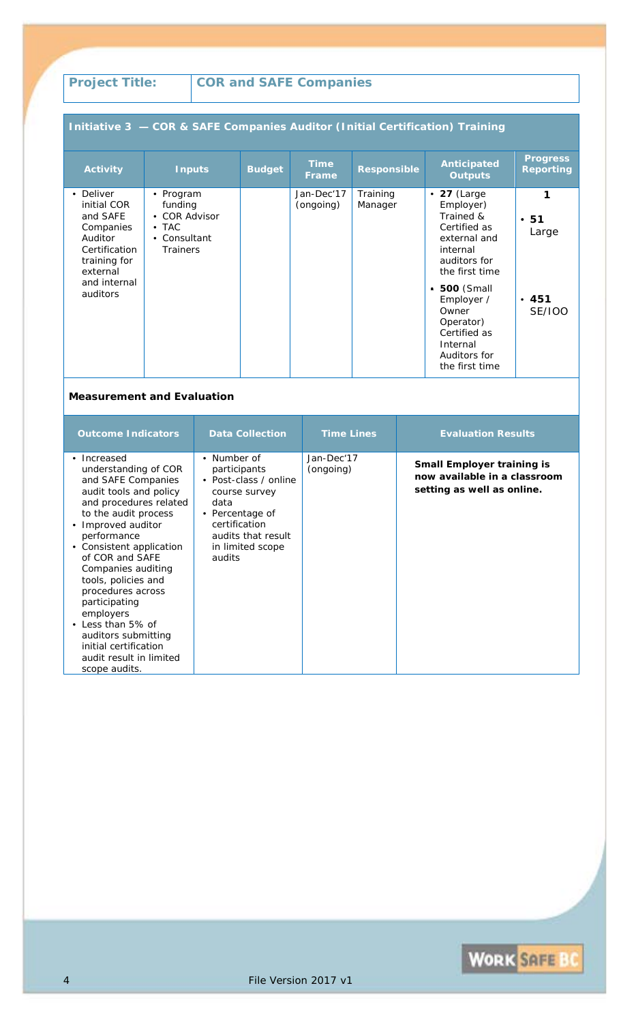## **Initiative 3 — COR & SAFE Companies Auditor (Initial Certification) Training**

| <b>Activity</b>                                                                                                                       | <b>Inputs</b>                                                                      | <b>Budget</b> | <b>Time</b><br><b>Frame</b> | <b>Responsible</b>  | <b>Anticipated</b><br><b>Outputs</b>                                                                                                      | <b>Progress</b><br><b>Reporting</b> |
|---------------------------------------------------------------------------------------------------------------------------------------|------------------------------------------------------------------------------------|---------------|-----------------------------|---------------------|-------------------------------------------------------------------------------------------------------------------------------------------|-------------------------------------|
| • Deliver<br>initial COR<br>and SAFE<br>Companies<br>Auditor<br>Certification<br>training for<br>external<br>and internal<br>auditors | • Program<br>funding<br>• COR Advisor<br>$\bullet$ TAC<br>• Consultant<br>Trainers |               | Jan-Dec'17<br>(ongoing)     | Training<br>Manager | $\cdot$ 27 (Large<br>Employer)<br>Trained &<br>Certified as<br>external and<br>internal<br>auditors for<br>the first time<br>• 500 (Small | 1<br>•51<br>Large                   |
|                                                                                                                                       |                                                                                    |               |                             |                     | Employer /<br>Owner<br>Operator)<br>Certified as<br>Internal<br>Auditors for<br>the first time                                            | •451<br><b>SE/IOO</b>               |

| <b>Outcome Indicators</b>                                                                                                                                                                                                                                                                                                                                                                                                                  | <b>Data Collection</b>                                                                                                                                                           | <b>Time Lines</b>       | <b>Evaluation Results</b>                                                                       |
|--------------------------------------------------------------------------------------------------------------------------------------------------------------------------------------------------------------------------------------------------------------------------------------------------------------------------------------------------------------------------------------------------------------------------------------------|----------------------------------------------------------------------------------------------------------------------------------------------------------------------------------|-------------------------|-------------------------------------------------------------------------------------------------|
| • Increased<br>understanding of COR<br>and SAFE Companies<br>audit tools and policy<br>and procedures related<br>to the audit process<br>• Improved auditor<br>performance<br>• Consistent application<br>of COR and SAFE<br>Companies auditing<br>tools, policies and<br>procedures across<br>participating<br>employers<br>• Less than 5% of<br>auditors submitting<br>initial certification<br>audit result in limited<br>scope audits. | Number of<br>$\bullet$<br>participants<br>• Post-class / online<br>course survey<br>data<br>• Percentage of<br>certification<br>audits that result<br>in limited scope<br>audits | Jan-Dec'17<br>(ongoing) | <b>Small Employer training is</b><br>now available in a classroom<br>setting as well as online. |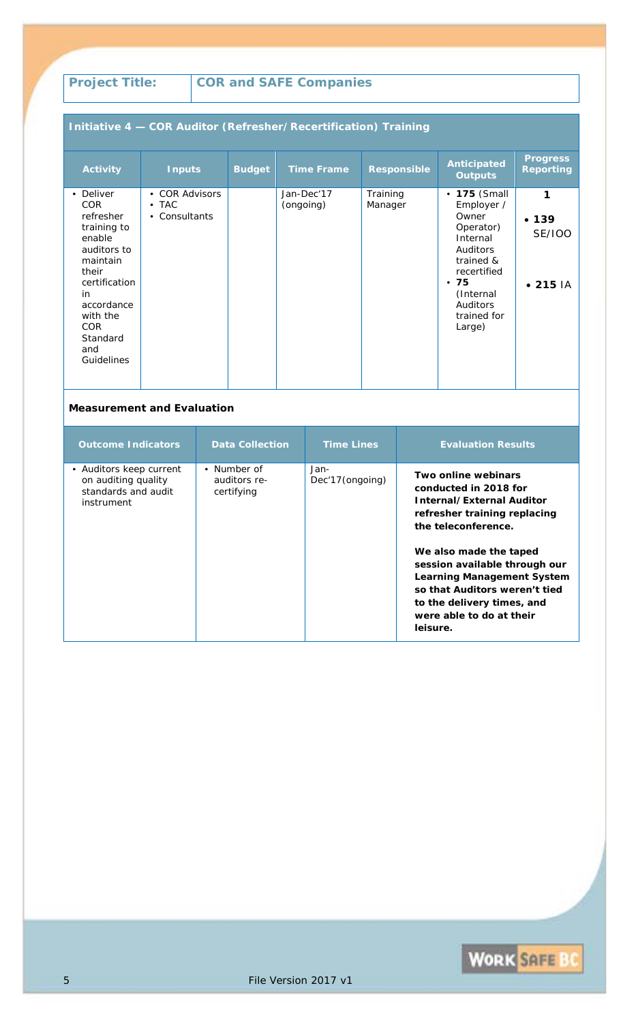## **Initiative 4 — COR Auditor (Refresher/Recertification) Training**

| <b>Activity</b>                                                                                                                                                                                   | <b>Inputs</b>                                               | <b>Budget</b> | <b>Time Frame</b>       | <b>Responsible</b>  | <b>Anticipated</b><br><b>Outputs</b>                                                                                                                           | <b>Progress</b><br><b>Reporting</b>             |
|---------------------------------------------------------------------------------------------------------------------------------------------------------------------------------------------------|-------------------------------------------------------------|---------------|-------------------------|---------------------|----------------------------------------------------------------------------------------------------------------------------------------------------------------|-------------------------------------------------|
| • Deliver<br><b>COR</b><br>refresher<br>training to<br>enable<br>auditors to<br>maintain<br>their<br>certification<br>in<br>accordance<br>with the<br><b>COR</b><br>Standard<br>and<br>Guidelines | • COR Advisors<br>$\bullet$ TAC<br>Consultants<br>$\bullet$ |               | Jan-Dec'17<br>(ongoing) | Training<br>Manager | • 175 (Small<br>Employer /<br>Owner<br>Operator)<br>Internal<br>Auditors<br>trained &<br>recertified<br>•75<br>(Internal)<br>Auditors<br>trained for<br>Large) | 1<br>• 139<br><b>SE/IOO</b><br>$\bullet$ 215 IA |

| <b>Outcome Indicators</b>                                                           | <b>Data Collection</b>                    | <b>Time Lines</b>       | <b>Evaluation Results</b>                                                                                                                                                                                                                                                                                                               |
|-------------------------------------------------------------------------------------|-------------------------------------------|-------------------------|-----------------------------------------------------------------------------------------------------------------------------------------------------------------------------------------------------------------------------------------------------------------------------------------------------------------------------------------|
| • Auditors keep current<br>on auditing quality<br>standards and audit<br>instrument | • Number of<br>auditors re-<br>certifying | Jan-<br>Dec'17(ongoing) | Two online webinars<br>conducted in 2018 for<br>Internal/External Auditor<br>refresher training replacing<br>the teleconference.<br>We also made the taped<br>session available through our<br><b>Learning Management System</b><br>so that Auditors weren't tied<br>to the delivery times, and<br>were able to do at their<br>leisure. |

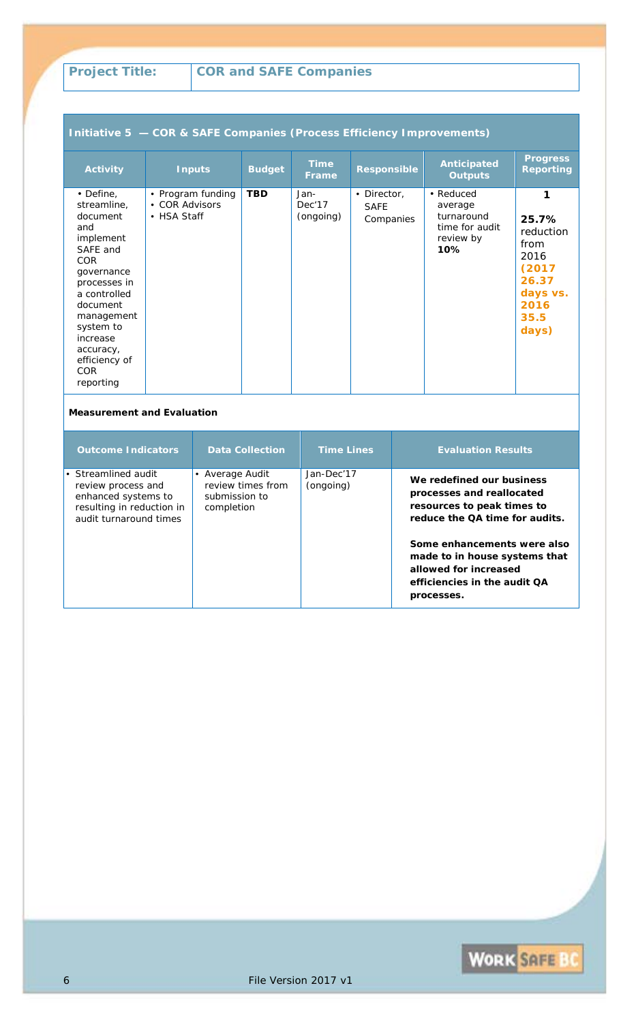| Initiative 5 - COR & SAFE Companies (Process Efficiency Improvements)                                                                                                                                                                              |                                                    |               |                             |                                         |                                                                          |                                                                                                |  |  |  |
|----------------------------------------------------------------------------------------------------------------------------------------------------------------------------------------------------------------------------------------------------|----------------------------------------------------|---------------|-----------------------------|-----------------------------------------|--------------------------------------------------------------------------|------------------------------------------------------------------------------------------------|--|--|--|
| <b>Activity</b>                                                                                                                                                                                                                                    | <b>Inputs</b>                                      | <b>Budget</b> | <b>Time</b><br>Frame        | <b>Responsible</b>                      | <b>Anticipated</b><br><b>Outputs</b>                                     | <b>Progress</b><br><b>Reporting</b>                                                            |  |  |  |
| $\cdot$ Define,<br>streamline,<br>document<br>and<br>implement<br>SAFE and<br><b>COR</b><br>governance<br>processes in<br>a controlled<br>document<br>management<br>system to<br>increase<br>accuracy,<br>efficiency of<br><b>COR</b><br>reporting | • Program funding<br>• COR Advisors<br>• HSA Staff | <b>TBD</b>    | Jan-<br>Dec'17<br>(ongoing) | • Director,<br><b>SAFE</b><br>Companies | • Reduced<br>average<br>turnaround<br>time for audit<br>review by<br>10% | 1<br>25.7%<br>reduction<br>from<br>2016<br>(2017<br>26.37<br>days vs.<br>2016<br>35.5<br>days) |  |  |  |

| <b>Outcome Indicators</b>                                                                                               | <b>Data Collection</b>                                              | <b>Time Lines</b>       | <b>Evaluation Results</b>                                                                                                                                                                                                                                     |
|-------------------------------------------------------------------------------------------------------------------------|---------------------------------------------------------------------|-------------------------|---------------------------------------------------------------------------------------------------------------------------------------------------------------------------------------------------------------------------------------------------------------|
| • Streamlined audit<br>review process and<br>enhanced systems to<br>resulting in reduction in<br>audit turnaround times | • Average Audit<br>review times from<br>submission to<br>completion | Jan-Dec'17<br>(ongoing) | We redefined our business<br>processes and reallocated<br>resources to peak times to<br>reduce the QA time for audits.<br>Some enhancements were also<br>made to in house systems that<br>allowed for increased<br>efficiencies in the audit QA<br>processes. |

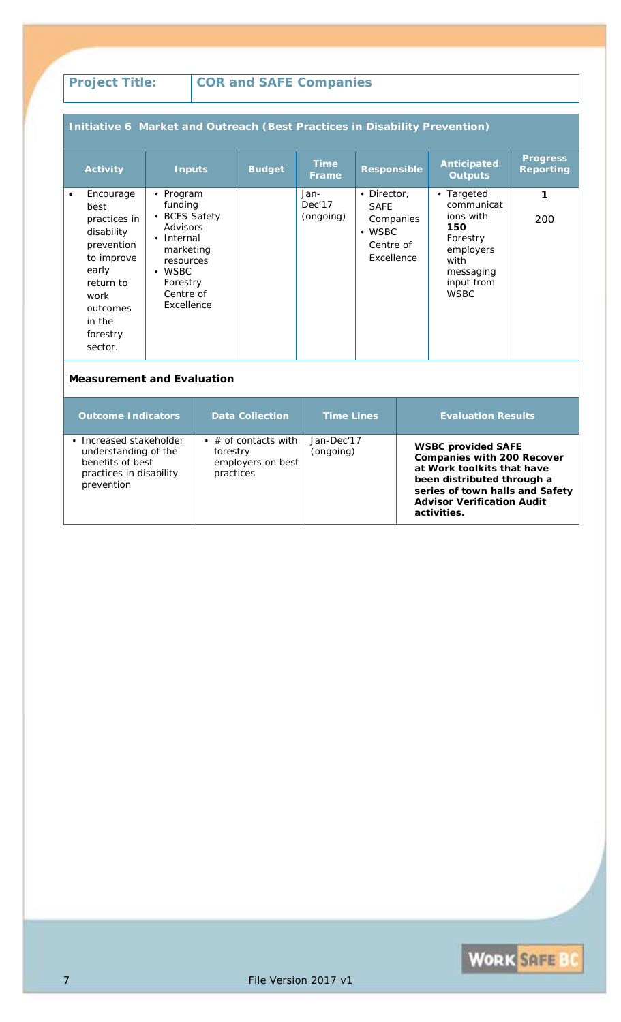### **Initiative 6 Market and Outreach (Best Practices in Disability Prevention)**

|           | <b>Activity</b>                                                                                                                                        | <b>Inputs</b>                                                                                                                                      | <b>Budget</b> | Time<br><b>Frame</b>        | <b>Responsible</b>                                                                   | Anticipated<br><b>Outputs</b>                                                                                           | <b>Progress</b><br><b>Reporting</b> |
|-----------|--------------------------------------------------------------------------------------------------------------------------------------------------------|----------------------------------------------------------------------------------------------------------------------------------------------------|---------------|-----------------------------|--------------------------------------------------------------------------------------|-------------------------------------------------------------------------------------------------------------------------|-------------------------------------|
| $\bullet$ | Encourage<br>best<br>practices in<br>disability<br>prevention<br>to improve<br>early<br>return to<br>work<br>outcomes<br>in the<br>forestry<br>sector. | • Program<br>funding<br>• BCFS Safety<br>Advisors<br>• Internal<br>marketing<br>resources<br>$\bullet$ WSBC<br>Forestry<br>Centre of<br>Excellence |               | Jan-<br>Dec'17<br>(ongoing) | • Director,<br><b>SAFE</b><br>Companies<br>$\bullet$ WSBC<br>Centre of<br>Excellence | • Targeted<br>communicat<br>ions with<br>150<br>Forestry<br>employers<br>with<br>messaging<br>input from<br><b>WSBC</b> | 1<br>200                            |

| <b>Outcome Indicators</b>                                                                                  | <b>Data Collection</b>                                                     | <b>Time Lines</b>       | <b>Evaluation Results</b>                                                                                                                                                                                         |
|------------------------------------------------------------------------------------------------------------|----------------------------------------------------------------------------|-------------------------|-------------------------------------------------------------------------------------------------------------------------------------------------------------------------------------------------------------------|
| Increased stakeholder<br>understanding of the<br>benefits of best<br>practices in disability<br>prevention | $\bullet$ # of contacts with<br>forestry<br>employers on best<br>practices | Jan-Dec'17<br>(ongoing) | <b>WSBC provided SAFE</b><br><b>Companies with 200 Recover</b><br>at Work toolkits that have<br>been distributed through a<br>series of town halls and Safety<br><b>Advisor Verification Audit</b><br>activities. |

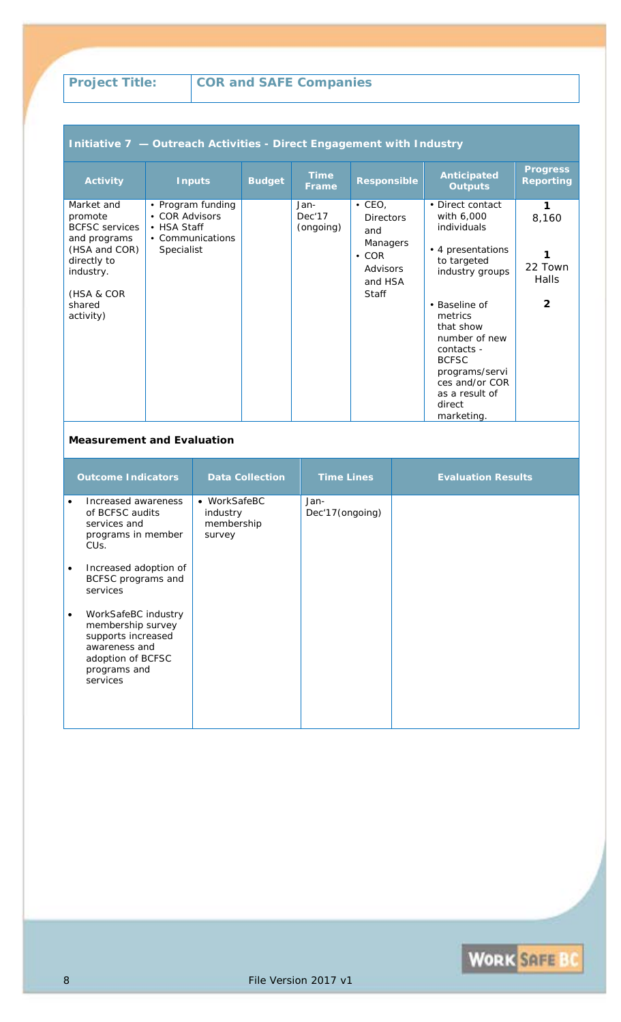### **Initiative 7 — Outreach Activities - Direct Engagement with Industry**

| <b>Activity</b>                                                                                             | <b>Inputs</b>                                                                        | <b>Budget</b> | <b>Time</b><br><b>Frame</b> | <b>Responsible</b>                                                             | <b>Anticipated</b><br><b>Outputs</b>                                                                                                                               | <b>Progress</b><br><b>Reporting</b> |
|-------------------------------------------------------------------------------------------------------------|--------------------------------------------------------------------------------------|---------------|-----------------------------|--------------------------------------------------------------------------------|--------------------------------------------------------------------------------------------------------------------------------------------------------------------|-------------------------------------|
| Market and<br>promote<br><b>BCFSC</b> services<br>and programs<br>(HSA and COR)<br>directly to<br>industry. | • Program funding<br>• COR Advisors<br>• HSA Staff<br>• Communications<br>Specialist |               | Jan-<br>Dec'17<br>(ongoing) | $\cdot$ CEO,<br><b>Directors</b><br>and<br>Managers<br>$\cdot$ COR<br>Advisors | • Direct contact<br>with 6,000<br>individuals<br>• 4 presentations<br>to targeted<br>industry groups                                                               | 1<br>8,160<br>22 Town               |
| (HSA & COR<br>shared<br>activity)                                                                           |                                                                                      |               |                             | and HSA<br><b>Staff</b>                                                        | • Baseline of<br>metrics<br>that show<br>number of new<br>contacts -<br><b>BCFSC</b><br>programs/servi<br>ces and/or COR<br>as a result of<br>direct<br>marketing. | Halls<br>$\mathbf{2}$               |

|           | <b>Outcome Indicators</b>                                                                                                        | <b>Data Collection</b>                           | <b>Time Lines</b>       | <b>Evaluation Results</b> |
|-----------|----------------------------------------------------------------------------------------------------------------------------------|--------------------------------------------------|-------------------------|---------------------------|
|           | Increased awareness<br>of BCFSC audits<br>services and<br>programs in member<br>CU <sub>S</sub> .                                | • WorkSafeBC<br>industry<br>membership<br>survey | Jan-<br>Dec'17(ongoing) |                           |
| $\bullet$ | Increased adoption of<br>BCFSC programs and<br>services                                                                          |                                                  |                         |                           |
| $\bullet$ | WorkSafeBC industry<br>membership survey<br>supports increased<br>awareness and<br>adoption of BCFSC<br>programs and<br>services |                                                  |                         |                           |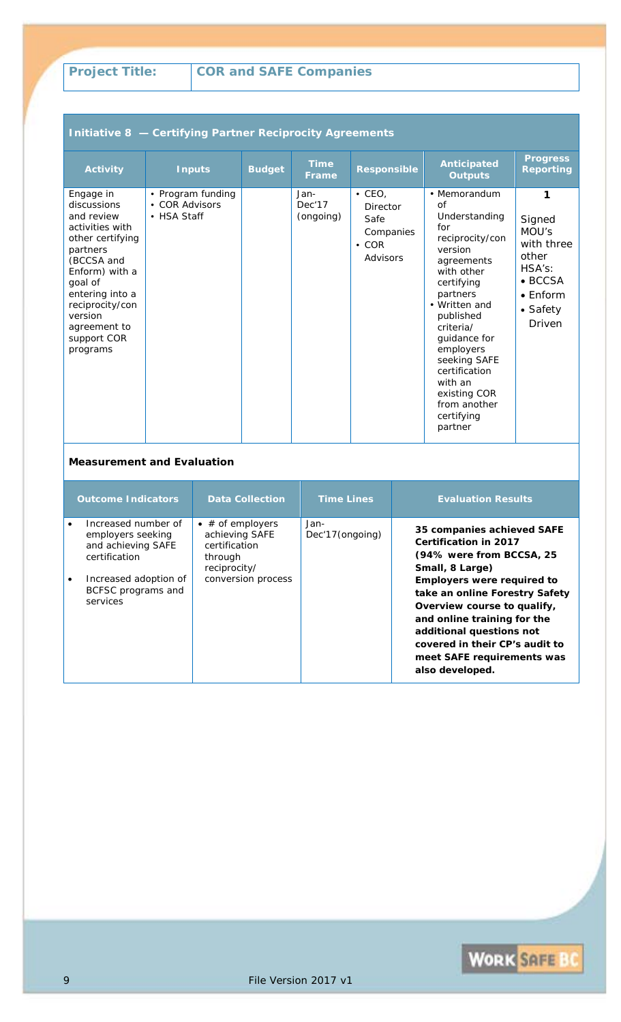### **Initiative 8 — Certifying Partner Reciprocity Agreements**

| <b>Activity</b>                                                                                                                                                                                                                  | <b>Inputs</b>                                      | <b>Budget</b> | <b>Time</b><br><b>Frame</b> | <b>Responsible</b>                                                       | <b>Anticipated</b><br><b>Outputs</b>                                                                                                                                                                                                                                                                        | <b>Progress</b><br><b>Reporting</b>                                                                                |
|----------------------------------------------------------------------------------------------------------------------------------------------------------------------------------------------------------------------------------|----------------------------------------------------|---------------|-----------------------------|--------------------------------------------------------------------------|-------------------------------------------------------------------------------------------------------------------------------------------------------------------------------------------------------------------------------------------------------------------------------------------------------------|--------------------------------------------------------------------------------------------------------------------|
| Engage in<br>discussions<br>and review<br>activities with<br>other certifying<br>partners<br>(BCCSA and<br>Enform) with a<br>goal of<br>entering into a<br>reciprocity/con<br>version<br>agreement to<br>support COR<br>programs | • Program funding<br>• COR Advisors<br>• HSA Staff |               | Jan-<br>Dec'17<br>(ongoing) | $\cdot$ CEO,<br>Director<br>Safe<br>Companies<br>$\cdot$ COR<br>Advisors | • Memorandum<br>Ωf<br>Understanding<br>for<br>reciprocity/con<br>version<br>agreements<br>with other<br>certifying<br>partners<br>• Written and<br>published<br>criteria/<br>guidance for<br>employers<br>seeking SAFE<br>certification<br>with an<br>existing COR<br>from another<br>certifying<br>partner | 1<br>Signed<br>MOU's<br>with three<br>other<br>HSA's:<br>$\bullet$ BCCSA<br>$\bullet$ Fnform<br>• Safety<br>Driven |

| <b>Outcome Indicators</b>                                                       | <b>Data Collection</b>                                                                 | <b>Time Lines</b>        | <b>Evaluation Results</b>                                                                                                                                                                                                                        |
|---------------------------------------------------------------------------------|----------------------------------------------------------------------------------------|--------------------------|--------------------------------------------------------------------------------------------------------------------------------------------------------------------------------------------------------------------------------------------------|
| Increased number of<br>employers seeking<br>and achieving SAFE<br>certification | $\bullet$ # of employers<br>achieving SAFE<br>certification<br>through<br>reciprocity/ | Jan-<br>Dec'17 (ongoing) | 35 companies achieved SAFE<br><b>Certification in 2017</b><br>(94% were from BCCSA, 25<br>Small, 8 Large)                                                                                                                                        |
| Increased adoption of<br>BCFSC programs and<br>services                         | conversion process                                                                     |                          | <b>Employers were required to</b><br>take an online Forestry Safety<br>Overview course to qualify,<br>and online training for the<br>additional questions not<br>covered in their CP's audit to<br>meet SAFE requirements was<br>also developed. |

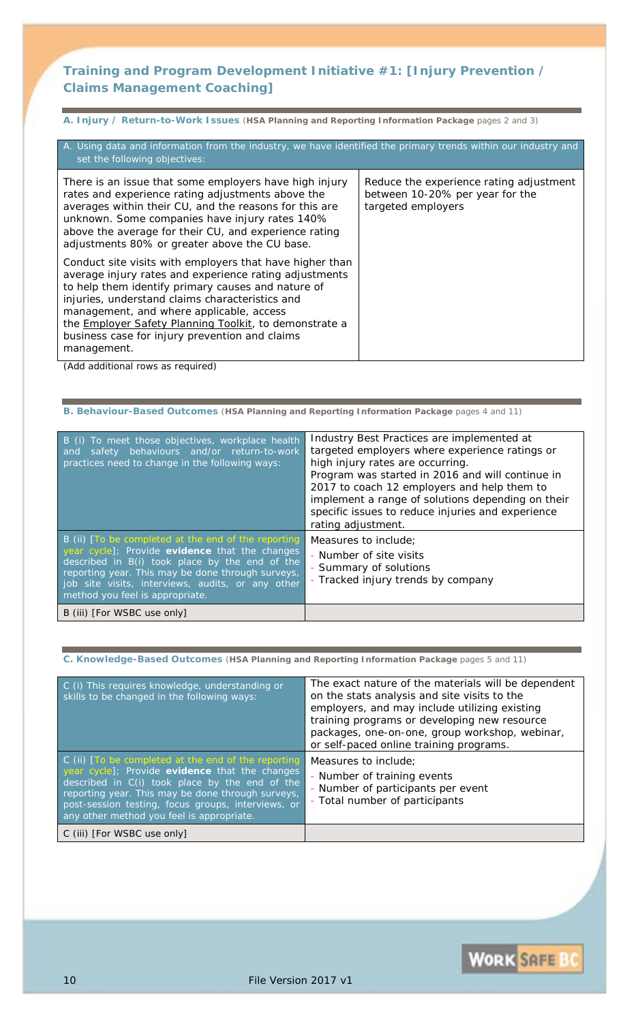### **Training and Program Development Initiative #1:** *[Injury Prevention / Claims Management Coaching]*

**A. Injury / Return-to-Work Issues** (**HSA Planning and Reporting Information Package** pages 2 and 3)

| A. Using data and information from the industry, we have identified the primary trends within our industry and<br>set the following objectives:                                                                                                                                                                                                                                                            |                                                                                                  |
|------------------------------------------------------------------------------------------------------------------------------------------------------------------------------------------------------------------------------------------------------------------------------------------------------------------------------------------------------------------------------------------------------------|--------------------------------------------------------------------------------------------------|
| There is an issue that some employers have high injury<br>rates and experience rating adjustments above the<br>averages within their CU, and the reasons for this are<br>unknown. Some companies have injury rates 140%<br>above the average for their CU, and experience rating<br>adjustments 80% or greater above the CU base.                                                                          | Reduce the experience rating adjustment<br>between 10-20% per year for the<br>targeted employers |
| Conduct site visits with employers that have higher than<br>average injury rates and experience rating adjustments<br>to help them identify primary causes and nature of<br>injuries, understand claims characteristics and<br>management, and where applicable, access<br>the <b>Employer Safety Planning Toolkit</b> , to demonstrate a<br>business case for injury prevention and claims<br>management. |                                                                                                  |

*(Add additional rows as required)*

| B. Behaviour-Based Outcomes (HSA Planning and Reporting Information Package pages 4 and 11)                                                                                                                                                                                                          |                                                                                                                                                                                                                                                                                                                                                                     |  |  |
|------------------------------------------------------------------------------------------------------------------------------------------------------------------------------------------------------------------------------------------------------------------------------------------------------|---------------------------------------------------------------------------------------------------------------------------------------------------------------------------------------------------------------------------------------------------------------------------------------------------------------------------------------------------------------------|--|--|
| To meet those objectives, workplace health<br><b>B</b> (i)<br>safety behaviours and/or return-to-work<br>and<br>practices need to change in the following ways:                                                                                                                                      | Industry Best Practices are implemented at<br>targeted employers where experience ratings or<br>high injury rates are occurring.<br>Program was started in 2016 and will continue in<br>2017 to coach 12 employers and help them to<br>implement a range of solutions depending on their<br>specific issues to reduce injuries and experience<br>rating adjustment. |  |  |
| B (ii) [To be completed at the end of the reporting<br>year cycle]; Provide evidence that the changes<br>described in B(i) took place by the end of the<br>reporting year. This may be done through surveys,<br>job site visits, interviews, audits, or any other<br>method you feel is appropriate. | Measures to include:<br>- Number of site visits<br>- Summary of solutions<br>- Tracked injury trends by company                                                                                                                                                                                                                                                     |  |  |
| B (iii) [For WSBC use only]                                                                                                                                                                                                                                                                          |                                                                                                                                                                                                                                                                                                                                                                     |  |  |

**C. Knowledge-Based Outcomes** (**HSA Planning and Reporting Information Package** pages 5 and 11)

| C (i) This requires knowledge, understanding or<br>skills to be changed in the following ways:                                                                                                                                                                                                                  | The exact nature of the materials will be dependent<br>on the stats analysis and site visits to the<br>employers, and may include utilizing existing<br>training programs or developing new resource<br>packages, one-on-one, group workshop, webinar,<br>or self-paced online training programs. |
|-----------------------------------------------------------------------------------------------------------------------------------------------------------------------------------------------------------------------------------------------------------------------------------------------------------------|---------------------------------------------------------------------------------------------------------------------------------------------------------------------------------------------------------------------------------------------------------------------------------------------------|
| C (ii) [To be completed at the end of the reporting<br>year cycle]; Provide evidence that the changes<br>described in C(i) took place by the end of the<br>reporting year. This may be done through surveys,<br>post-session testing, focus groups, interviews, or<br>any other method you feel is appropriate. | Measures to include:<br>- Number of training events<br>- Number of participants per event<br>Total number of participants                                                                                                                                                                         |
| C (iii) [For WSBC use only]                                                                                                                                                                                                                                                                                     |                                                                                                                                                                                                                                                                                                   |

10 File Version 2017 v1

**WORK SAFE BO**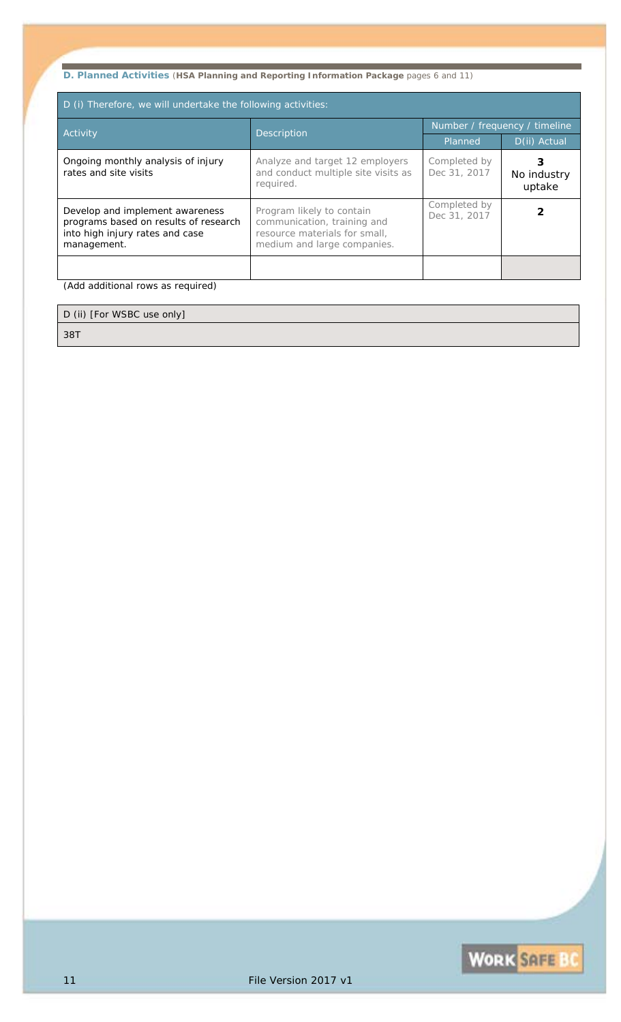# **D. Planned Activities** (**HSA Planning and Reporting Information Package** pages 6 and 11)

| D (i) Therefore, we will undertake the following activities:                                                               |                                                                                                                          |                               |                       |  |  |
|----------------------------------------------------------------------------------------------------------------------------|--------------------------------------------------------------------------------------------------------------------------|-------------------------------|-----------------------|--|--|
| <b>Activity</b>                                                                                                            | Description                                                                                                              | Number / frequency / timeline |                       |  |  |
|                                                                                                                            |                                                                                                                          | Planned                       | D(ii) Actual          |  |  |
| Ongoing monthly analysis of injury<br>rates and site visits                                                                | Analyze and target 12 employers<br>and conduct multiple site visits as<br>required.                                      | Completed by<br>Dec 31, 2017  | No industry<br>uptake |  |  |
| Develop and implement awareness<br>programs based on results of research<br>into high injury rates and case<br>management. | Program likely to contain<br>communication, training and<br>resource materials for small,<br>medium and large companies. | Completed by<br>Dec 31, 2017  |                       |  |  |
|                                                                                                                            |                                                                                                                          |                               |                       |  |  |

*(Add additional rows as required)*

Ē

D (ii) [For WSBC use only] *38T*

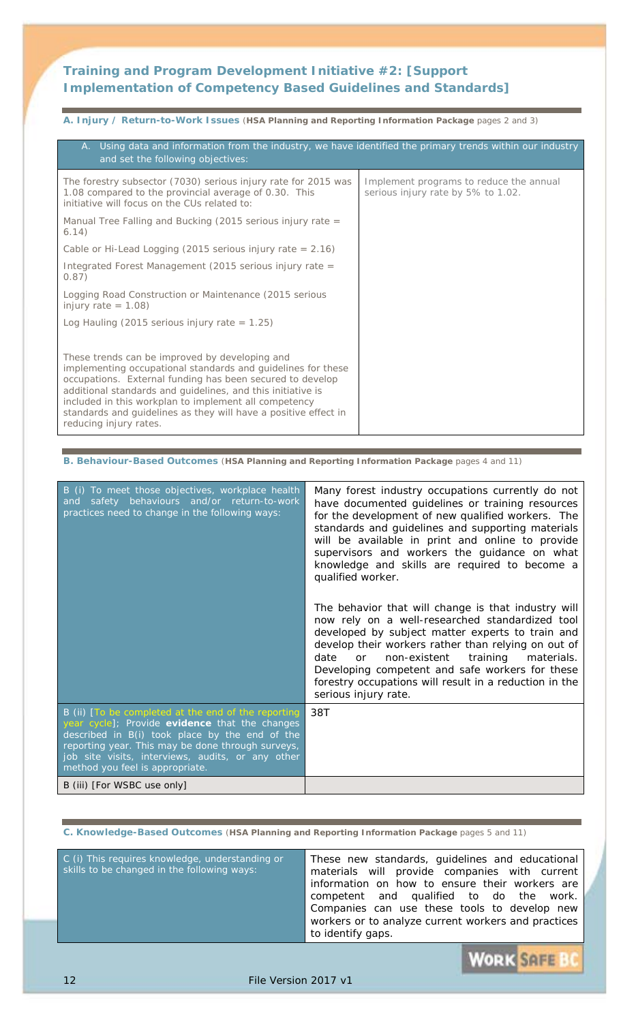### **Training and Program Development Initiative #2:** *[Support Implementation of Competency Based Guidelines and Standards]*

**A. Injury / Return-to-Work Issues** (**HSA Planning and Reporting Information Package** pages 2 and 3)

| A. Using data and information from the industry, we have identified the primary trends within our industry<br>and set the following objectives:                                                                                                                                                                                                                                                  |                                                                               |
|--------------------------------------------------------------------------------------------------------------------------------------------------------------------------------------------------------------------------------------------------------------------------------------------------------------------------------------------------------------------------------------------------|-------------------------------------------------------------------------------|
| The forestry subsector (7030) serious injury rate for 2015 was<br>1.08 compared to the provincial average of 0.30. This<br>initiative will focus on the CUs related to:                                                                                                                                                                                                                          | Implement programs to reduce the annual<br>serious injury rate by 5% to 1.02. |
| Manual Tree Falling and Bucking (2015 serious injury rate $=$<br>(6.14)                                                                                                                                                                                                                                                                                                                          |                                                                               |
| Cable or Hi-Lead Logging (2015 serious injury rate $= 2.16$ )                                                                                                                                                                                                                                                                                                                                    |                                                                               |
| Integrated Forest Management (2015 serious injury rate =<br>(0.87)                                                                                                                                                                                                                                                                                                                               |                                                                               |
| Logging Road Construction or Maintenance (2015 serious<br>injury rate $= 1.08$ )                                                                                                                                                                                                                                                                                                                 |                                                                               |
| Log Hauling (2015 serious injury rate = $1.25$ )                                                                                                                                                                                                                                                                                                                                                 |                                                                               |
|                                                                                                                                                                                                                                                                                                                                                                                                  |                                                                               |
| These trends can be improved by developing and<br>implementing occupational standards and guidelines for these<br>occupations. External funding has been secured to develop<br>additional standards and guidelines, and this initiative is<br>included in this workplan to implement all competency<br>standards and guidelines as they will have a positive effect in<br>reducing injury rates. |                                                                               |

**B. Behaviour-Based Outcomes** (**HSA Planning and Reporting Information Package** pages 4 and 11)

| B (i) To meet those objectives, workplace health<br>safety behaviours and/or return-to-work<br>and<br>practices need to change in the following ways:                                                                                                                                                | Many forest industry occupations currently do not<br>have documented guidelines or training resources<br>for the development of new qualified workers. The<br>standards and guidelines and supporting materials<br>will be available in print and online to provide<br>supervisors and workers the guidance on what<br>knowledge and skills are required to become a<br>qualified worker.<br>The behavior that will change is that industry will<br>now rely on a well-researched standardized tool<br>developed by subject matter experts to train and<br>develop their workers rather than relying on out of<br>non-existent training<br>date<br>materials.<br>or<br>Developing competent and safe workers for these |
|------------------------------------------------------------------------------------------------------------------------------------------------------------------------------------------------------------------------------------------------------------------------------------------------------|------------------------------------------------------------------------------------------------------------------------------------------------------------------------------------------------------------------------------------------------------------------------------------------------------------------------------------------------------------------------------------------------------------------------------------------------------------------------------------------------------------------------------------------------------------------------------------------------------------------------------------------------------------------------------------------------------------------------|
|                                                                                                                                                                                                                                                                                                      | forestry occupations will result in a reduction in the<br>serious injury rate.                                                                                                                                                                                                                                                                                                                                                                                                                                                                                                                                                                                                                                         |
| B (ii) [To be completed at the end of the reporting<br>year cycle]; Provide evidence that the changes<br>described in B(i) took place by the end of the<br>reporting year. This may be done through surveys,<br>job site visits, interviews, audits, or any other<br>method you feel is appropriate. | 38T                                                                                                                                                                                                                                                                                                                                                                                                                                                                                                                                                                                                                                                                                                                    |
| B (iii) [For WSBC use only]                                                                                                                                                                                                                                                                          |                                                                                                                                                                                                                                                                                                                                                                                                                                                                                                                                                                                                                                                                                                                        |

**C. Knowledge-Based Outcomes** (**HSA Planning and Reporting Information Package** pages 5 and 11)

| workers or to analyze current workers and practices<br>to identify gaps. | materials will provide companies with current<br>information on how to ensure their workers are<br>competent and qualified to do the work.<br>Companies can use these tools to develop new | C (i) This requires knowledge, understanding or<br>These new standards, guidelines and educational<br>skills to be changed in the following ways: |
|--------------------------------------------------------------------------|--------------------------------------------------------------------------------------------------------------------------------------------------------------------------------------------|---------------------------------------------------------------------------------------------------------------------------------------------------|
|--------------------------------------------------------------------------|--------------------------------------------------------------------------------------------------------------------------------------------------------------------------------------------|---------------------------------------------------------------------------------------------------------------------------------------------------|

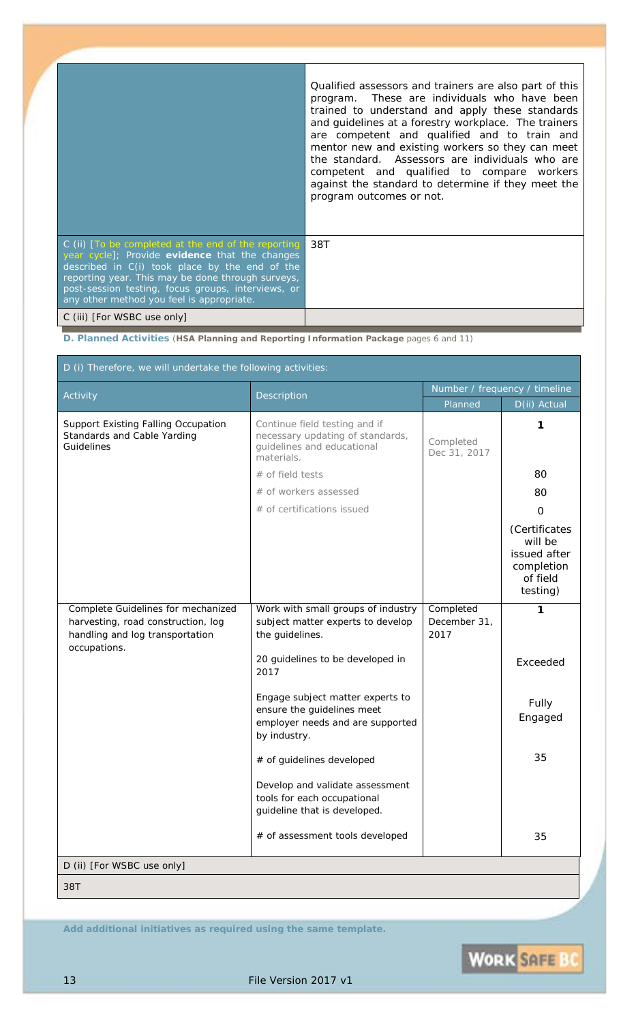|                                                                                                                                                                                                                                                                                                                     | Qualified assessors and trainers are also part of this<br>program. These are individuals who have been<br>trained to understand and apply these standards<br>and guidelines at a forestry workplace. The trainers<br>are competent and qualified and to train and<br>mentor new and existing workers so they can meet<br>the standard. Assessors are individuals who are<br>competent and qualified to compare workers<br>against the standard to determine if they meet the<br>program outcomes or not. |
|---------------------------------------------------------------------------------------------------------------------------------------------------------------------------------------------------------------------------------------------------------------------------------------------------------------------|----------------------------------------------------------------------------------------------------------------------------------------------------------------------------------------------------------------------------------------------------------------------------------------------------------------------------------------------------------------------------------------------------------------------------------------------------------------------------------------------------------|
| $C$ (ii) $T$ o be completed at the end of the reporting<br>year cycle]; Provide evidence that the changes<br>described in C(i) took place by the end of the<br>reporting year. This may be done through surveys,<br>post-session testing, focus groups, interviews, or<br>any other method you feel is appropriate. | 38T                                                                                                                                                                                                                                                                                                                                                                                                                                                                                                      |
| C (iii) [For WSBC use only]                                                                                                                                                                                                                                                                                         |                                                                                                                                                                                                                                                                                                                                                                                                                                                                                                          |

**D. Planned Activities** (**HSA Planning and Reporting Information Package** pages 6 and 11)

|                                                                                                                             | <b>Description</b>                                                                                                 | Number / frequency / timeline     |                                                                                        |
|-----------------------------------------------------------------------------------------------------------------------------|--------------------------------------------------------------------------------------------------------------------|-----------------------------------|----------------------------------------------------------------------------------------|
| Activity                                                                                                                    |                                                                                                                    | Planned                           | D(ii) Actual                                                                           |
| <b>Support Existing Falling Occupation</b><br>Standards and Cable Yarding<br>Guidelines                                     | Continue field testing and if<br>necessary updating of standards,<br>guidelines and educational<br>materials.      | Completed<br>Dec 31, 2017         | 1                                                                                      |
|                                                                                                                             | $#$ of field tests                                                                                                 |                                   | 80                                                                                     |
|                                                                                                                             | # of workers assessed                                                                                              |                                   | 80                                                                                     |
|                                                                                                                             | # of certifications issued                                                                                         |                                   | 0                                                                                      |
|                                                                                                                             |                                                                                                                    |                                   | (Certificates<br>will be<br>issued after<br>completion<br>of field<br><i>testing</i> ) |
| Complete Guidelines for mechanized<br>harvesting, road construction, log<br>handling and log transportation<br>occupations. | Work with small groups of industry<br>subject matter experts to develop<br>the guidelines.                         | Completed<br>December 31,<br>2017 | 1                                                                                      |
|                                                                                                                             | 20 guidelines to be developed in<br>2017                                                                           |                                   | Exceeded                                                                               |
|                                                                                                                             | Engage subject matter experts to<br>ensure the guidelines meet<br>employer needs and are supported<br>by industry. |                                   | Fully<br>Engaged                                                                       |
|                                                                                                                             | # of guidelines developed                                                                                          |                                   | 35                                                                                     |
|                                                                                                                             | Develop and validate assessment<br>tools for each occupational<br>guideline that is developed.                     |                                   |                                                                                        |
|                                                                                                                             | # of assessment tools developed                                                                                    |                                   | 35                                                                                     |
| D (ii) [For WSBC use only]                                                                                                  |                                                                                                                    |                                   |                                                                                        |

*Add additional initiatives as required using the same template.*

WORK SAFE BC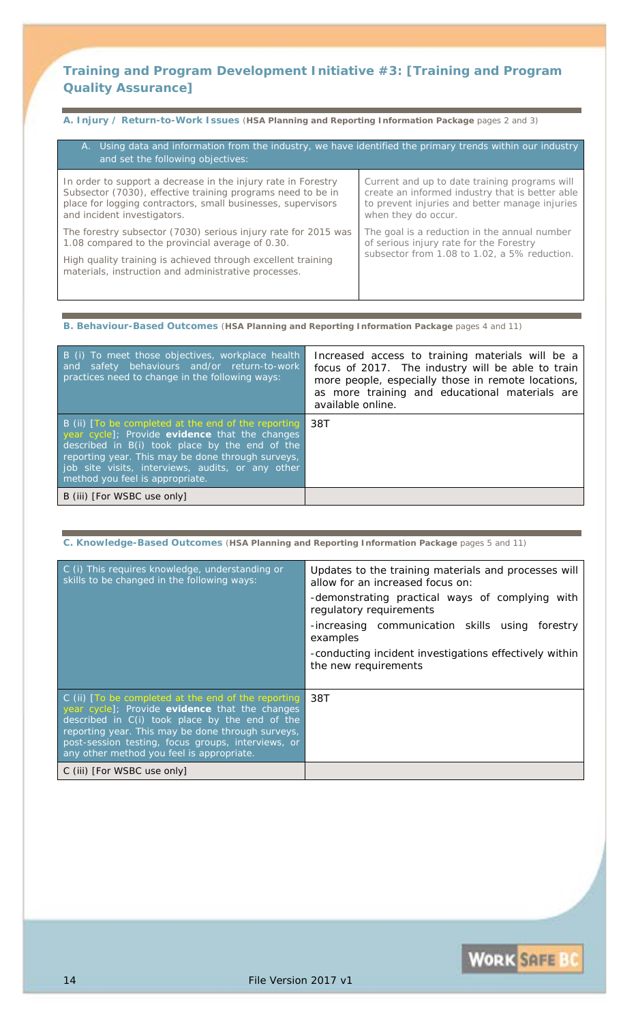### **Training and Program Development Initiative #3:** *[Training and Program Quality Assurance]*

**A. Injury / Return-to-Work Issues** (**HSA Planning and Reporting Information Package** pages 2 and 3)

| A. Using data and information from the industry, we have identified the primary trends within our industry<br>and set the following objectives:                                                                                            |                                                                                                                                                                           |
|--------------------------------------------------------------------------------------------------------------------------------------------------------------------------------------------------------------------------------------------|---------------------------------------------------------------------------------------------------------------------------------------------------------------------------|
| In order to support a decrease in the injury rate in Forestry<br>Subsector (7030), effective training programs need to be in<br>place for logging contractors, small businesses, supervisors<br>and incident investigators.                | Current and up to date training programs will<br>create an informed industry that is better able<br>to prevent injuries and better manage injuries<br>when they do occur. |
| The forestry subsector (7030) serious injury rate for 2015 was<br>1.08 compared to the provincial average of 0.30.<br>High quality training is achieved through excellent training<br>materials, instruction and administrative processes. | The goal is a reduction in the annual number<br>of serious injury rate for the Forestry<br>subsector from 1.08 to 1.02, a 5% reduction.                                   |
|                                                                                                                                                                                                                                            |                                                                                                                                                                           |

**B. Behaviour-Based Outcomes** (**HSA Planning and Reporting Information Package** pages 4 and 11)

| B (i) To meet those objectives, workplace health<br>and safety behaviours and/or return-to-work<br>practices need to change in the following ways:                                                                                                                                                     | Increased access to training materials will be a<br>focus of 2017. The industry will be able to train<br>more people, especially those in remote locations,<br>as more training and educational materials are<br><i>available online.</i> |
|--------------------------------------------------------------------------------------------------------------------------------------------------------------------------------------------------------------------------------------------------------------------------------------------------------|-------------------------------------------------------------------------------------------------------------------------------------------------------------------------------------------------------------------------------------------|
| B (ii) [To be completed at the end of the reporting ]<br>year cycle]; Provide evidence that the changes<br>described in B(i) took place by the end of the<br>reporting year. This may be done through surveys,<br>job site visits, interviews, audits, or any other<br>method you feel is appropriate. | - 38T                                                                                                                                                                                                                                     |
| B (iii) [For WSBC use only]                                                                                                                                                                                                                                                                            |                                                                                                                                                                                                                                           |

**C. Knowledge-Based Outcomes** (**HSA Planning and Reporting Information Package** pages 5 and 11)

| C (i) This requires knowledge, understanding or<br>skills to be changed in the following ways:                                                                                                                                                                                                                  | Updates to the training materials and processes will<br>allow for an increased focus on:<br>-demonstrating practical ways of complying with<br>regulatory requirements<br>-increasing communication skills using<br>forestry<br>examples<br>-conducting incident investigations effectively within<br>the new requirements |
|-----------------------------------------------------------------------------------------------------------------------------------------------------------------------------------------------------------------------------------------------------------------------------------------------------------------|----------------------------------------------------------------------------------------------------------------------------------------------------------------------------------------------------------------------------------------------------------------------------------------------------------------------------|
| C (ii) [To be completed at the end of the reporting<br>year cycle]; Provide evidence that the changes<br>described in C(i) took place by the end of the<br>reporting year. This may be done through surveys,<br>post-session testing, focus groups, interviews, or<br>any other method you feel is appropriate. | 38T                                                                                                                                                                                                                                                                                                                        |
| C (iii) [For WSBC use only]                                                                                                                                                                                                                                                                                     |                                                                                                                                                                                                                                                                                                                            |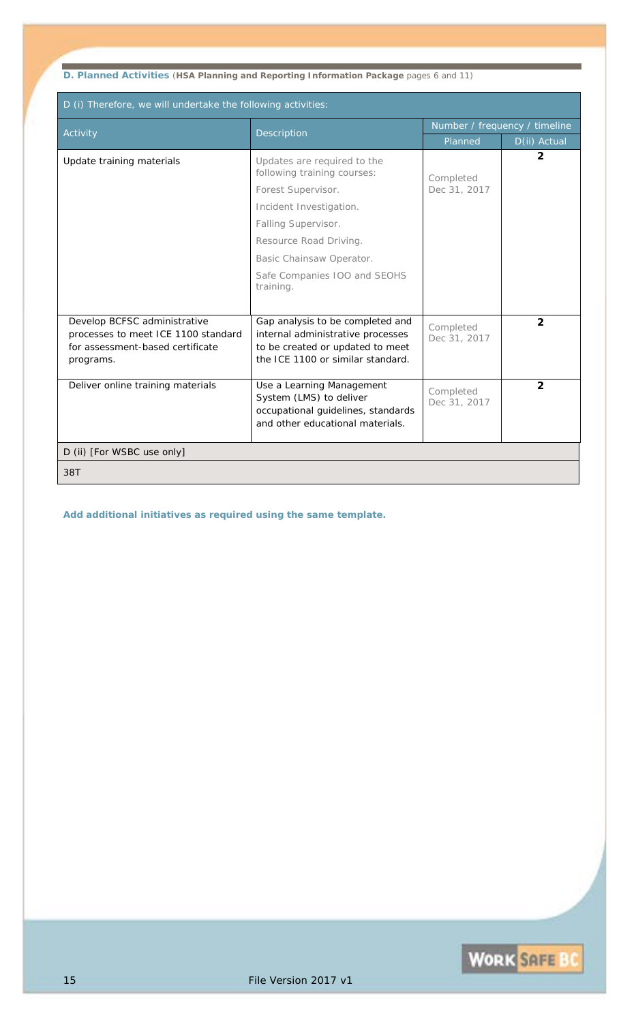**D. Planned Activities** (**HSA Planning and Reporting Information Package** pages 6 and 11)

| D (i) Therefore, we will undertake the following activities:                                                         |                                                                                                                                                |                               |                |
|----------------------------------------------------------------------------------------------------------------------|------------------------------------------------------------------------------------------------------------------------------------------------|-------------------------------|----------------|
| Activity                                                                                                             | Description                                                                                                                                    | Number / frequency / timeline |                |
|                                                                                                                      |                                                                                                                                                | Planned                       | D(ii) Actual   |
| Update training materials                                                                                            | Updates are required to the<br>following training courses:                                                                                     | Completed                     | 2              |
|                                                                                                                      | Forest Supervisor.                                                                                                                             | Dec 31, 2017                  |                |
|                                                                                                                      | Incident Investigation.                                                                                                                        |                               |                |
|                                                                                                                      | <b>Falling Supervisor.</b>                                                                                                                     |                               |                |
|                                                                                                                      | Resource Road Driving.                                                                                                                         |                               |                |
|                                                                                                                      | Basic Chainsaw Operator.                                                                                                                       |                               |                |
|                                                                                                                      | Safe Companies 100 and SEOHS<br>training.                                                                                                      |                               |                |
|                                                                                                                      |                                                                                                                                                |                               |                |
| Develop BCFSC administrative<br>processes to meet ICE 1100 standard<br>for assessment-based certificate<br>programs. | Gap analysis to be completed and<br>internal administrative processes<br>to be created or updated to meet<br>the ICE 1100 or similar standard. | Completed<br>Dec 31, 2017     | $\overline{2}$ |
| Deliver online training materials                                                                                    | Use a Learning Management<br>System (LMS) to deliver<br>occupational guidelines, standards<br>and other educational materials.                 | Completed<br>Dec 31, 2017     | $\overline{2}$ |
| D (ii) [For WSBC use only]                                                                                           |                                                                                                                                                |                               |                |
| 38T                                                                                                                  |                                                                                                                                                |                               |                |

*Add additional initiatives as required using the same template.*

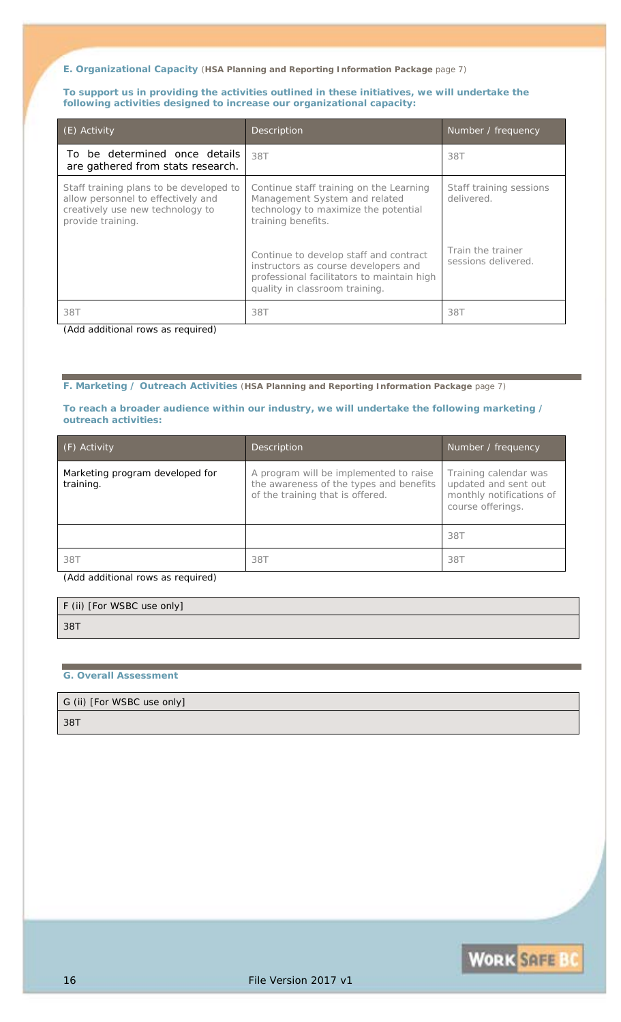**To support us in providing the activities outlined in these initiatives, we will undertake the following activities designed to increase our organizational capacity:**

| $(E)$ Activity                                                                                                                         | Description                                                                                                                                                                      | Number / frequency                                         |
|----------------------------------------------------------------------------------------------------------------------------------------|----------------------------------------------------------------------------------------------------------------------------------------------------------------------------------|------------------------------------------------------------|
| To be determined once details<br>are gathered from stats research.                                                                     | 38T                                                                                                                                                                              | 38T                                                        |
| Staff training plans to be developed to<br>allow personnel to effectively and<br>creatively use new technology to<br>provide training. | Continue staff training on the Learning<br>Management System and related<br>technology to maximize the potential<br>training benefits.<br>Continue to develop staff and contract | Staff training sessions<br>delivered.<br>Train the trainer |
|                                                                                                                                        | instructors as course developers and<br>professional facilitators to maintain high<br>quality in classroom training.                                                             | sessions delivered.                                        |
| 38T                                                                                                                                    | 38T                                                                                                                                                                              | 387                                                        |

*(Add additional rows as required)*

**F. Marketing / Outreach Activities** (**HSA Planning and Reporting Information Package** page 7)

#### **To reach a broader audience within our industry, we will undertake the following marketing / outreach activities:**

| (F) Activity                                 | Description                                                                                                           | Number / frequency                                                                             |
|----------------------------------------------|-----------------------------------------------------------------------------------------------------------------------|------------------------------------------------------------------------------------------------|
| Marketing program developed for<br>training. | A program will be implemented to raise<br>the awareness of the types and benefits<br>of the training that is offered. | Training calendar was<br>updated and sent out<br>monthly notifications of<br>course offerings. |
|                                              |                                                                                                                       | 38T                                                                                            |
| 38T                                          | 38T                                                                                                                   | 387                                                                                            |

*(Add additional rows as required)*

| F (ii) [For WSBC use only] |  |  |
|----------------------------|--|--|
| 38T                        |  |  |
|                            |  |  |

#### **G. Overall Assessment**

G (ii) [For WSBC use only]

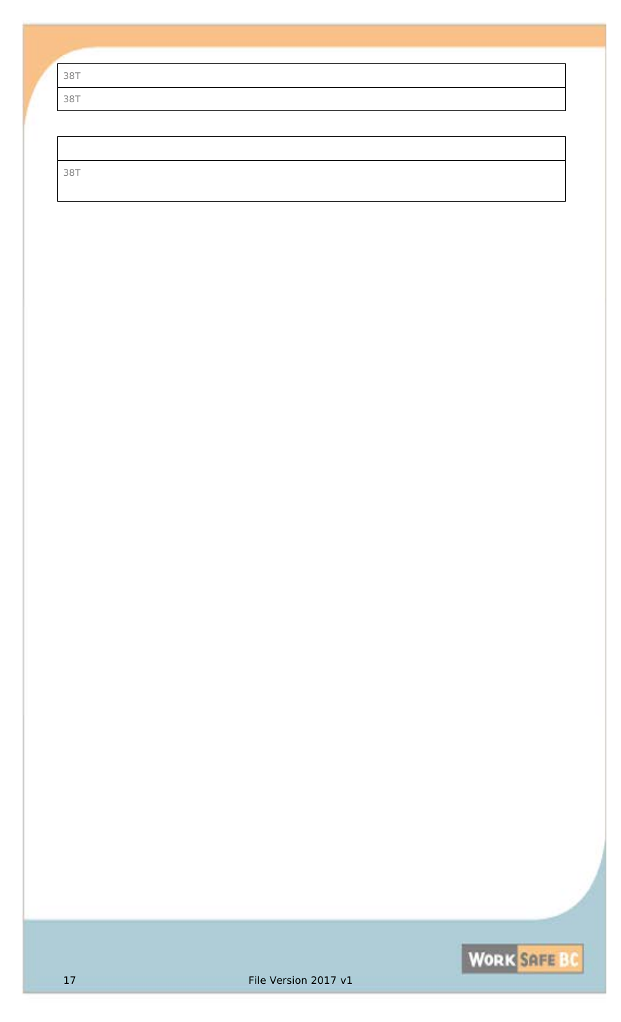| 38T |
|-----|
| 38T |
|     |

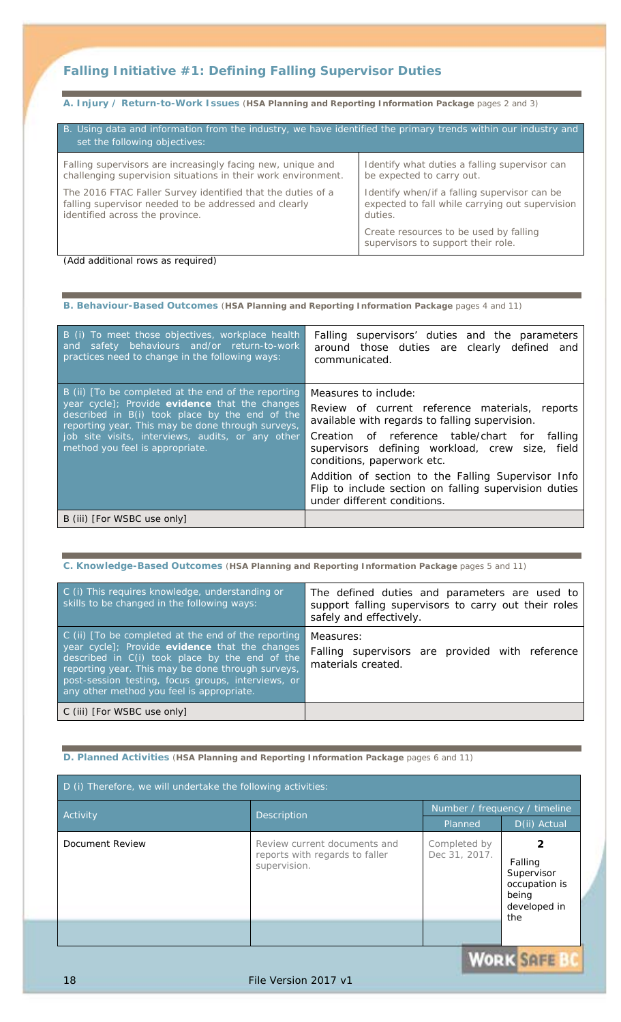## **Falling Initiative #1:** *Defining Falling Supervisor Duties*

**A. Injury / Return-to-Work Issues** (**HSA Planning and Reporting Information Package** pages 2 and 3)

| B. Using data and information from the industry, we have identified the primary trends within our industry and<br>set the following objectives: |                                                                              |  |
|-------------------------------------------------------------------------------------------------------------------------------------------------|------------------------------------------------------------------------------|--|
| Falling supervisors are increasingly facing new, unique and                                                                                     | Identify what duties a falling supervisor can                                |  |
| challenging supervision situations in their work environment.                                                                                   | be expected to carry out.                                                    |  |
| The 2016 FTAC Faller Survey identified that the duties of a                                                                                     | Identify when/if a falling supervisor can be                                 |  |
| falling supervisor needed to be addressed and clearly                                                                                           | expected to fall while carrying out supervision                              |  |
| identified across the province.                                                                                                                 | duties.                                                                      |  |
|                                                                                                                                                 | Create resources to be used by falling<br>supervisors to support their role. |  |

*(Add additional rows as required)*

**B. Behaviour-Based Outcomes** (**HSA Planning and Reporting Information Package** pages 4 and 11)

| B (i) To meet those objectives, workplace health<br>safety behaviours and/or return-to-work<br>and<br>practices need to change in the following ways:                                                                                                                                                | Falling supervisors' duties and the parameters<br>around those duties are clearly defined and<br>communicated.                                                                                                                                                                                                                                                                                                 |
|------------------------------------------------------------------------------------------------------------------------------------------------------------------------------------------------------------------------------------------------------------------------------------------------------|----------------------------------------------------------------------------------------------------------------------------------------------------------------------------------------------------------------------------------------------------------------------------------------------------------------------------------------------------------------------------------------------------------------|
| B (ii) [To be completed at the end of the reporting<br>year cycle]; Provide evidence that the changes<br>described in B(i) took place by the end of the<br>reporting year. This may be done through surveys,<br>job site visits, interviews, audits, or any other<br>method you feel is appropriate. | Measures to include:<br>Review of current reference materials, reports<br>available with regards to falling supervision.<br>Creation of reference table/chart for<br>falling<br>supervisors defining workload, crew size,<br>field<br>conditions, paperwork etc.<br>Addition of section to the Falling Supervisor Info<br>Flip to include section on falling supervision duties<br>under different conditions. |
| B (iii) [For WSBC use only]                                                                                                                                                                                                                                                                          |                                                                                                                                                                                                                                                                                                                                                                                                                |

| C. Knowledge-Based Outcomes (HSA Planning and Reporting Information Package pages 5 and 11) |
|---------------------------------------------------------------------------------------------|
|                                                                                             |

| C (i) This requires knowledge, understanding or<br>skills to be changed in the following ways:                                                                                                                                                                                                                  | The defined duties and parameters are used to<br>support falling supervisors to carry out their roles<br>safely and effectively. |
|-----------------------------------------------------------------------------------------------------------------------------------------------------------------------------------------------------------------------------------------------------------------------------------------------------------------|----------------------------------------------------------------------------------------------------------------------------------|
| C (ii) [To be completed at the end of the reporting<br>year cycle]; Provide evidence that the changes<br>described in C(i) took place by the end of the<br>reporting year. This may be done through surveys,<br>post-session testing, focus groups, interviews, or<br>any other method you feel is appropriate. | Measures:<br>Falling supervisors are provided with reference<br>materials created.                                               |
| C (iii) [For WSBC use only]                                                                                                                                                                                                                                                                                     |                                                                                                                                  |

**D. Planned Activities** (**HSA Planning and Reporting Information Package** pages 6 and 11)

| D (i) Therefore, we will undertake the following activities: |                                                                                |                               |                                                                        |  |
|--------------------------------------------------------------|--------------------------------------------------------------------------------|-------------------------------|------------------------------------------------------------------------|--|
|                                                              |                                                                                |                               | Number / frequency / timeline                                          |  |
|                                                              | <b>Description</b><br>Activity                                                 | Planned                       | D(ii) Actual                                                           |  |
| Document Review                                              | Review current documents and<br>reports with regards to faller<br>supervision. | Completed by<br>Dec 31, 2017. | Falling<br>Supervisor<br>occupation is<br>being<br>developed in<br>the |  |
|                                                              |                                                                                |                               |                                                                        |  |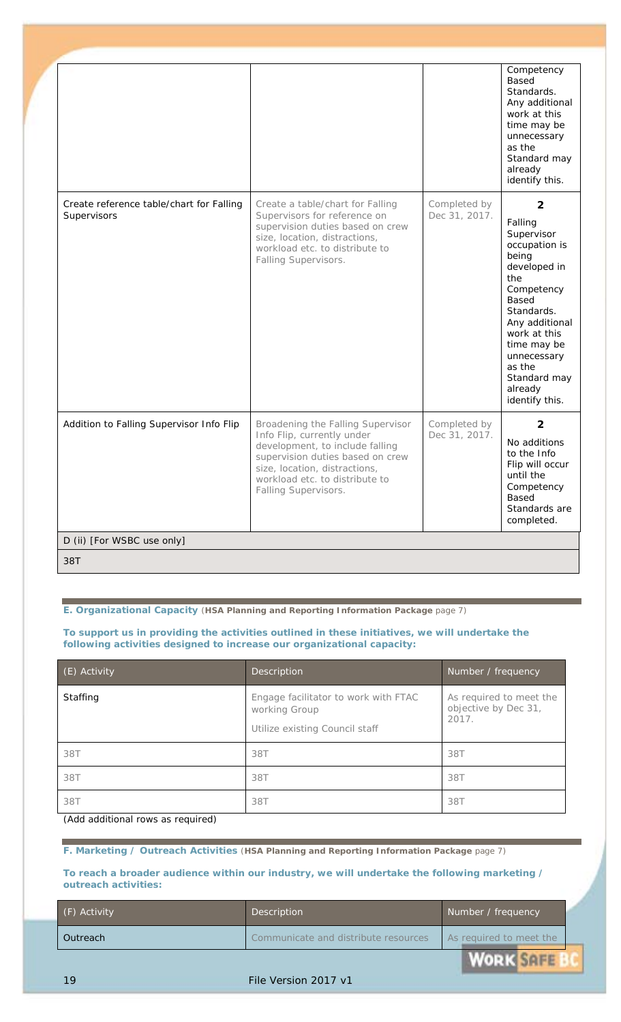|                                                         |                                                                                                                                                                                                                                   |                               | Competency<br>Based<br>Standards.<br>Any additional<br>work at this<br>time may be<br>unnecessary<br>as the<br>Standard may<br>already<br>identify this.                                                                                                    |
|---------------------------------------------------------|-----------------------------------------------------------------------------------------------------------------------------------------------------------------------------------------------------------------------------------|-------------------------------|-------------------------------------------------------------------------------------------------------------------------------------------------------------------------------------------------------------------------------------------------------------|
| Create reference table/chart for Falling<br>Supervisors | Create a table/chart for Falling<br>Supervisors for reference on<br>supervision duties based on crew<br>size, location, distractions,<br>workload etc. to distribute to<br>Falling Supervisors.                                   | Completed by<br>Dec 31, 2017. | $\overline{2}$<br>Falling<br>Supervisor<br>occupation is<br>being<br>developed in<br>the<br>Competency<br><b>Based</b><br>Standards.<br>Any additional<br>work at this<br>time may be<br>unnecessary<br>as the<br>Standard may<br>already<br>identify this. |
| Addition to Falling Supervisor Info Flip                | Broadening the Falling Supervisor<br>Info Flip, currently under<br>development, to include falling<br>supervision duties based on crew<br>size, location, distractions,<br>workload etc. to distribute to<br>Falling Supervisors. | Completed by<br>Dec 31, 2017. | $\overline{2}$<br>No additions<br>to the Info<br>Flip will occur<br>until the<br>Competency<br>Based<br>Standards are<br>completed.                                                                                                                         |
| D (ii) [For WSBC use only]                              |                                                                                                                                                                                                                                   |                               |                                                                                                                                                                                                                                                             |
| 38T                                                     |                                                                                                                                                                                                                                   |                               |                                                                                                                                                                                                                                                             |

**To support us in providing the activities outlined in these initiatives, we will undertake the following activities designed to increase our organizational capacity:**

| (E) Activity | <b>Description</b>                                                                      | Number / frequency                                       |
|--------------|-----------------------------------------------------------------------------------------|----------------------------------------------------------|
| Staffing     | Engage facilitator to work with FTAC<br>working Group<br>Utilize existing Council staff | As required to meet the<br>objective by Dec 31,<br>2017. |
| 38T          | 38T                                                                                     | 38T                                                      |
| 38T          | 38T                                                                                     | 38T                                                      |
| 38T          | 38T                                                                                     | 38T                                                      |

*(Add additional rows as required)*

**F. Marketing / Outreach Activities** (**HSA Planning and Reporting Information Package** page 7)

**To reach a broader audience within our industry, we will undertake the following marketing / outreach activities:**

| (F) Activity | Description                          | Number / frequency                      |  |
|--------------|--------------------------------------|-----------------------------------------|--|
| Outreach     | Communicate and distribute resources | As required to meet the                 |  |
|              |                                      | the property and company of the company |  |

**WORK SAFE BI**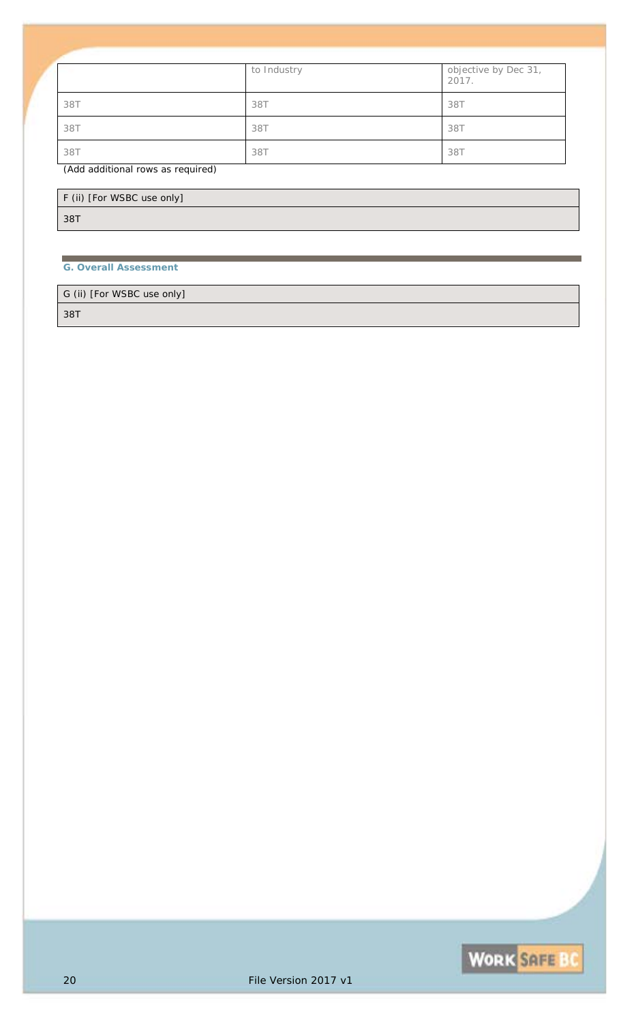|     | to Industry | objective by Dec 31,<br>2017. |
|-----|-------------|-------------------------------|
| 38T | 38T         | 38T                           |
| 38T | 38T         | 38T                           |
| 38T | 38T         | 38T                           |

#### *(Add additional rows as required)*

| F (ii) [For WSBC use only] |  |
|----------------------------|--|
| 38T                        |  |

### **G. Overall Assessment**

G (ii) [For WSBC use only]

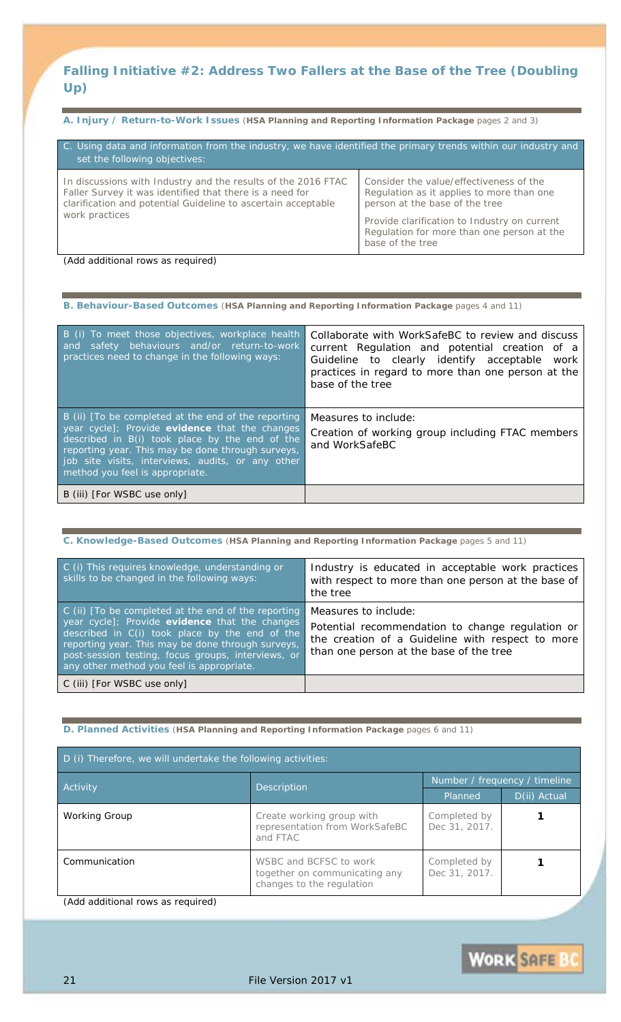## **Falling Initiative #2:** *Address Two Fallers at the Base of the Tree (Doubling Up)*

**A. Injury / Return-to-Work Issues** (**HSA Planning and Reporting Information Package** pages 2 and 3)

| C. Using data and information from the industry, we have identified the primary trends within our industry and<br>set the following objectives:                                            |                                                                                                                        |  |  |
|--------------------------------------------------------------------------------------------------------------------------------------------------------------------------------------------|------------------------------------------------------------------------------------------------------------------------|--|--|
| In discussions with Industry and the results of the 2016 FTAC<br>Faller Survey it was identified that there is a need for<br>clarification and potential Guideline to ascertain acceptable | Consider the value/effectiveness of the<br>Regulation as it applies to more than one<br>person at the base of the tree |  |  |
| work practices                                                                                                                                                                             | Provide clarification to Industry on current<br>Regulation for more than one person at the<br>base of the tree         |  |  |

*(Add additional rows as required)*

**B. Behaviour-Based Outcomes** (**HSA Planning and Reporting Information Package** pages 4 and 11)

| B (i) To meet those objectives, workplace health<br>safety behaviours and/or return-to-work<br>and<br>practices need to change in the following ways:                                                                                                                                                | Collaborate with WorkSafeBC to review and discuss<br>current Regulation and potential creation of a<br>Guideline to clearly identify acceptable<br>work<br>practices in regard to more than one person at the<br>base of the tree |
|------------------------------------------------------------------------------------------------------------------------------------------------------------------------------------------------------------------------------------------------------------------------------------------------------|-----------------------------------------------------------------------------------------------------------------------------------------------------------------------------------------------------------------------------------|
| B (ii) [To be completed at the end of the reporting<br>year cycle]; Provide evidence that the changes<br>described in B(i) took place by the end of the<br>reporting year. This may be done through surveys,<br>job site visits, interviews, audits, or any other<br>method you feel is appropriate. | Measures to include:<br>Creation of working group including FTAC members<br>and WorkSafeBC                                                                                                                                        |
| B (iii) [For WSBC use only]                                                                                                                                                                                                                                                                          |                                                                                                                                                                                                                                   |

| C. Knowledge-Based Outcomes (HSA Planning and Reporting Information Package pages 5 and 11)                                                                                                                                                                                                                     |                                                                                                                                                                         |  |  |
|-----------------------------------------------------------------------------------------------------------------------------------------------------------------------------------------------------------------------------------------------------------------------------------------------------------------|-------------------------------------------------------------------------------------------------------------------------------------------------------------------------|--|--|
| C (i) This requires knowledge, understanding or<br>skills to be changed in the following ways:                                                                                                                                                                                                                  | Industry is educated in acceptable work practices<br>with respect to more than one person at the base of<br>the tree                                                    |  |  |
| C (ii) [To be completed at the end of the reporting<br>year cycle]; Provide evidence that the changes<br>described in C(i) took place by the end of the<br>reporting year. This may be done through surveys,<br>post-session testing, focus groups, interviews, or<br>any other method you feel is appropriate. | Measures to include:<br>Potential recommendation to change regulation or<br>the creation of a Guideline with respect to more<br>than one person at the base of the tree |  |  |
| C (iii) [For WSBC use only]                                                                                                                                                                                                                                                                                     |                                                                                                                                                                         |  |  |

### **D. Planned Activities** (**HSA Planning and Reporting Information Package** pages 6 and 11)

| D (i) Therefore, we will undertake the following activities: |                                                                                      |                               |              |
|--------------------------------------------------------------|--------------------------------------------------------------------------------------|-------------------------------|--------------|
| Activity                                                     | <b>Description</b>                                                                   | Number / frequency / timeline |              |
|                                                              |                                                                                      | Planned                       | D(ii) Actual |
| <b>Working Group</b>                                         | Create working group with<br>representation from WorkSafeBC<br>and FTAC              | Completed by<br>Dec 31, 2017. |              |
| Communication                                                | WSBC and BCFSC to work<br>together on communicating any<br>changes to the regulation | Completed by<br>Dec 31, 2017. |              |

*(Add additional rows as required)*

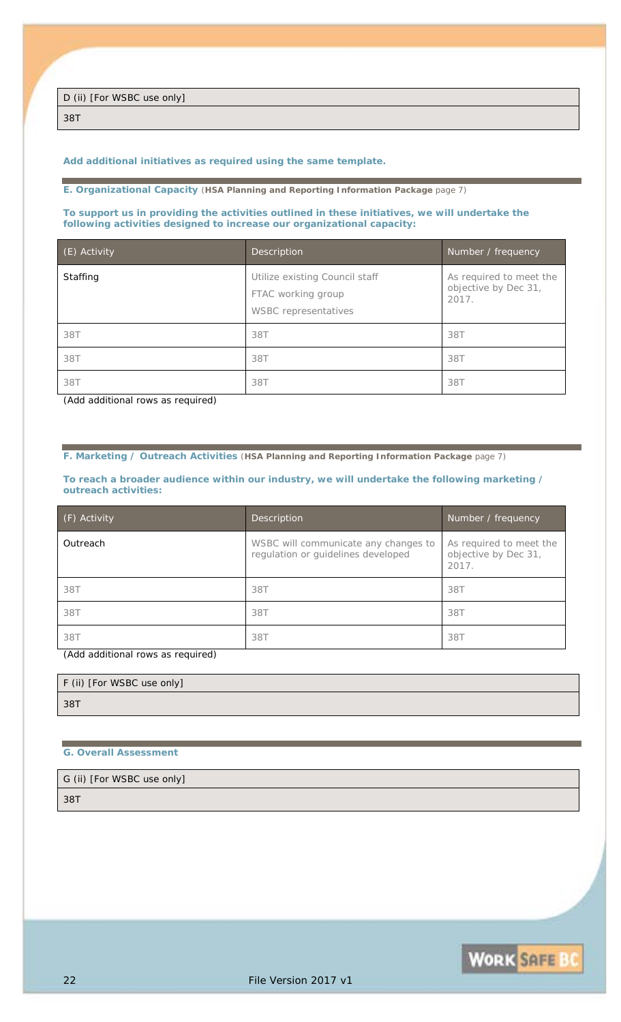*38T*

#### *Add additional initiatives as required using the same template.*

**E. Organizational Capacity** (**HSA Planning and Reporting Information Package** page 7)

**To support us in providing the activities outlined in these initiatives, we will undertake the following activities designed to increase our organizational capacity:**

| (E) Activity | Description                                                                         | Number / frequency                                       |
|--------------|-------------------------------------------------------------------------------------|----------------------------------------------------------|
| Staffing     | Utilize existing Council staff<br>FTAC working group<br><b>WSBC</b> representatives | As required to meet the<br>objective by Dec 31,<br>2017. |
| 38T          | 38T                                                                                 | 38T                                                      |
| 38T          | 38T                                                                                 | 38T                                                      |
| 38T          | 38T                                                                                 | 387                                                      |

*(Add additional rows as required)*

**F. Marketing / Outreach Activities** (**HSA Planning and Reporting Information Package** page 7)

**To reach a broader audience within our industry, we will undertake the following marketing / outreach activities:**

| (F) Activity | <b>Description</b>                                                         | Number / frequency                                      |
|--------------|----------------------------------------------------------------------------|---------------------------------------------------------|
| Outreach     | WSBC will communicate any changes to<br>regulation or guidelines developed | As required to meet the<br>objective by Dec 31,<br>2017 |
| 38T          | 38T                                                                        | 38T                                                     |
| 38T          | 38T                                                                        | 38T                                                     |
| 38T          | 38T                                                                        | 387                                                     |

*(Add additional rows as required)*

| F (ii) [For WSBC use only] |  |
|----------------------------|--|
| 38T                        |  |

#### **G. Overall Assessment**

| G (ii) [For WSBC use only] |  |
|----------------------------|--|
| 38T                        |  |

**WORK SAFE BC**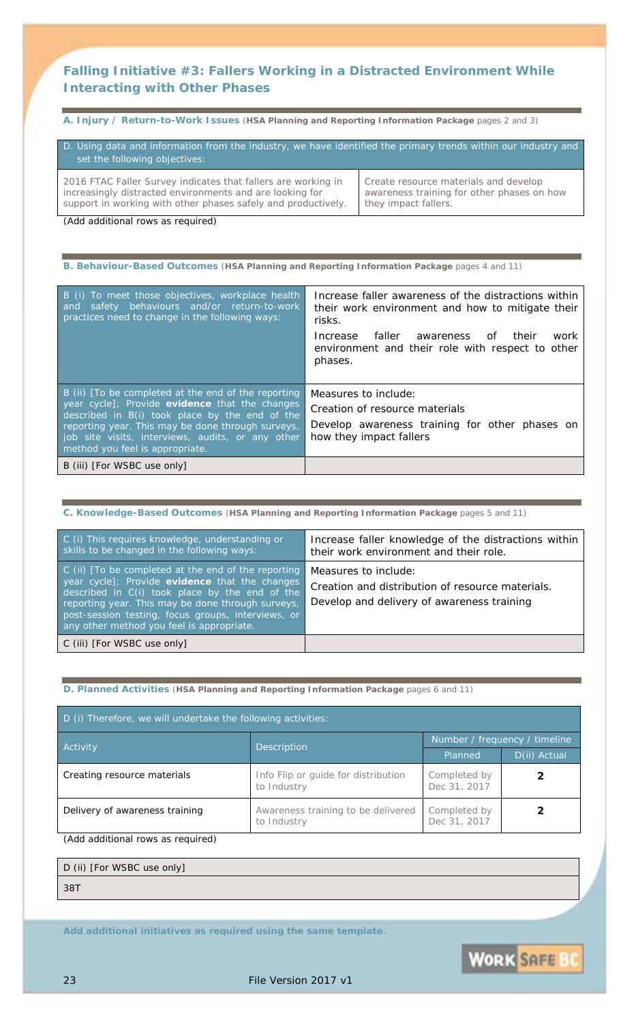### **Falling Initiative #3:** *Fallers Working in a Distracted Environment While Interacting with Other Phases*

**A. Injury / Return-to-Work Issues** (**HSA Planning and Reporting Information Package** pages 2 and 3)

| D. Using data and information from the industry, we have identified the primary trends within our industry and<br>set the following objectives: |                                            |
|-------------------------------------------------------------------------------------------------------------------------------------------------|--------------------------------------------|
| 2016 FTAC Faller Survey indicates that fallers are working in                                                                                   | Create resource materials and develop      |
| increasingly distracted environments and are looking for                                                                                        | awareness training for other phases on how |
| support in working with other phases safely and productively.                                                                                   | they impact fallers.                       |

*(Add additional rows as required)*

| B. Behaviour-Based Outcomes (HSA Planning and Reporting Information Package pages 4 and 11)                                                                                                                                                                                                          |                                                                                                                                                                                                                                          |  |
|------------------------------------------------------------------------------------------------------------------------------------------------------------------------------------------------------------------------------------------------------------------------------------------------------|------------------------------------------------------------------------------------------------------------------------------------------------------------------------------------------------------------------------------------------|--|
| B (i) To meet those objectives, workplace health<br>safety behaviours and/or return-to-work<br>and<br>practices need to change in the following ways:                                                                                                                                                | Increase faller awareness of the distractions within<br>their work environment and how to mitigate their<br>risks.<br>faller awareness<br>their<br>Increase<br>of<br>work<br>environment and their role with respect to other<br>phases. |  |
| B (ii) [To be completed at the end of the reporting<br>year cycle]; Provide evidence that the changes<br>described in B(i) took place by the end of the<br>reporting year. This may be done through surveys,<br>job site visits, interviews, audits, or any other<br>method you feel is appropriate. | Measures to include:<br>Creation of resource materials<br>Develop awareness training for other phases on<br>how they impact fallers                                                                                                      |  |
| B (iii) [For WSBC use only]                                                                                                                                                                                                                                                                          |                                                                                                                                                                                                                                          |  |

### **C. Knowledge-Based Outcomes** (**HSA Planning and Reporting Information Package** pages 5 and 11)

| C (i) This requires knowledge, understanding or<br>skills to be changed in the following ways:                                                                                                                                                                                                                  | Increase faller knowledge of the distractions within<br>their work environment and their role.                         |
|-----------------------------------------------------------------------------------------------------------------------------------------------------------------------------------------------------------------------------------------------------------------------------------------------------------------|------------------------------------------------------------------------------------------------------------------------|
| C (ii) [To be completed at the end of the reporting<br>year cycle]; Provide evidence that the changes<br>described in C(i) took place by the end of the<br>reporting year. This may be done through surveys,<br>post-session testing, focus groups, interviews, or<br>any other method you feel is appropriate. | Measures to include:<br>Creation and distribution of resource materials.<br>Develop and delivery of awareness training |
| C (iii) [For WSBC use only]                                                                                                                                                                                                                                                                                     |                                                                                                                        |

#### **D. Planned Activities** (**HSA Planning and Reporting Information Package** pages 6 and 11)

| D (i) Therefore, we will undertake the following activities:                        |                                                    |                               |              |
|-------------------------------------------------------------------------------------|----------------------------------------------------|-------------------------------|--------------|
| <b>Activity</b>                                                                     | Description                                        | Number / frequency / timeline |              |
|                                                                                     |                                                    | Planned                       | D(ii) Actual |
| Creating resource materials                                                         | Info Flip or guide for distribution<br>to Industry | Completed by<br>Dec 31, 2017  |              |
| Delivery of awareness training<br>Awareness training to be delivered<br>to Industry |                                                    | Completed by<br>Dec 31, 2017  |              |

*(Add additional rows as required)*

D (ii) [For WSBC use only]

*38T*

*Add additional initiatives as required using the same template.*

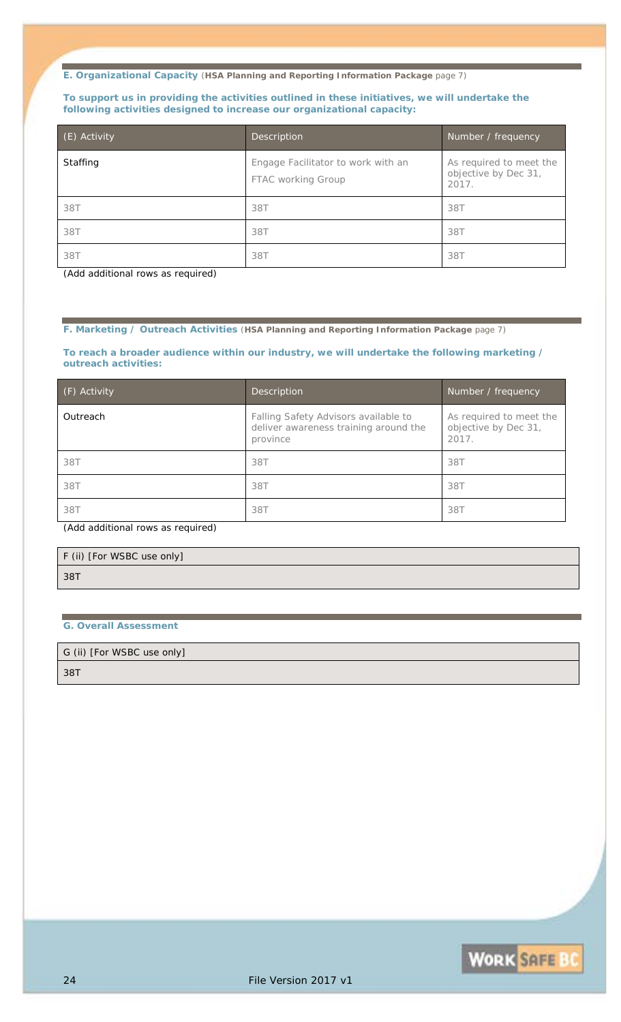#### **To support us in providing the activities outlined in these initiatives, we will undertake the following activities designed to increase our organizational capacity:**

| (E) Activity | Description                                              | Number / frequency                                       |
|--------------|----------------------------------------------------------|----------------------------------------------------------|
| Staffing     | Engage Facilitator to work with an<br>FTAC working Group | As required to meet the<br>objective by Dec 31,<br>2017. |
| 38T          | 38T                                                      | 38T                                                      |
| 38T          | 38T                                                      | 38T                                                      |
| 38T          | 38T                                                      | 387                                                      |

*(Add additional rows as required)*

#### **F. Marketing / Outreach Activities** (**HSA Planning and Reporting Information Package** page 7)

#### **To reach a broader audience within our industry, we will undertake the following marketing / outreach activities:**

| (F) Activity | Description                                                                               | Number / frequency                                       |
|--------------|-------------------------------------------------------------------------------------------|----------------------------------------------------------|
| Outreach     | Falling Safety Advisors available to<br>deliver awareness training around the<br>province | As required to meet the<br>objective by Dec 31,<br>2017. |
| 38T          | 38T                                                                                       | 38T                                                      |
| 38T          | 38T                                                                                       | 38T                                                      |
| 38T          | 38T                                                                                       | 38T                                                      |

*(Add additional rows as required)*

| F (ii) [For WSBC use only] |  |  |
|----------------------------|--|--|
| 38T                        |  |  |

#### **G. Overall Assessment**

G (ii) [For WSBC use only]

*38T*

**WORK SAFE BC**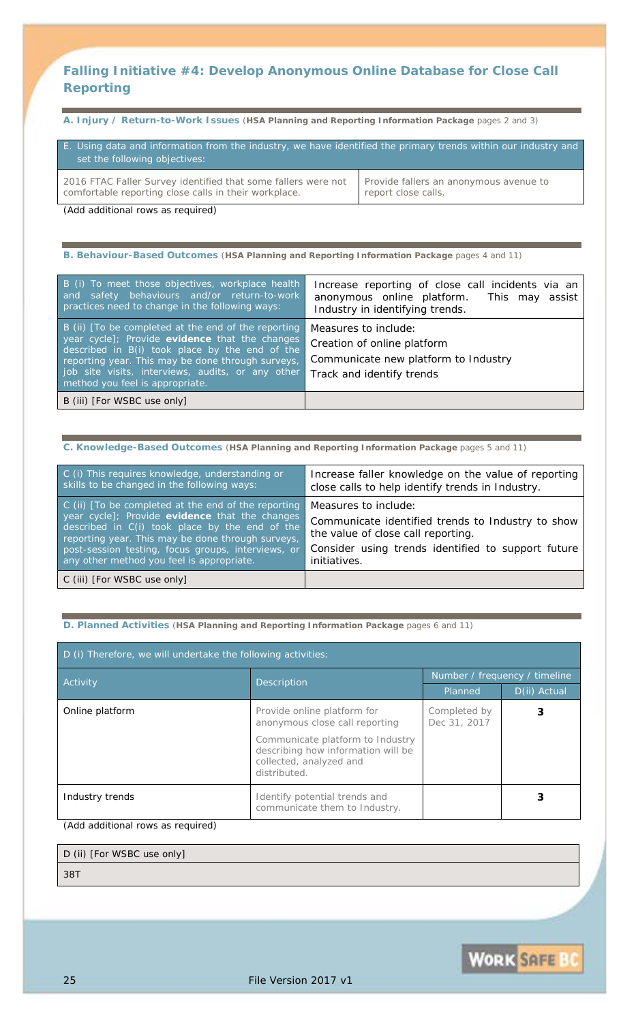### **Falling Initiative #4:** *Develop Anonymous Online Database for Close Call Reporting*

**A. Injury / Return-to-Work Issues** (**HSA Planning and Reporting Information Package** pages 2 and 3)

| E. Using data and information from the industry, we have identified the primary trends within our industry and<br>set the following objectives: |                                        |
|-------------------------------------------------------------------------------------------------------------------------------------------------|----------------------------------------|
| 2016 FTAC Faller Survey identified that some fallers were not                                                                                   | Provide fallers an anonymous avenue to |
| comfortable reporting close calls in their workplace.                                                                                           | report close calls.                    |

*(Add additional rows as required)*

**B. Behaviour-Based Outcomes** (**HSA Planning and Reporting Information Package** pages 4 and 11)

| B (i) To meet those objectives, workplace health<br>and safety behaviours and/or return-to-work<br>practices need to change in the following ways:                                                                                                                                                   | Increase reporting of close call incidents via an<br>anonymous online platform. This may assist<br>Industry in identifying trends. |
|------------------------------------------------------------------------------------------------------------------------------------------------------------------------------------------------------------------------------------------------------------------------------------------------------|------------------------------------------------------------------------------------------------------------------------------------|
| B (ii) [To be completed at the end of the reporting<br>year cycle]; Provide evidence that the changes<br>described in B(i) took place by the end of the<br>reporting year. This may be done through surveys,<br>job site visits, interviews, audits, or any other<br>method you feel is appropriate. | Measures to include:<br>Creation of online platform<br>Communicate new platform to Industry<br>Track and identify trends           |
| B (iii) [For WSBC use only]                                                                                                                                                                                                                                                                          |                                                                                                                                    |

#### **C. Knowledge-Based Outcomes** (**HSA Planning and Reporting Information Package** pages 5 and 11)

| C (i) This requires knowledge, understanding or<br>skills to be changed in the following ways:                                                                                                                                                                                                                  | Increase faller knowledge on the value of reporting<br>close calls to help identify trends in Industry.                                                                                      |
|-----------------------------------------------------------------------------------------------------------------------------------------------------------------------------------------------------------------------------------------------------------------------------------------------------------------|----------------------------------------------------------------------------------------------------------------------------------------------------------------------------------------------|
| C (ii) [To be completed at the end of the reporting<br>year cycle]; Provide evidence that the changes<br>described in C(i) took place by the end of the<br>reporting year. This may be done through surveys,<br>post-session testing, focus groups, interviews, or<br>any other method you feel is appropriate. | Measures to include:<br>Communicate identified trends to Industry to show<br>the value of close call reporting.<br>Consider using trends identified to support future<br><i>initiatives.</i> |
| C (iii) [For WSBC use only]                                                                                                                                                                                                                                                                                     |                                                                                                                                                                                              |

**D. Planned Activities** (**HSA Planning and Reporting Information Package** pages 6 and 11)

| D (i) Therefore, we will undertake the following activities: |                                                                                                                                                                                    |                               |              |
|--------------------------------------------------------------|------------------------------------------------------------------------------------------------------------------------------------------------------------------------------------|-------------------------------|--------------|
| <b>Activity</b>                                              | <b>Description</b>                                                                                                                                                                 | Number / frequency / timeline |              |
|                                                              |                                                                                                                                                                                    | Planned                       | D(ii) Actual |
| Online platform                                              | Provide online platform for<br>anonymous close call reporting<br>Communicate platform to Industry<br>describing how information will be<br>collected, analyzed and<br>distributed. | Completed by<br>Dec 31, 2017  |              |
| Industry trends                                              | Identify potential trends and<br>communicate them to Industry.                                                                                                                     |                               |              |

*(Add additional rows as required)*

#### D (ii) [For WSBC use only]

*38T*

**WORK SAFE BO**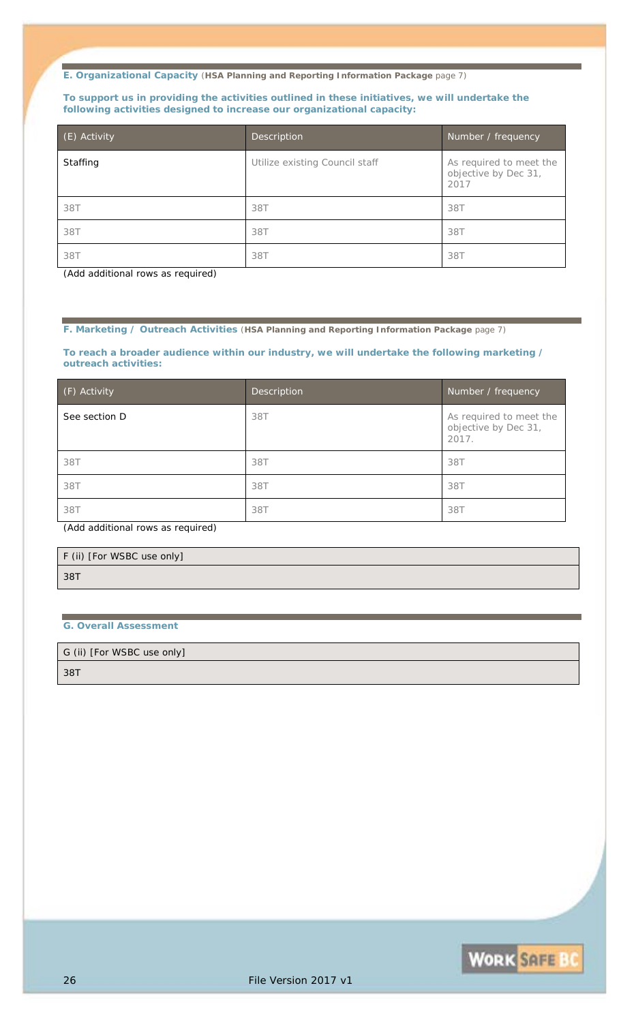#### **To support us in providing the activities outlined in these initiatives, we will undertake the following activities designed to increase our organizational capacity:**

| (E) Activity | <b>Description</b>             | Number / frequency                                      |
|--------------|--------------------------------|---------------------------------------------------------|
| Staffing     | Utilize existing Council staff | As required to meet the<br>objective by Dec 31,<br>2017 |
| 38T          | 38T                            | 38T                                                     |
| 38T          | 38T                            | 38T                                                     |
| 38T          | 38T                            | 387                                                     |

*(Add additional rows as required)*

#### **F. Marketing / Outreach Activities** (**HSA Planning and Reporting Information Package** page 7)

**To reach a broader audience within our industry, we will undertake the following marketing / outreach activities:**

| (F) Activity  | Description | Number / frequency                                       |
|---------------|-------------|----------------------------------------------------------|
| See section D | 38T         | As required to meet the<br>objective by Dec 31,<br>2017. |
| 38T           | 38T         | 38T                                                      |
| 38T           | 38T         | 38T                                                      |
| 38T           | 38T         | 38T                                                      |

*(Add additional rows as required)*

| F (ii) [For WSBC use only] |  |
|----------------------------|--|
| 38T                        |  |

### **G. Overall Assessment**

G (ii) [For WSBC use only]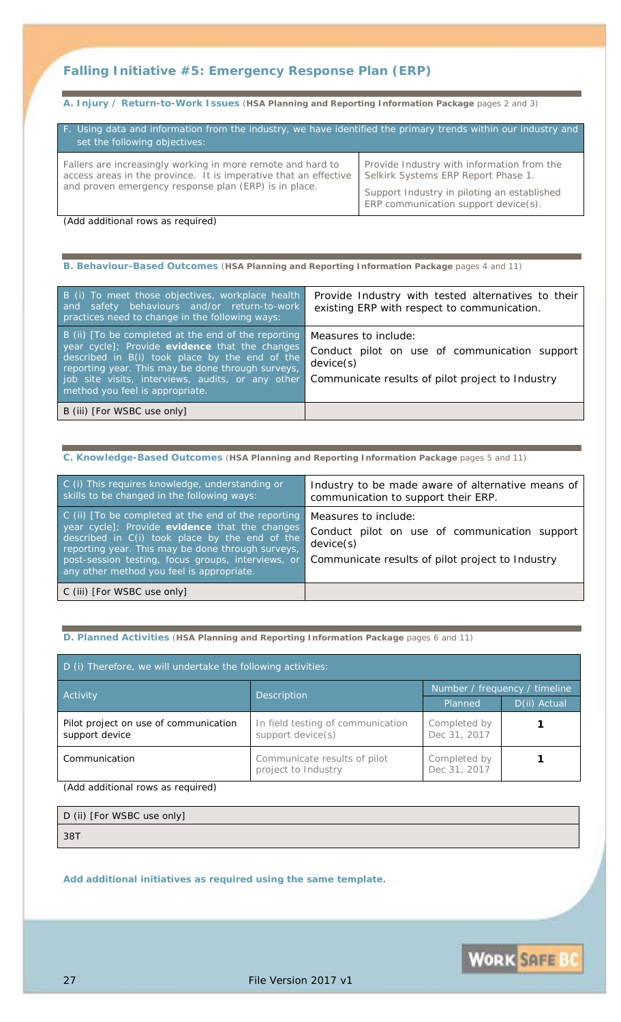### **Falling Initiative #5:** *Emergency Response Plan (ERP)*

**A. Injury / Return-to-Work Issues** (**HSA Planning and Reporting Information Package** pages 2 and 3)

| F. Using data and information from the industry, we have identified the primary trends within our industry and<br>set the following objectives:                                          |                                                                                                                                                                            |  |  |
|------------------------------------------------------------------------------------------------------------------------------------------------------------------------------------------|----------------------------------------------------------------------------------------------------------------------------------------------------------------------------|--|--|
| Fallers are increasingly working in more remote and hard to<br>access areas in the province. It is imperative that an effective<br>and proven emergency response plan (ERP) is in place. | Provide Industry with information from the<br>Selkirk Systems ERP Report Phase 1.<br>Support Industry in piloting an established<br>$ERP$ communication support device(s). |  |  |

*(Add additional rows as required)*

| B. Behaviour-Based Outcomes (HSA Planning and Reporting Information Package pages 4 and 11) |
|---------------------------------------------------------------------------------------------|
|                                                                                             |

| B (i) To meet those objectives, workplace health<br>and safety behaviours and/or return-to-work<br>practices need to change in the following ways:                                                                                                                                                   | Provide Industry with tested alternatives to their<br>existing ERP with respect to communication.                                      |
|------------------------------------------------------------------------------------------------------------------------------------------------------------------------------------------------------------------------------------------------------------------------------------------------------|----------------------------------------------------------------------------------------------------------------------------------------|
| B (ii) [To be completed at the end of the reporting<br>year cycle]; Provide evidence that the changes<br>described in B(i) took place by the end of the<br>reporting year. This may be done through surveys,<br>job site visits, interviews, audits, or any other<br>method you feel is appropriate. | Measures to include:<br>Conduct pilot on use of communication support<br>device(s)<br>Communicate results of pilot project to Industry |
| B (iii) [For WSBC use only]                                                                                                                                                                                                                                                                          |                                                                                                                                        |

#### **C. Knowledge-Based Outcomes** (**HSA Planning and Reporting Information Package** pages 5 and 11)

| C (i) This requires knowledge, understanding or<br>skills to be changed in the following ways:                                                                                                                                                                                                                         | Industry to be made aware of alternative means of<br>communication to support their ERP.                                               |
|------------------------------------------------------------------------------------------------------------------------------------------------------------------------------------------------------------------------------------------------------------------------------------------------------------------------|----------------------------------------------------------------------------------------------------------------------------------------|
| $\mid$ C (ii) [To be completed at the end of the reporting<br>year cycle]; Provide evidence that the changes<br>described in C(i) took place by the end of the<br>reporting year. This may be done through surveys,<br>post-session testing, focus groups, interviews, or<br>any other method you feel is appropriate. | Measures to include:<br>Conduct pilot on use of communication support<br>device(s)<br>Communicate results of pilot project to Industry |
| C (iii) [For WSBC use only]                                                                                                                                                                                                                                                                                            |                                                                                                                                        |

#### **D. Planned Activities** (**HSA Planning and Reporting Information Package** pages 6 and 11)

| D (i) Therefore, we will undertake the following activities: |                                                        |                               |              |
|--------------------------------------------------------------|--------------------------------------------------------|-------------------------------|--------------|
| Activity                                                     | Description                                            | Number / frequency / timeline |              |
|                                                              |                                                        | Planned                       | D(ii) Actual |
| Pilot project on use of communication<br>support device      | In field testing of communication<br>support device(s) | Completed by<br>Dec 31, 2017  |              |
| Communication                                                | Communicate results of pilot<br>project to Industry    | Completed by<br>Dec 31, 2017  |              |

*(Add additional rows as required)*

| D (ii) [For WSBC use only] |  |  |
|----------------------------|--|--|
| 38T                        |  |  |

*Add additional initiatives as required using the same template.*

**WORK SAFE BO**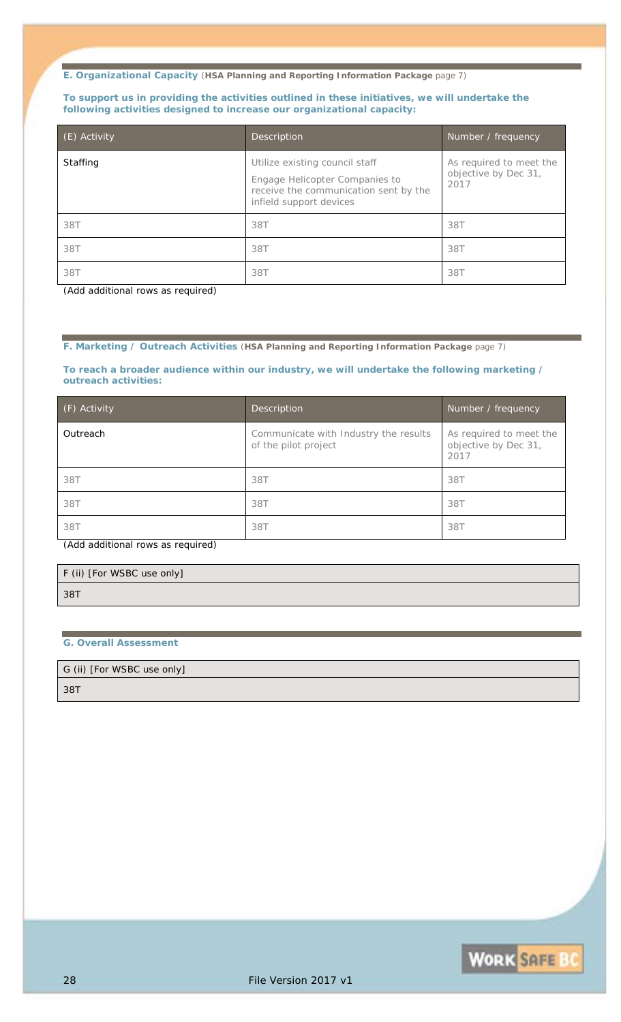#### **To support us in providing the activities outlined in these initiatives, we will undertake the following activities designed to increase our organizational capacity:**

| (E) Activity | Description                                                                                                                          | Number / frequency                                      |
|--------------|--------------------------------------------------------------------------------------------------------------------------------------|---------------------------------------------------------|
| Staffing     | Utilize existing council staff<br>Engage Helicopter Companies to<br>receive the communication sent by the<br>infield support devices | As required to meet the<br>objective by Dec 31,<br>2017 |
| 38T          | 38T                                                                                                                                  | 38T                                                     |
| 38T          | 38T                                                                                                                                  | 38T                                                     |
| 38T          | 38T                                                                                                                                  | 38T                                                     |

*(Add additional rows as required)*

#### **F. Marketing / Outreach Activities** (**HSA Planning and Reporting Information Package** page 7)

**To reach a broader audience within our industry, we will undertake the following marketing / outreach activities:**

| (F) Activity | Description                                                   | Number / frequency                                      |
|--------------|---------------------------------------------------------------|---------------------------------------------------------|
| Outreach     | Communicate with Industry the results<br>of the pilot project | As required to meet the<br>objective by Dec 31,<br>2017 |
| 38T          | 38T                                                           | 38T                                                     |
| 38T          | 38T                                                           | 38T                                                     |
| 38T          | 38T                                                           | 38T                                                     |

*(Add additional rows as required)*

|     | F (ii) [For WSBC use only] |  |
|-----|----------------------------|--|
| 38T |                            |  |

#### **G. Overall Assessment**

#### G (ii) [For WSBC use only]

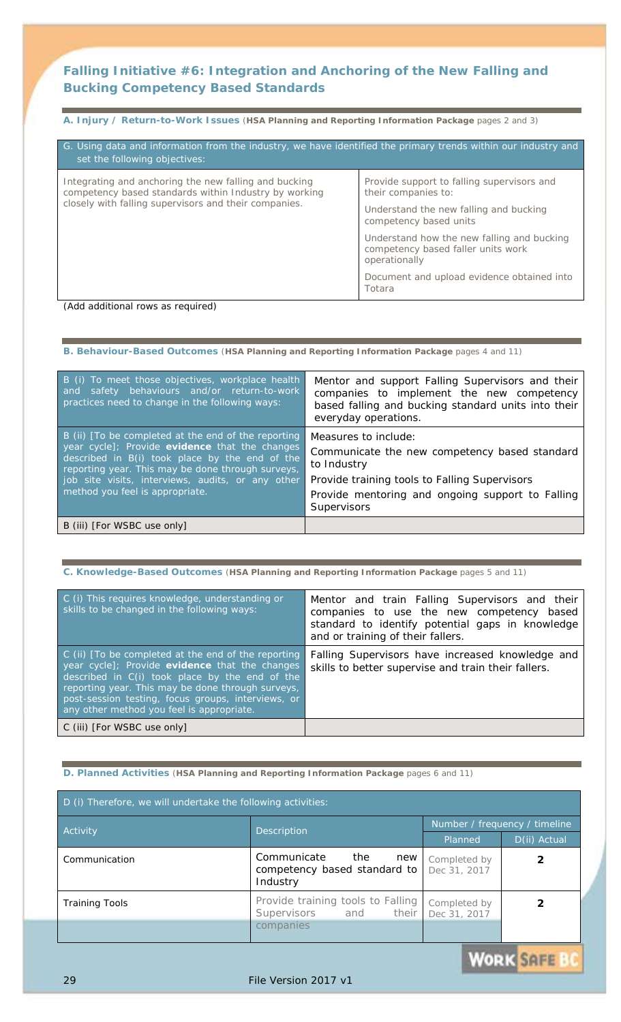### **Falling Initiative #6:** *Integration and Anchoring of the New Falling and Bucking Competency Based Standards*

| A. Injury / Return-to-Work Issues (HSA Planning and Reporting Information Package pages 2 and 3)                                                |                                                                                                   |  |  |  |
|-------------------------------------------------------------------------------------------------------------------------------------------------|---------------------------------------------------------------------------------------------------|--|--|--|
| G. Using data and information from the industry, we have identified the primary trends within our industry and<br>set the following objectives: |                                                                                                   |  |  |  |
| Integrating and anchoring the new falling and bucking<br>competency based standards within Industry by working                                  | Provide support to falling supervisors and<br>their companies to:                                 |  |  |  |
| closely with falling supervisors and their companies.                                                                                           | Understand the new falling and bucking<br>competency based units                                  |  |  |  |
|                                                                                                                                                 | Understand how the new falling and bucking<br>competency based faller units work<br>operationally |  |  |  |
|                                                                                                                                                 | Document and upload evidence obtained into<br>Totara                                              |  |  |  |

*(Add additional rows as required)*

| B. Behaviour-Based Outcomes (HSA Planning and Reporting Information Package pages 4 and 11) |                                                     |  |  |  |
|---------------------------------------------------------------------------------------------|-----------------------------------------------------|--|--|--|
| B (i) To meet those objectives, workplace health                                            | Mentor and support Falling Supervisors and their    |  |  |  |
| safety behaviours and/or return-to-work                                                     | companies to implement the new competency           |  |  |  |
| and                                                                                         | based falling and bucking standard units into their |  |  |  |
| practices need to change in the following ways:                                             | everyday operations.                                |  |  |  |
| B (ii) [To be completed at the end of the reporting                                         | Measures to include:                                |  |  |  |
| year cycle]; Provide evidence that the changes                                              | Communicate the new competency based standard       |  |  |  |
| described in B(i) took place by the end of the                                              | to Industry                                         |  |  |  |
| reporting year. This may be done through surveys,                                           | Provide training tools to Falling Supervisors       |  |  |  |
| job site visits, interviews, audits, or any other                                           | Provide mentoring and ongoing support to Falling    |  |  |  |
| method you feel is appropriate.                                                             | <b>Supervisors</b>                                  |  |  |  |
| B (iii) [For WSBC use only]                                                                 |                                                     |  |  |  |

## **C. Knowledge-Based Outcomes** (**HSA Planning and Reporting Information Package** pages 5 and 11)

| C (i) This requires knowledge, understanding or<br>skills to be changed in the following ways:                                                                                                                                                                                                                  | Mentor and train Falling Supervisors and their<br>companies to use the new competency based<br>standard to identify potential gaps in knowledge<br>and or training of their fallers. |
|-----------------------------------------------------------------------------------------------------------------------------------------------------------------------------------------------------------------------------------------------------------------------------------------------------------------|--------------------------------------------------------------------------------------------------------------------------------------------------------------------------------------|
| C (ii) [To be completed at the end of the reporting<br>year cycle]; Provide evidence that the changes<br>described in C(i) took place by the end of the<br>reporting year. This may be done through surveys,<br>post-session testing, focus groups, interviews, or<br>any other method you feel is appropriate. | Falling Supervisors have increased knowledge and<br>skills to better supervise and train their fallers.                                                                              |
| C (iii) [For WSBC use only]                                                                                                                                                                                                                                                                                     |                                                                                                                                                                                      |

#### **D. Planned Activities** (**HSA Planning and Reporting Information Package** pages 6 and 11)

| D (i) Therefore, we will undertake the following activities: |                                                                       |                              |                               |
|--------------------------------------------------------------|-----------------------------------------------------------------------|------------------------------|-------------------------------|
| Activity                                                     |                                                                       |                              | Number / frequency / timeline |
|                                                              | Description                                                           | Planned                      | D(ii) Actual                  |
| Communication                                                | Communicate<br>the<br>new<br>competency based standard to<br>Industry | Completed by<br>Dec 31, 2017 |                               |
| <b>Training Tools</b>                                        | Provide training tools to Falling<br>Supervisors and their            | Completed by<br>Dec 31, 2017 |                               |
|                                                              | companies                                                             |                              |                               |

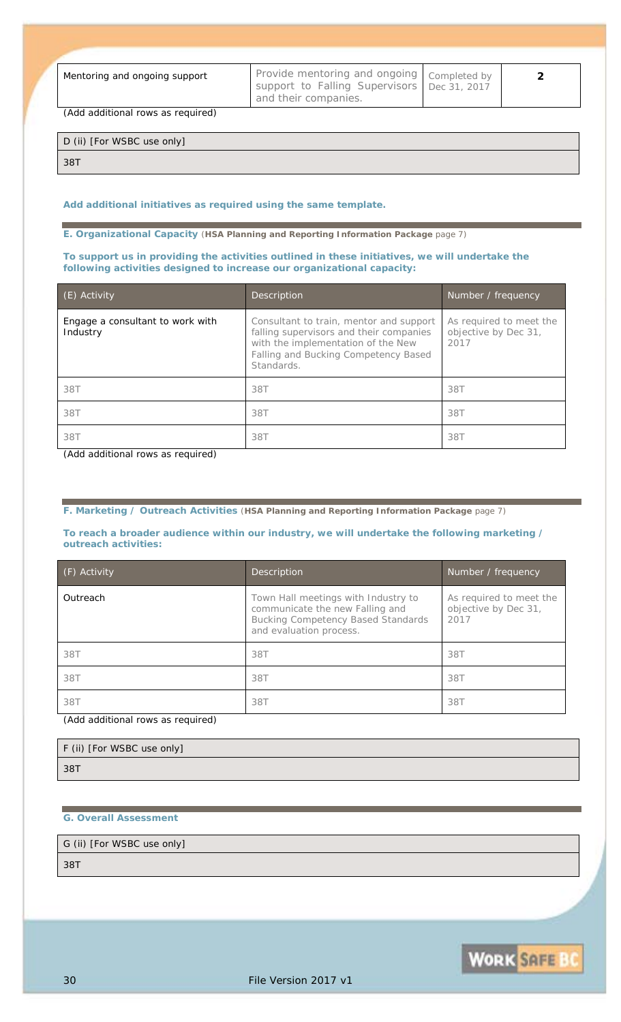*Mentoring and ongoing support Provide mentoring and ongoing support to Falling Supervisors and their companies.*

*2*

**WORK SAFE BO** 

*(Add additional rows as required)*

D (ii) [For WSBC use only]

*38T*

#### *Add additional initiatives as required using the same template.*

**E. Organizational Capacity** (**HSA Planning and Reporting Information Package** page 7)

#### **To support us in providing the activities outlined in these initiatives, we will undertake the following activities designed to increase our organizational capacity:**

| $(E)$ Activity                               | Description                                                                                                                                                                    | Number / frequency                                      |
|----------------------------------------------|--------------------------------------------------------------------------------------------------------------------------------------------------------------------------------|---------------------------------------------------------|
| Engage a consultant to work with<br>Industry | Consultant to train, mentor and support<br>falling supervisors and their companies<br>with the implementation of the New<br>Falling and Bucking Competency Based<br>Standards. | As required to meet the<br>objective by Dec 31,<br>2017 |
| 38T                                          | 38T                                                                                                                                                                            | 38T                                                     |
| 38T                                          | 38T                                                                                                                                                                            | 38T                                                     |
| 38T                                          | 38T                                                                                                                                                                            | 38T                                                     |

*(Add additional rows as required)*

**F. Marketing / Outreach Activities** (**HSA Planning and Reporting Information Package** page 7)

#### **To reach a broader audience within our industry, we will undertake the following marketing / outreach activities:**

| (F) Activity | Description                                                                                                                                    | Number / frequency                                      |
|--------------|------------------------------------------------------------------------------------------------------------------------------------------------|---------------------------------------------------------|
| Outreach     | Town Hall meetings with Industry to<br>communicate the new Falling and<br><b>Bucking Competency Based Standards</b><br>and evaluation process. | As required to meet the<br>objective by Dec 31,<br>2017 |
| 38T          | 38T                                                                                                                                            | 38T                                                     |
| 38T          | 38T                                                                                                                                            | 38T                                                     |
| 38T          | 38T                                                                                                                                            | 38T                                                     |

*(Add additional rows as required)*

| F (ii) [For WSBC use only] |  |
|----------------------------|--|
| 38T                        |  |

#### **G. Overall Assessment**

G (ii) [For WSBC use only]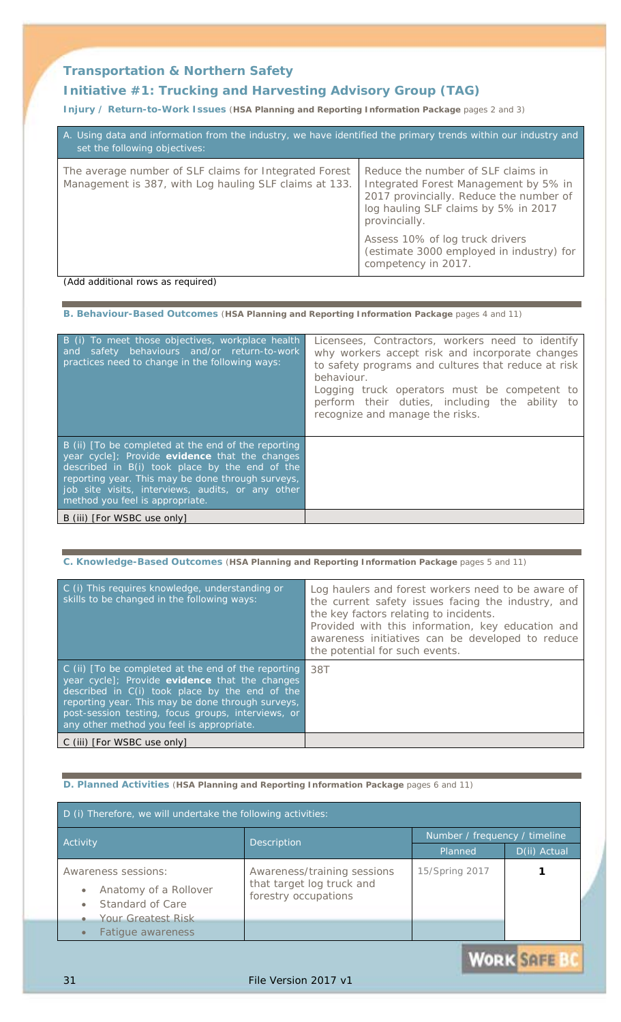### **Transportation & Northern Safety**

## **Initiative #1:** *Trucking and Harvesting Advisory Group (TAG)*

**Injury / Return-to-Work Issues** (**HSA Planning and Reporting Information Package** pages 2 and 3)

| A. Using data and information from the industry, we have identified the primary trends within our industry and<br>set the following objectives: |                                                                                                                                                                                 |
|-------------------------------------------------------------------------------------------------------------------------------------------------|---------------------------------------------------------------------------------------------------------------------------------------------------------------------------------|
| The average number of SLF claims for Integrated Forest<br>Management is 387, with Log hauling SLF claims at 133.                                | Reduce the number of SLF claims in<br>Integrated Forest Management by 5% in<br>2017 provincially. Reduce the number of<br>log hauling SLF claims by 5% in 2017<br>provincially. |
|                                                                                                                                                 | Assess 10% of log truck drivers<br>(estimate 3000 employed in industry) for<br>competency in 2017.                                                                              |
| (Add additional rows as required)                                                                                                               |                                                                                                                                                                                 |

**B. Behaviour-Based Outcomes** (**HSA Planning and Reporting Information Package** pages 4 and 11)

| B (i) To meet those objectives, workplace health<br>safety behaviours and/or return-to-work<br>and<br>practices need to change in the following ways:                                                                                                                                                | Licensees, Contractors, workers need to identify<br>why workers accept risk and incorporate changes<br>to safety programs and cultures that reduce at risk<br>behaviour.<br>Logging truck operators must be competent to<br>perform their duties, including the ability to<br>recognize and manage the risks. |
|------------------------------------------------------------------------------------------------------------------------------------------------------------------------------------------------------------------------------------------------------------------------------------------------------|---------------------------------------------------------------------------------------------------------------------------------------------------------------------------------------------------------------------------------------------------------------------------------------------------------------|
| B (ii) [To be completed at the end of the reporting<br>year cycle]; Provide evidence that the changes<br>described in B(i) took place by the end of the<br>reporting year. This may be done through surveys,<br>job site visits, interviews, audits, or any other<br>method you feel is appropriate. |                                                                                                                                                                                                                                                                                                               |
| B (iii) [For WSBC use only]                                                                                                                                                                                                                                                                          |                                                                                                                                                                                                                                                                                                               |

#### **C. Knowledge-Based Outcomes** (**HSA Planning and Reporting Information Package** pages 5 and 11)

| C (i) This requires knowledge, understanding or<br>skills to be changed in the following ways:                                                                                                                                                                                                                  | Log haulers and forest workers need to be aware of<br>the current safety issues facing the industry, and<br>the key factors relating to incidents.<br>Provided with this information, key education and<br>awareness initiatives can be developed to reduce |
|-----------------------------------------------------------------------------------------------------------------------------------------------------------------------------------------------------------------------------------------------------------------------------------------------------------------|-------------------------------------------------------------------------------------------------------------------------------------------------------------------------------------------------------------------------------------------------------------|
|                                                                                                                                                                                                                                                                                                                 | the potential for such events.                                                                                                                                                                                                                              |
| C (ii) [To be completed at the end of the reporting<br>year cycle]; Provide evidence that the changes<br>described in C(i) took place by the end of the<br>reporting year. This may be done through surveys,<br>post-session testing, focus groups, interviews, or<br>any other method you feel is appropriate. | 38T                                                                                                                                                                                                                                                         |
| C (iii) [ <i>For WSBC use only</i> ]                                                                                                                                                                                                                                                                            |                                                                                                                                                                                                                                                             |

**D. Planned Activities** (**HSA Planning and Reporting Information Package** pages 6 and 11)

| D (i) Therefore, we will undertake the following activities:                                                                                                                  |                                                                                  |                               |              |
|-------------------------------------------------------------------------------------------------------------------------------------------------------------------------------|----------------------------------------------------------------------------------|-------------------------------|--------------|
|                                                                                                                                                                               | Description<br>Activity                                                          | Number / frequency / timeline |              |
|                                                                                                                                                                               |                                                                                  | Planned                       | D(ii) Actual |
| Awareness sessions:<br>Anatomy of a Rollover<br>$\bullet$<br>Standard of Care<br>$\bullet$<br><b>Your Greatest Risk</b><br>$\bullet$<br><b>Fatigue awareness</b><br>$\bullet$ | Awareness/training sessions<br>that target log truck and<br>forestry occupations | 15/Spring 2017                |              |

**WORK SAFE**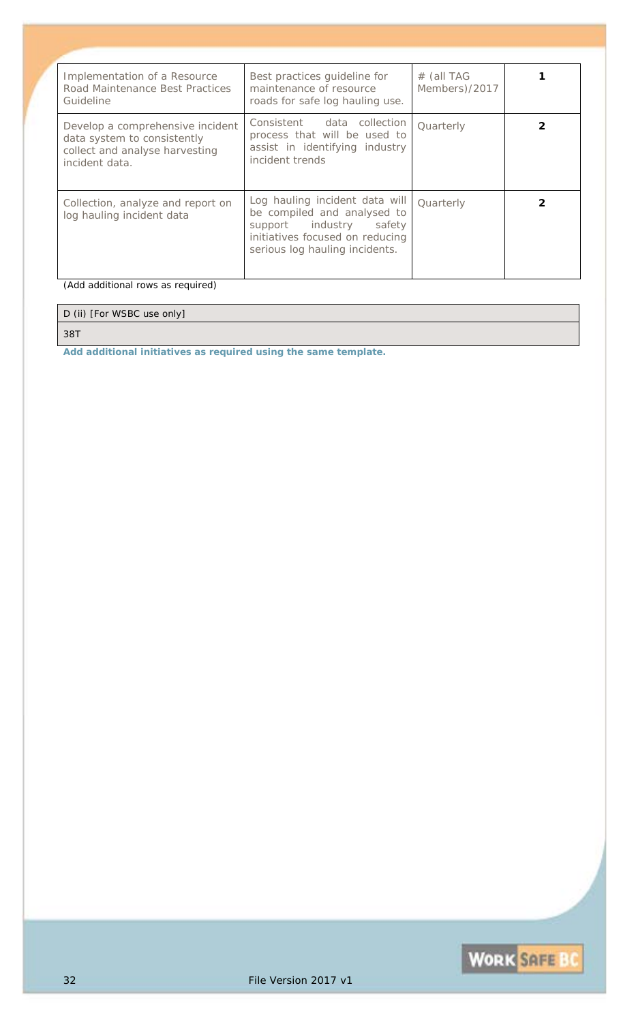| Implementation of a Resource<br>Road Maintenance Best Practices<br>Guideline                                        | Best practices guideline for<br>maintenance of resource<br>roads for safe log hauling use.                                                                    | $#$ (all TAG<br>Members)/2017 |  |
|---------------------------------------------------------------------------------------------------------------------|---------------------------------------------------------------------------------------------------------------------------------------------------------------|-------------------------------|--|
| Develop a comprehensive incident<br>data system to consistently<br>collect and analyse harvesting<br>incident data. | Consistent data collection<br>process that will be used to<br>assist in identifying industry<br><i>incident trends</i>                                        | Quarterly                     |  |
| Collection, analyze and report on<br>log hauling incident data                                                      | Log hauling incident data will<br>be compiled and analysed to<br>support industry safety<br>initiatives focused on reducing<br>serious log hauling incidents. | Quarterly                     |  |

*(Add additional rows as required)*

### D (ii) [For WSBC use only]

*38T*

*Add additional initiatives as required using the same template.*

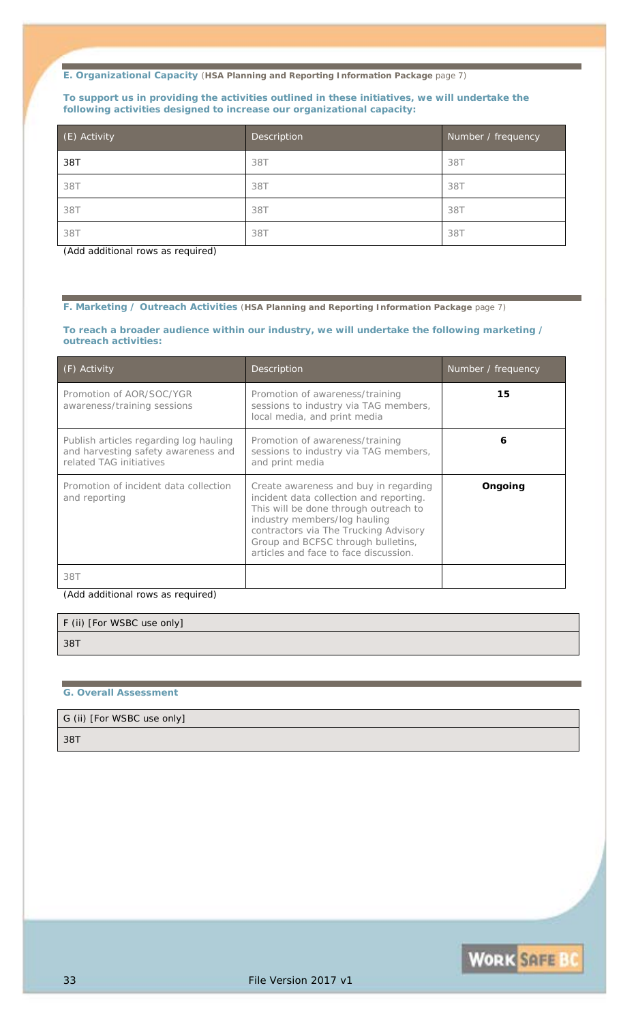#### **To support us in providing the activities outlined in these initiatives, we will undertake the following activities designed to increase our organizational capacity:**

| (E) Activity | Description | Number / frequency |
|--------------|-------------|--------------------|
| 38T          | 38T         | 38T                |
| 38T          | 38T         | 38T                |
| 38T          | 38T         | 38T                |
| 38T          | 38T         | 38T                |

*(Add additional rows as required)*

**F. Marketing / Outreach Activities** (**HSA Planning and Reporting Information Package** page 7)

#### **To reach a broader audience within our industry, we will undertake the following marketing / outreach activities:**

| (F) Activity                                                                                             | Description                                                                                                                                                                                                                                                                       | Number / frequency |
|----------------------------------------------------------------------------------------------------------|-----------------------------------------------------------------------------------------------------------------------------------------------------------------------------------------------------------------------------------------------------------------------------------|--------------------|
| Promotion of AOR/SOC/YGR<br>awareness/training sessions                                                  | Promotion of awareness/training<br>sessions to industry via TAG members,<br>local media, and print media                                                                                                                                                                          | 15                 |
| Publish articles regarding log hauling<br>and harvesting safety awareness and<br>related TAG initiatives | Promotion of awareness/training<br>sessions to industry via TAG members,<br>and print media                                                                                                                                                                                       | 6                  |
| Promotion of incident data collection<br>and reporting                                                   | Create awareness and buy in regarding<br>incident data collection and reporting.<br>This will be done through outreach to<br>industry members/log hauling<br>contractors via The Trucking Advisory<br>Group and BCFSC through bulletins,<br>articles and face to face discussion. | <b>Ongoing</b>     |
| 38T                                                                                                      |                                                                                                                                                                                                                                                                                   |                    |

*(Add additional rows as required)*

| F (ii) [For WSBC use only] |  |
|----------------------------|--|
| 38T                        |  |

#### **G. Overall Assessment**

#### G (ii) [For WSBC use only]

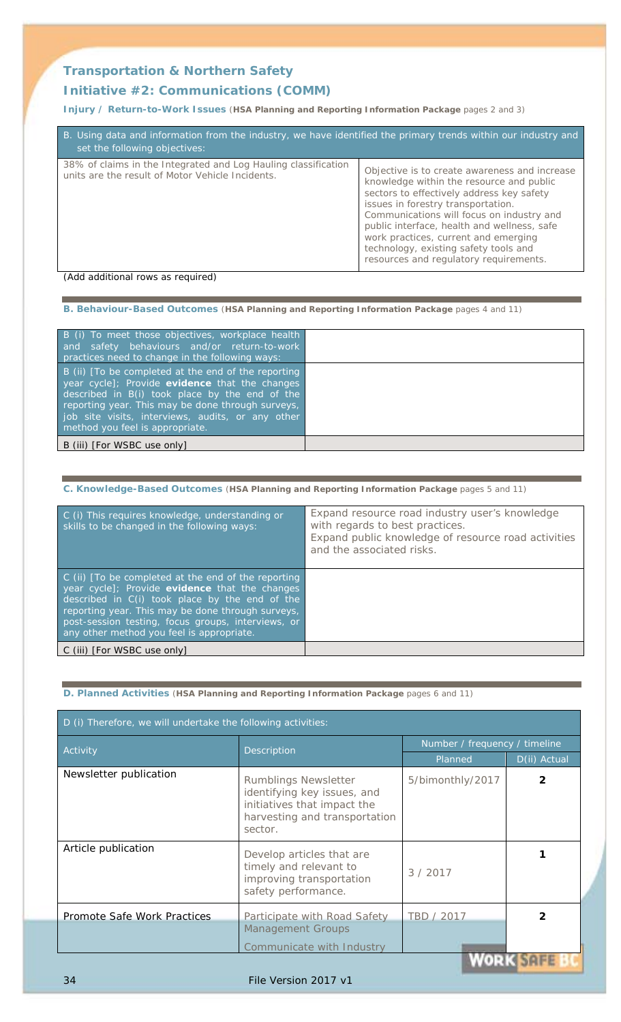### **Transportation & Northern Safety**

### **Initiative #2:** *Communications (COMM)*

**Injury / Return-to-Work Issues** (**HSA Planning and Reporting Information Package** pages 2 and 3)

| 38% of claims in the Integrated and Log Hauling classification<br>units are the result of Motor Vehicle Incidents. | Objective is to create awareness and increase<br>knowledge within the resource and public<br>sectors to effectively address key safety<br>issues in forestry transportation.<br>Communications will focus on industry and<br>public interface, health and wellness, safe<br>work practices, current and emerging<br>technology, existing safety tools and<br>resources and regulatory requirements. |
|--------------------------------------------------------------------------------------------------------------------|-----------------------------------------------------------------------------------------------------------------------------------------------------------------------------------------------------------------------------------------------------------------------------------------------------------------------------------------------------------------------------------------------------|

*(Add additional rows as required)*

**B. Behaviour-Based Outcomes** (**HSA Planning and Reporting Information Package** pages 4 and 11)

| B (i) To meet those objectives, workplace health<br>and safety behaviours and/or return-to-work<br>practices need to change in the following ways:                                                                                                                                                  |  |
|-----------------------------------------------------------------------------------------------------------------------------------------------------------------------------------------------------------------------------------------------------------------------------------------------------|--|
| B (ii) To be completed at the end of the reporting<br>year cycle]; Provide evidence that the changes<br>described in B(i) took place by the end of the<br>reporting year. This may be done through surveys,<br>job site visits, interviews, audits, or any other<br>method you feel is appropriate. |  |
| B (iii) [For WSBC use only]                                                                                                                                                                                                                                                                         |  |

#### **C. Knowledge-Based Outcomes** (**HSA Planning and Reporting Information Package** pages 5 and 11)

| C (i) This requires knowledge, understanding or<br>skills to be changed in the following ways:                                                                                                                                                                                                                  | Expand resource road industry user's knowledge<br>with regards to best practices.<br>Expand public knowledge of resource road activities<br>and the associated risks. |
|-----------------------------------------------------------------------------------------------------------------------------------------------------------------------------------------------------------------------------------------------------------------------------------------------------------------|-----------------------------------------------------------------------------------------------------------------------------------------------------------------------|
| C (ii) [To be completed at the end of the reporting<br>year cycle]; Provide evidence that the changes<br>described in C(i) took place by the end of the<br>reporting year. This may be done through surveys,<br>post-session testing, focus groups, interviews, or<br>any other method you feel is appropriate. |                                                                                                                                                                       |
| C (iii) [ <i>For WSBC use only</i> ]                                                                                                                                                                                                                                                                            |                                                                                                                                                                       |

**D. Planned Activities** (**HSA Planning and Reporting Information Package** pages 6 and 11)

| D (i) Therefore, we will undertake the following activities: |                                                                                                                                |                               |                 |  |
|--------------------------------------------------------------|--------------------------------------------------------------------------------------------------------------------------------|-------------------------------|-----------------|--|
| Activity                                                     |                                                                                                                                | Number / frequency / timeline |                 |  |
|                                                              | Description                                                                                                                    | Planned                       | D(ii) Actual    |  |
| Newsletter publication                                       | Rumblings Newsletter<br>identifying key issues, and<br>initiatives that impact the<br>harvesting and transportation<br>sector. | 5/bimonthly/2017              | 2               |  |
| Article publication                                          | Develop articles that are<br>timely and relevant to<br>improving transportation<br>safety performance.                         | 3/2017                        |                 |  |
| Promote Safe Work Practices                                  | Participate with Road Safety<br><b>Management Groups</b>                                                                       | TBD / 2017                    |                 |  |
|                                                              | Communicate with Industry                                                                                                      |                               | <b>ANY CARE</b> |  |

#### 34 File Version 2017 v1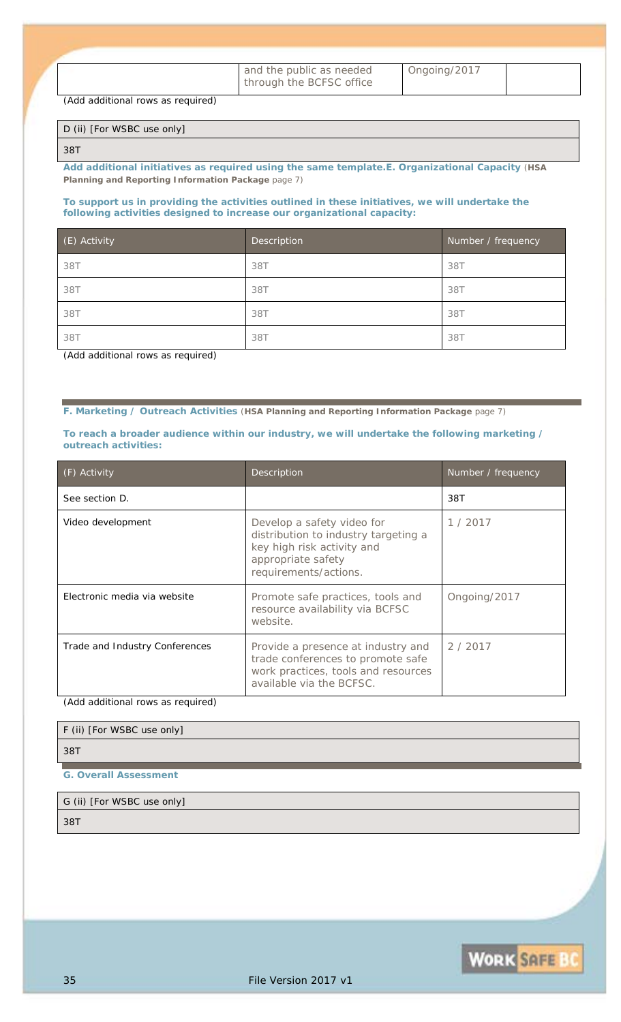| and the public as needed |
|--------------------------|
| through the BCFSC office |

*Ongoing/2017*

*(Add additional rows as required)*

#### D (ii) [For WSBC use only]

#### *38T*

*Add additional initiatives as required using the same template.***E. Organizational Capacity** (**HSA Planning and Reporting Information Package** page 7)

#### **To support us in providing the activities outlined in these initiatives, we will undertake the following activities designed to increase our organizational capacity:**

| (E) Activity | Description | Number / frequency |
|--------------|-------------|--------------------|
| 38T          | 38T         | 38T                |
| 38T          | 38T         | 38T                |
| 38T          | 38T         | 38T                |
| 38T          | 38T         | 38T                |

*(Add additional rows as required)*

**F. Marketing / Outreach Activities** (**HSA Planning and Reporting Information Package** page 7)

**To reach a broader audience within our industry, we will undertake the following marketing / outreach activities:**

| (F) Activity                   | Description                                                                                                                                     | Number / frequency |
|--------------------------------|-------------------------------------------------------------------------------------------------------------------------------------------------|--------------------|
| See section D.                 |                                                                                                                                                 | 38T                |
| Video development              | Develop a safety video for<br>distribution to industry targeting a<br>key high risk activity and<br>appropriate safety<br>requirements/actions. | 1/2017             |
| Electronic media via website   | Promote safe practices, tools and<br>resource availability via BCFSC<br>website.                                                                | Ongoing/2017       |
| Trade and Industry Conferences | Provide a presence at industry and<br>trade conferences to promote safe<br>work practices, tools and resources<br>available via the BCFSC.      | 2/2017             |

*(Add additional rows as required)*

| F (ii) [For WSBC use only] |  |  |
|----------------------------|--|--|
| 38T                        |  |  |
|                            |  |  |

**G. Overall Assessment**

## G (ii) [For WSBC use only]

*38T*

**WORK SAFE BC**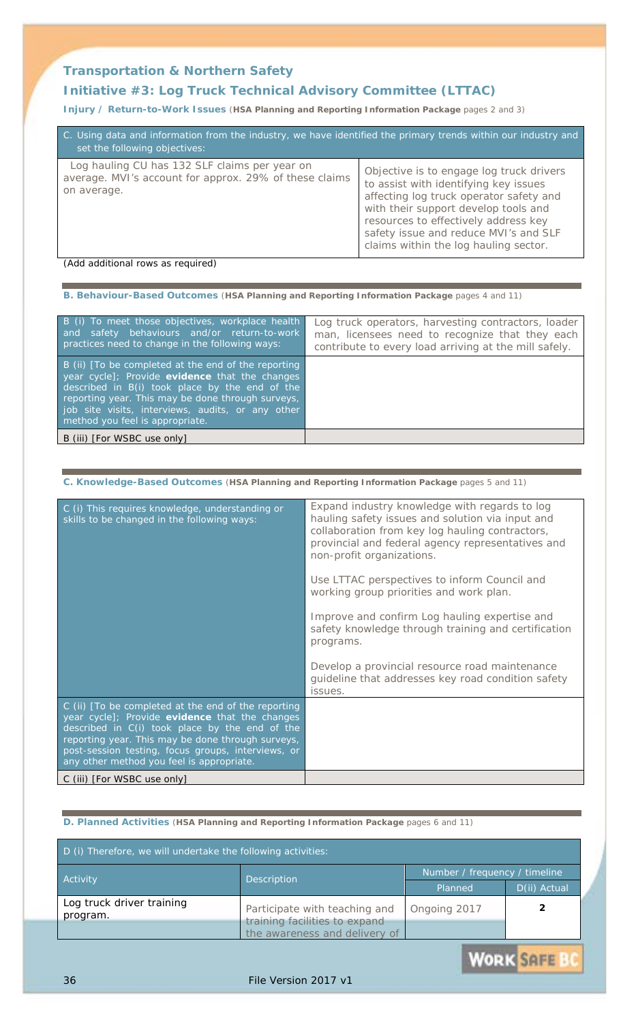### **Transportation & Northern Safety**

### **Initiative #3:** *Log Truck Technical Advisory Committee (LTTAC)*

**Injury / Return-to-Work Issues** (**HSA Planning and Reporting Information Package** pages 2 and 3)

| C. Using data and information from the industry, we have identified the primary trends within our industry and<br>set the following objectives: |                                                                                                                                                                                                                                                                                                |  |  |
|-------------------------------------------------------------------------------------------------------------------------------------------------|------------------------------------------------------------------------------------------------------------------------------------------------------------------------------------------------------------------------------------------------------------------------------------------------|--|--|
| Log hauling CU has 132 SLF claims per year on<br>average. MVI's account for approx. 29% of these claims<br>on average.                          | Objective is to engage log truck drivers<br>to assist with identifying key issues<br>affecting log truck operator safety and<br>with their support develop tools and<br>resources to effectively address key<br>safety issue and reduce MVI's and SLF<br>claims within the log hauling sector. |  |  |

#### *(Add additional rows as required)*

**B. Behaviour-Based Outcomes** (**HSA Planning and Reporting Information Package** pages 4 and 11)

| B (i) To meet those objectives, workplace health<br>and safety behaviours and/or return-to-work<br>practices need to change in the following ways:                                                                                                                                                   | Log truck operators, harvesting contractors, loader<br>man, licensees need to recognize that they each<br>contribute to every load arriving at the mill safely. |
|------------------------------------------------------------------------------------------------------------------------------------------------------------------------------------------------------------------------------------------------------------------------------------------------------|-----------------------------------------------------------------------------------------------------------------------------------------------------------------|
| B (ii) [To be completed at the end of the reporting<br>year cycle]; Provide evidence that the changes<br>described in B(i) took place by the end of the<br>reporting year. This may be done through surveys,<br>job site visits, interviews, audits, or any other<br>method you feel is appropriate. |                                                                                                                                                                 |
| B (iii) [For WSBC use only]                                                                                                                                                                                                                                                                          |                                                                                                                                                                 |

| C. Knowledge-Based Outcomes (HSA Planning and Reporting Information Package pages 5 and 11)                                                                                                                                                                                                                     |                                                                                                                                                                                                                                        |  |  |
|-----------------------------------------------------------------------------------------------------------------------------------------------------------------------------------------------------------------------------------------------------------------------------------------------------------------|----------------------------------------------------------------------------------------------------------------------------------------------------------------------------------------------------------------------------------------|--|--|
| C (i) This requires knowledge, understanding or<br>skills to be changed in the following ways:                                                                                                                                                                                                                  | Expand industry knowledge with regards to log<br>hauling safety issues and solution via input and<br>collaboration from key log hauling contractors,<br>provincial and federal agency representatives and<br>non-profit organizations. |  |  |
|                                                                                                                                                                                                                                                                                                                 | Use LTTAC perspectives to inform Council and<br>working group priorities and work plan.                                                                                                                                                |  |  |
|                                                                                                                                                                                                                                                                                                                 | Improve and confirm Log hauling expertise and<br>safety knowledge through training and certification<br>programs.                                                                                                                      |  |  |
|                                                                                                                                                                                                                                                                                                                 | Develop a provincial resource road maintenance<br>guideline that addresses key road condition safety<br>issues.                                                                                                                        |  |  |
| C (ii) [To be completed at the end of the reporting<br>year cycle]; Provide evidence that the changes<br>described in C(i) took place by the end of the<br>reporting year. This may be done through surveys,<br>post-session testing, focus groups, interviews, or<br>any other method you feel is appropriate. |                                                                                                                                                                                                                                        |  |  |
| C (iii) [For WSBC use only]                                                                                                                                                                                                                                                                                     |                                                                                                                                                                                                                                        |  |  |

#### **D. Planned Activities** (**HSA Planning and Reporting Information Package** pages 6 and 11)

| D (i) Therefore, we will undertake the following activities: |                                                                |                               |              |
|--------------------------------------------------------------|----------------------------------------------------------------|-------------------------------|--------------|
| <b>Activity</b><br>Description                               |                                                                | Number / frequency / timeline |              |
|                                                              |                                                                | Planned                       | D(ii) Actual |
| Log truck driver training<br>program.                        | Participate with teaching and<br>training facilities to expand | Ongoing 2017                  |              |
|                                                              | the awareness and delivery of                                  |                               |              |

**WORK SAFE** 

### 36 File Version 2017 v1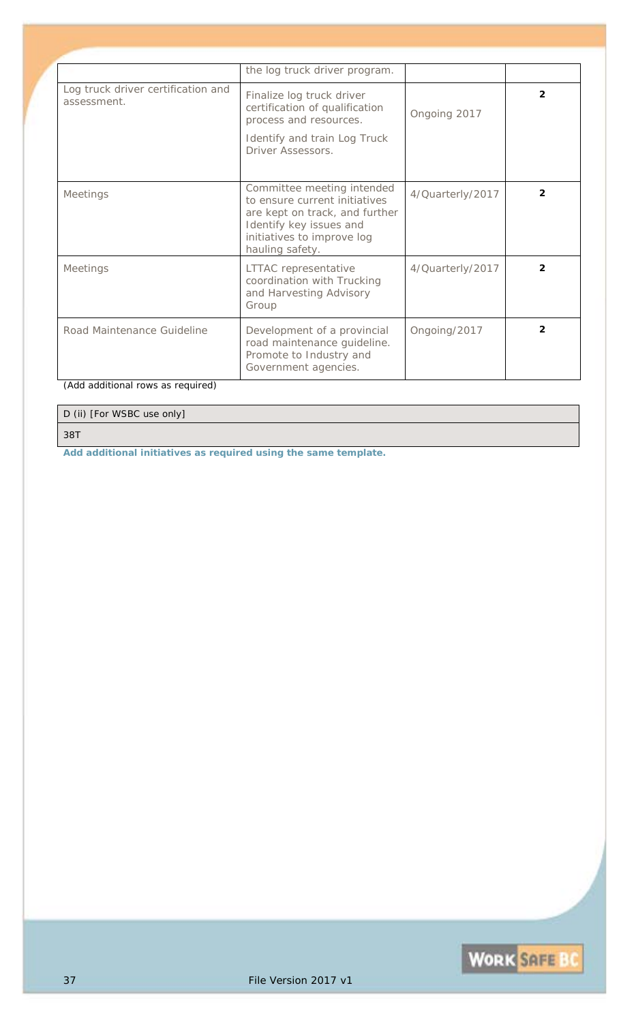|                                                   | the log truck driver program.                                                                                                                                             |                  |                |
|---------------------------------------------------|---------------------------------------------------------------------------------------------------------------------------------------------------------------------------|------------------|----------------|
| Log truck driver certification and<br>assessment. | Finalize log truck driver<br>certification of qualification<br>process and resources.                                                                                     | Ongoing 2017     | $\overline{2}$ |
|                                                   | Identify and train Log Truck<br>Driver Assessors.                                                                                                                         |                  |                |
| <b>Meetings</b>                                   | Committee meeting intended<br>to ensure current initiatives<br>are kept on track, and further<br>Identify key issues and<br>initiatives to improve log<br>hauling safety. | 4/Quarterly/2017 | $\overline{2}$ |
| <b>Meetings</b>                                   | LTTAC representative<br>coordination with Trucking<br>and Harvesting Advisory<br>Group                                                                                    | 4/Quarterly/2017 | $\mathfrak{p}$ |
| Road Maintenance Guideline                        | Development of a provincial<br>road maintenance guideline.<br>Promote to Industry and<br>Government agencies.                                                             | Ongoing/2017     | $\overline{2}$ |

D (ii) [For WSBC use only]

*38T*

*Add additional initiatives as required using the same template.*

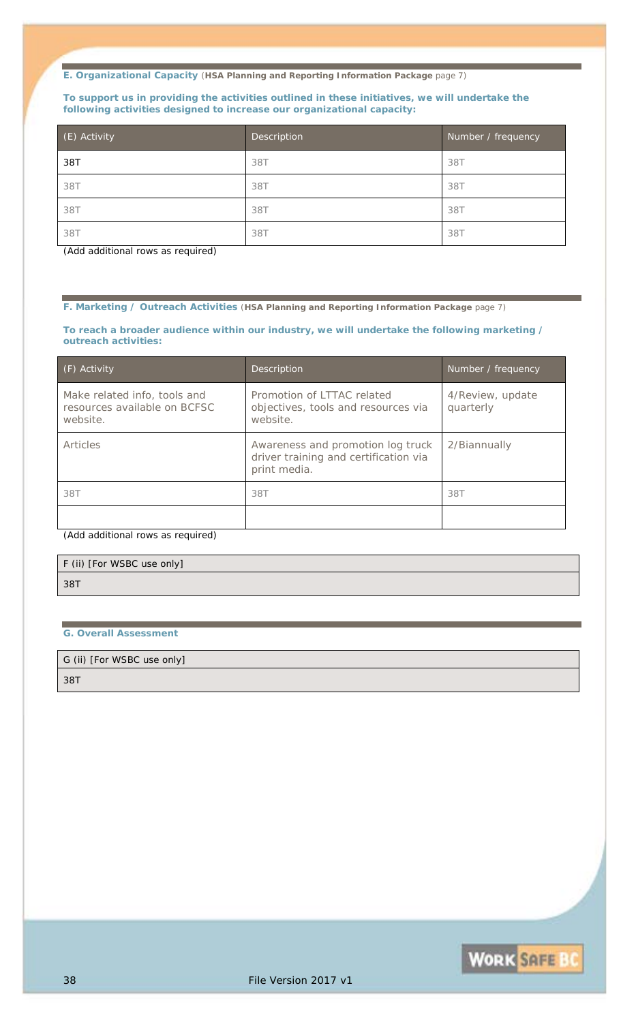#### **To support us in providing the activities outlined in these initiatives, we will undertake the following activities designed to increase our organizational capacity:**

| (E) Activity | Description | Number / frequency |
|--------------|-------------|--------------------|
| 38T          | 38T         | 38T                |
| 38T          | 38T         | 38T                |
| 38T          | 38T         | 38T                |
| 38T          | 38T         | 387                |

*(Add additional rows as required)*

**F. Marketing / Outreach Activities** (**HSA Planning and Reporting Information Package** page 7)

#### **To reach a broader audience within our industry, we will undertake the following marketing / outreach activities:**

| (F) Activity                                                             | <b>Description</b>                                                                         | Number / frequency            |
|--------------------------------------------------------------------------|--------------------------------------------------------------------------------------------|-------------------------------|
| Make related info, tools and<br>resources available on BCFSC<br>website. | Promotion of LTTAC related<br>objectives, tools and resources via<br>website.              | 4/Review, update<br>quarterly |
| <b>Articles</b>                                                          | Awareness and promotion log truck<br>driver training and certification via<br>print media. | 2/Biannually                  |
| 38T                                                                      | 38T                                                                                        | 38T                           |
|                                                                          |                                                                                            |                               |

*(Add additional rows as required)*

| F (ii) [For WSBC use only] |  |
|----------------------------|--|
| 38T                        |  |
|                            |  |

#### **G. Overall Assessment**

G (ii) [For WSBC use only]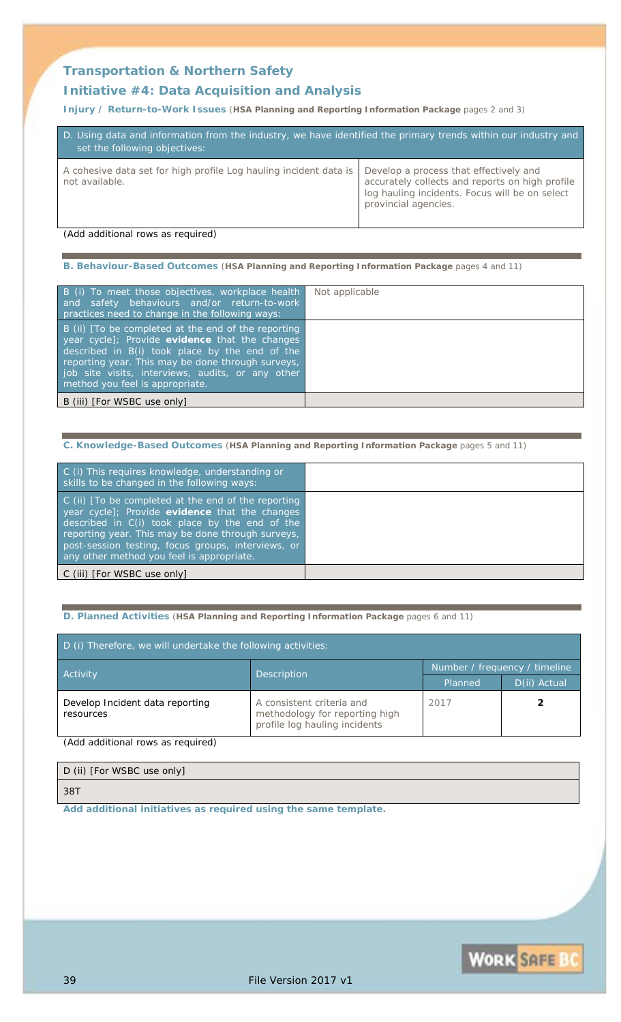### **Transportation & Northern Safety**

### **Initiative #4:** *Data Acquisition and Analysis*

**Injury / Return-to-Work Issues** (**HSA Planning and Reporting Information Package** pages 2 and 3)

| D. Using data and information from the industry, we have identified the primary trends within our industry and<br>set the following objectives: |                                                                                                                                                                     |  |  |
|-------------------------------------------------------------------------------------------------------------------------------------------------|---------------------------------------------------------------------------------------------------------------------------------------------------------------------|--|--|
| A cohesive data set for high profile Log hauling incident data is<br>not available.                                                             | Develop a process that effectively and<br>accurately collects and reports on high profile<br>log hauling incidents. Focus will be on select<br>provincial agencies. |  |  |

*(Add additional rows as required)*

**B. Behaviour-Based Outcomes** (**HSA Planning and Reporting Information Package** pages 4 and 11)

| B (i) To meet those objectives, workplace health<br>and safety behaviours and/or return-to-work<br>practices need to change in the following ways:                                                                                                                                                   | Not applicable |
|------------------------------------------------------------------------------------------------------------------------------------------------------------------------------------------------------------------------------------------------------------------------------------------------------|----------------|
| B (ii) [To be completed at the end of the reporting<br>year cycle]; Provide evidence that the changes<br>described in B(i) took place by the end of the<br>reporting year. This may be done through surveys,<br>job site visits, interviews, audits, or any other<br>method you feel is appropriate. |                |
| B (iii) [For WSBC use only]                                                                                                                                                                                                                                                                          |                |

**C. Knowledge-Based Outcomes** (**HSA Planning and Reporting Information Package** pages 5 and 11)

| C (i) This requires knowledge, understanding or<br>skills to be changed in the following ways:                                                                                                                                                                                                                  |  |
|-----------------------------------------------------------------------------------------------------------------------------------------------------------------------------------------------------------------------------------------------------------------------------------------------------------------|--|
| C (ii) [To be completed at the end of the reporting<br>year cycle]; Provide evidence that the changes<br>described in C(i) took place by the end of the<br>reporting year. This may be done through surveys,<br>post-session testing, focus groups, interviews, or<br>any other method you feel is appropriate. |  |
| C (iii) [For WSBC use only]                                                                                                                                                                                                                                                                                     |  |

**D. Planned Activities** (**HSA Planning and Reporting Information Package** pages 6 and 11)

| D (i) Therefore, we will undertake the following activities: |                                                                                              |                               |              |
|--------------------------------------------------------------|----------------------------------------------------------------------------------------------|-------------------------------|--------------|
| <b>Activity</b>                                              | <b>Description</b>                                                                           | Number / frequency / timeline |              |
|                                                              |                                                                                              | Planned                       | D(ii) Actual |
| Develop Incident data reporting<br>resources                 | A consistent criteria and<br>methodology for reporting high<br>profile log hauling incidents | 2017                          |              |

*(Add additional rows as required)*

| D (ii) [For WSBC use only] |
|----------------------------|
| 387                        |

*Add additional initiatives as required using the same template.*

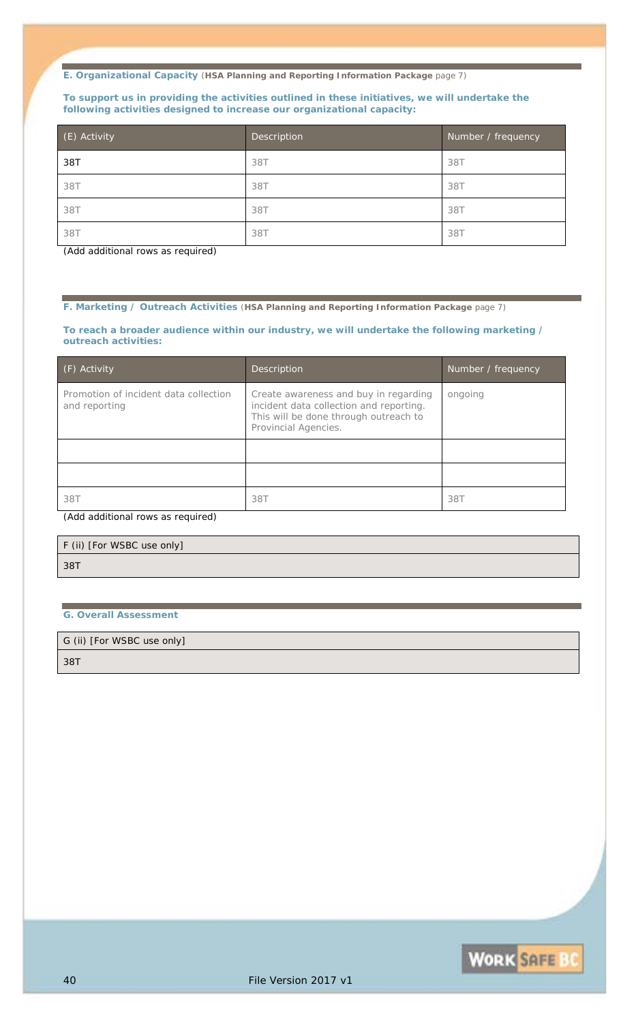#### **To support us in providing the activities outlined in these initiatives, we will undertake the following activities designed to increase our organizational capacity:**

| (E) Activity | Description | Number / frequency |
|--------------|-------------|--------------------|
| 38T          | 38T         | 38T                |
| 38T          | 38T         | 38T                |
| 38T          | 38T         | 38T                |
| 38T          | 38T         | 387                |

*(Add additional rows as required)*

**F. Marketing / Outreach Activities** (**HSA Planning and Reporting Information Package** page 7)

#### **To reach a broader audience within our industry, we will undertake the following marketing / outreach activities:**

| (F) Activity                                           | Description                                                                                                                                       | Number / frequency |
|--------------------------------------------------------|---------------------------------------------------------------------------------------------------------------------------------------------------|--------------------|
| Promotion of incident data collection<br>and reporting | Create awareness and buy in regarding<br>incident data collection and reporting.<br>This will be done through outreach to<br>Provincial Agencies. | ongoing            |
|                                                        |                                                                                                                                                   |                    |
|                                                        |                                                                                                                                                   |                    |
| 38T                                                    | <i>38T</i>                                                                                                                                        | 38T                |

*(Add additional rows as required)*

| F (ii) [For WSBC use only] |  |
|----------------------------|--|
| 38T                        |  |

#### **G. Overall Assessment**

G (ii) [For WSBC use only]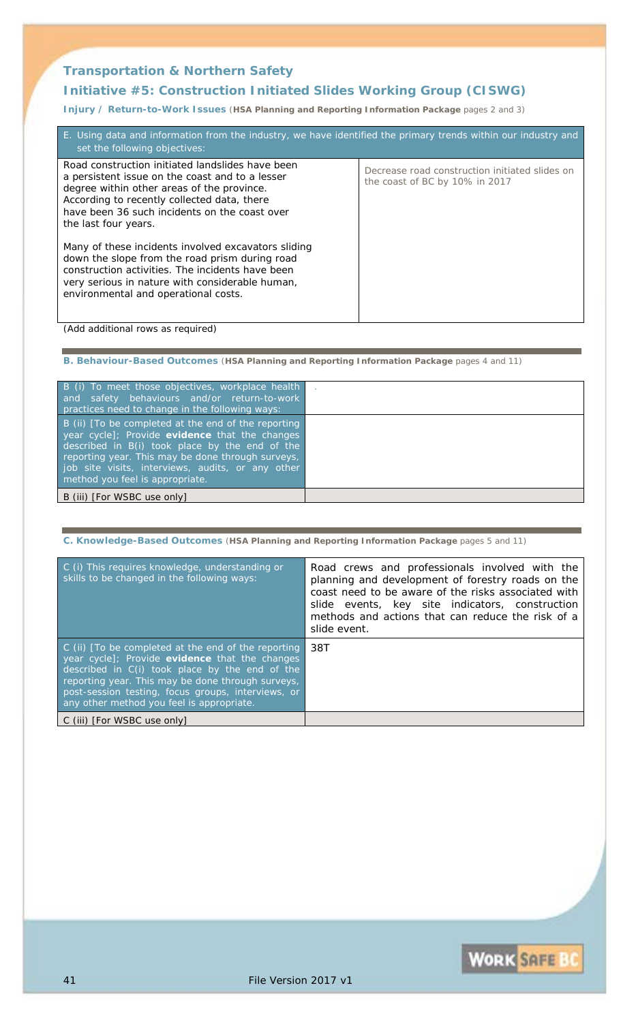### **Transportation & Northern Safety**

### **Initiative #5:** *Construction Initiated Slides Working Group (CISWG)*

**Injury / Return-to-Work Issues** (**HSA Planning and Reporting Information Package** pages 2 and 3)

| E. Using data and information from the industry, we have identified the primary trends within our industry and<br>set the following objectives:                                                                                                                           |                                                                                  |  |
|---------------------------------------------------------------------------------------------------------------------------------------------------------------------------------------------------------------------------------------------------------------------------|----------------------------------------------------------------------------------|--|
| Road construction initiated landslides have been<br>a persistent issue on the coast and to a lesser<br>degree within other areas of the province.<br>According to recently collected data, there<br>have been 36 such incidents on the coast over<br>the last four years. | Decrease road construction initiated slides on<br>the coast of BC by 10% in 2017 |  |
| Many of these incidents involved excavators sliding<br>down the slope from the road prism during road<br>construction activities. The incidents have been<br>very serious in nature with considerable human,<br>environmental and operational costs.                      |                                                                                  |  |

*(Add additional rows as required)*

**B. Behaviour-Based Outcomes** (**HSA Planning and Reporting Information Package** pages 4 and 11)

| B (i) To meet those objectives, workplace health<br>and safety behaviours and/or return-to-work<br>practices need to change in the following ways:                                                                                                                                                   |  |
|------------------------------------------------------------------------------------------------------------------------------------------------------------------------------------------------------------------------------------------------------------------------------------------------------|--|
| B (ii) [To be completed at the end of the reporting<br>year cycle]; Provide evidence that the changes<br>described in B(i) took place by the end of the<br>reporting year. This may be done through surveys,<br>job site visits, interviews, audits, or any other<br>method you feel is appropriate. |  |
| B (iii) [For WSBC use only]                                                                                                                                                                                                                                                                          |  |

**C. Knowledge-Based Outcomes** (**HSA Planning and Reporting Information Package** pages 5 and 11) C (i) This requires knowledge, understanding or skills to be changed in the following ways: *Road crews and professionals involved with the planning and development of forestry roads on the coast need to be aware of the risks associated with slide events, key site indicators, construction methods and actions that can reduce the risk of a slide event.*  C (ii) [*To be completed at the end of the reporting year cycle*]; Provide **evidence** that the changes described in C(i) took place by the end of the reporting year. This may be done through surveys, post-session testing, focus groups, interviews, or any other method you feel is appropriate. *38T* C (iii) [*For WSBC use only*]

**WORK SAFE BO**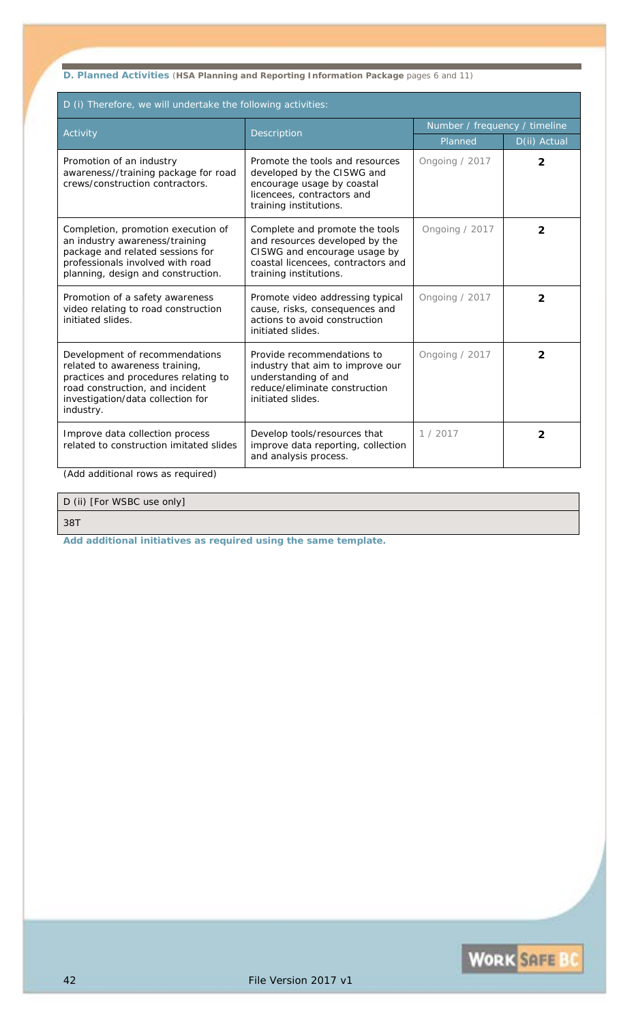**D. Planned Activities** (**HSA Planning and Reporting Information Package** pages 6 and 11)

| D (i) Therefore, we will undertake the following activities:                                                                                                                                  |                                                                                                                                                                  |                               |                |
|-----------------------------------------------------------------------------------------------------------------------------------------------------------------------------------------------|------------------------------------------------------------------------------------------------------------------------------------------------------------------|-------------------------------|----------------|
| Activity                                                                                                                                                                                      | Description                                                                                                                                                      | Number / frequency / timeline |                |
|                                                                                                                                                                                               |                                                                                                                                                                  | Planned                       | D(ii) Actual   |
| Promotion of an industry<br>awareness//training package for road<br>crews/construction contractors.                                                                                           | Promote the tools and resources<br>developed by the CISWG and<br>encourage usage by coastal<br>licencees, contractors and<br>training institutions.              | Ongoing / 2017                | $\overline{2}$ |
| Completion, promotion execution of<br>an industry awareness/training<br>package and related sessions for<br>professionals involved with road<br>planning, design and construction.            | Complete and promote the tools<br>and resources developed by the<br>CISWG and encourage usage by<br>coastal licencees, contractors and<br>training institutions. | Ongoing / 2017                | $\overline{2}$ |
| Promotion of a safety awareness<br>video relating to road construction<br>initiated slides.                                                                                                   | Promote video addressing typical<br>cause, risks, consequences and<br>actions to avoid construction<br>initiated slides.                                         | Ongoing / 2017                | 2              |
| Development of recommendations<br>related to awareness training,<br>practices and procedures relating to<br>road construction, and incident<br>investigation/data collection for<br>industry. | Provide recommendations to<br>industry that aim to improve our<br>understanding of and<br>reduce/eliminate construction<br>initiated slides.                     | Ongoing / 2017                | $\overline{2}$ |
| Improve data collection process<br>related to construction imitated slides                                                                                                                    | Develop tools/resources that<br>improve data reporting, collection<br>and analysis process.                                                                      | 1/2017                        | $\overline{2}$ |

*(Add additional rows as required)*

### D (ii) [For WSBC use only]

*38T*

Ē

*Add additional initiatives as required using the same template.*

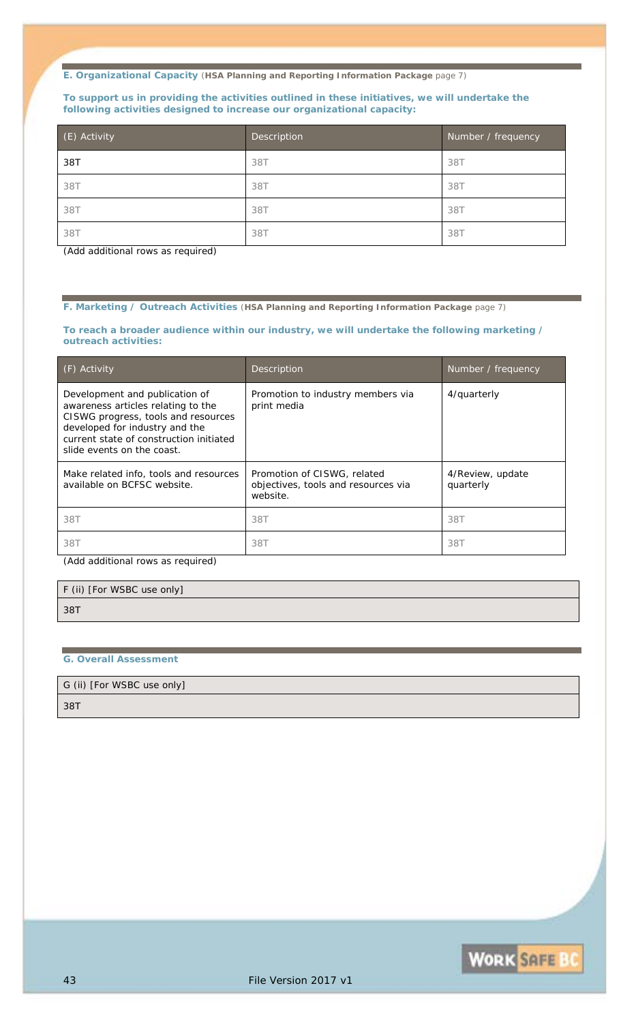#### **To support us in providing the activities outlined in these initiatives, we will undertake the following activities designed to increase our organizational capacity:**

| (E) Activity | Description | Number / frequency |
|--------------|-------------|--------------------|
| 38T          | 38T         | 38T                |
| 38T          | 38T         | 38T                |
| 38T          | 38T         | 38T                |
| 38T          | 38T         | 387                |

*(Add additional rows as required)*

**F. Marketing / Outreach Activities** (**HSA Planning and Reporting Information Package** page 7)

#### **To reach a broader audience within our industry, we will undertake the following marketing / outreach activities:**

| (F) Activity                                                                                                                                                                                                           | <b>Description</b>                                                             | Number / frequency            |
|------------------------------------------------------------------------------------------------------------------------------------------------------------------------------------------------------------------------|--------------------------------------------------------------------------------|-------------------------------|
| Development and publication of<br>awareness articles relating to the<br>CISWG progress, tools and resources<br>developed for industry and the<br>current state of construction initiated<br>slide events on the coast. | Promotion to industry members via<br>print media                               | 4/quarterly                   |
| Make related info, tools and resources<br>available on BCFSC website.                                                                                                                                                  | Promotion of CISWG, related<br>objectives, tools and resources via<br>website. | 4/Review, update<br>quarterly |
| 38T                                                                                                                                                                                                                    | 38T                                                                            | 38T                           |
| 38T                                                                                                                                                                                                                    | 38T                                                                            | 38T                           |

*(Add additional rows as required)*

F (ii) [For WSBC use only] *38T*

#### **G. Overall Assessment**

G (ii) [For WSBC use only]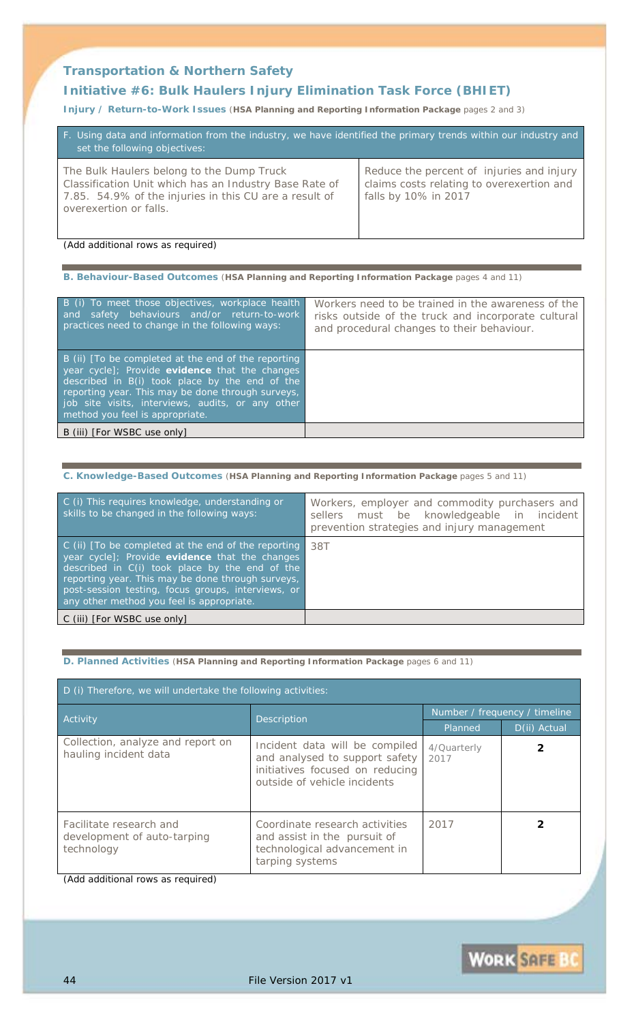### **Transportation & Northern Safety**

### **Initiative #6:** *Bulk Haulers Injury Elimination Task Force (BHIET)*

**Injury / Return-to-Work Issues** (**HSA Planning and Reporting Information Package** pages 2 and 3)

| F. Using data and information from the industry, we have identified the primary trends within our industry and<br>set the following objectives:                                         |                                                                                                                |  |
|-----------------------------------------------------------------------------------------------------------------------------------------------------------------------------------------|----------------------------------------------------------------------------------------------------------------|--|
| The Bulk Haulers belong to the Dump Truck<br>Classification Unit which has an Industry Base Rate of<br>7.85. 54.9% of the injuries in this CU are a result of<br>overexertion or falls. | Reduce the percent of injuries and injury<br>claims costs relating to overexertion and<br>falls by 10% in 2017 |  |

*(Add additional rows as required)*

#### **B. Behaviour-Based Outcomes** (**HSA Planning and Reporting Information Package** pages 4 and 11)

| B (i) To meet those objectives, workplace health<br>and safety behaviours and/or return-to-work<br>practices need to change in the following ways:                                                                                                                                                   | Workers need to be trained in the awareness of the<br>risks outside of the truck and incorporate cultural<br>and procedural changes to their behaviour. |
|------------------------------------------------------------------------------------------------------------------------------------------------------------------------------------------------------------------------------------------------------------------------------------------------------|---------------------------------------------------------------------------------------------------------------------------------------------------------|
| B (ii) [To be completed at the end of the reporting<br>year cycle]; Provide evidence that the changes<br>described in B(i) took place by the end of the<br>reporting year. This may be done through surveys,<br>job site visits, interviews, audits, or any other<br>method you feel is appropriate. |                                                                                                                                                         |
| B (iii) [For WSBC use only]                                                                                                                                                                                                                                                                          |                                                                                                                                                         |
|                                                                                                                                                                                                                                                                                                      |                                                                                                                                                         |

#### **C. Knowledge-Based Outcomes** (**HSA Planning and Reporting Information Package** pages 5 and 11)

| C (i) This requires knowledge, understanding or<br>skills to be changed in the following ways:                                                                                                                                                                                                                  | Workers, employer and commodity purchasers and<br>sellers must be knowledgeable in incident<br>prevention strategies and injury management |
|-----------------------------------------------------------------------------------------------------------------------------------------------------------------------------------------------------------------------------------------------------------------------------------------------------------------|--------------------------------------------------------------------------------------------------------------------------------------------|
| C (ii) [To be completed at the end of the reporting<br>year cycle]; Provide evidence that the changes<br>described in C(i) took place by the end of the<br>reporting year. This may be done through surveys,<br>post-session testing, focus groups, interviews, or<br>any other method you feel is appropriate. | .38T                                                                                                                                       |
| C (iii) [For WSBC use only]                                                                                                                                                                                                                                                                                     |                                                                                                                                            |

#### **D. Planned Activities** (**HSA Planning and Reporting Information Package** pages 6 and 11)

| D (i) Therefore, we will undertake the following activities:         |                                                                                                                                     |                     |              |  |
|----------------------------------------------------------------------|-------------------------------------------------------------------------------------------------------------------------------------|---------------------|--------------|--|
| <b>Activity</b>                                                      | Number / frequency / timeline                                                                                                       |                     |              |  |
|                                                                      | <b>Description</b>                                                                                                                  | Planned             | D(ii) Actual |  |
| Collection, analyze and report on<br>hauling incident data           | Incident data will be compiled<br>and analysed to support safety<br>initiatives focused on reducing<br>outside of vehicle incidents | 4/Quarterly<br>2017 |              |  |
| Facilitate research and<br>development of auto-tarping<br>technology | Coordinate research activities<br>and assist in the pursuit of<br>technological advancement in<br>tarping systems                   | 2017                |              |  |

*(Add additional rows as required)*

**WORK SAFE B**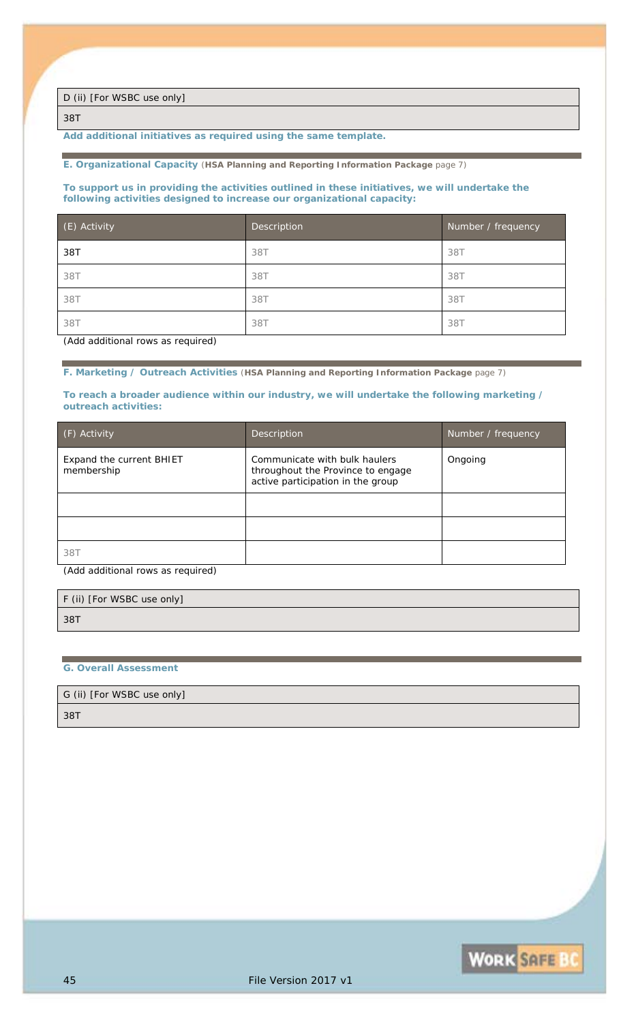D (ii) [For WSBC use only]

*38T*

*Add additional initiatives as required using the same template.*

#### **E. Organizational Capacity** (**HSA Planning and Reporting Information Package** page 7)

#### **To support us in providing the activities outlined in these initiatives, we will undertake the following activities designed to increase our organizational capacity:**

| (E) Activity | Description | Number / frequency |
|--------------|-------------|--------------------|
| 38T          | 38T         | 38T                |
| 38T          | 38T         | 38T                |
| 38T          | 38T         | 38T                |
| 38T          | 38T         | 38T                |

*(Add additional rows as required)*

**F. Marketing / Outreach Activities** (**HSA Planning and Reporting Information Package** page 7)

#### **To reach a broader audience within our industry, we will undertake the following marketing / outreach activities:**

| (F) Activity                                  | Description                                                                                             | Number / frequency |
|-----------------------------------------------|---------------------------------------------------------------------------------------------------------|--------------------|
| <b>Expand the current BHIET</b><br>membership | Communicate with bulk haulers<br>throughout the Province to engage<br>active participation in the group | Ongoing            |
|                                               |                                                                                                         |                    |
|                                               |                                                                                                         |                    |
| 38T                                           |                                                                                                         |                    |

*(Add additional rows as required)*

| F (ii) [For WSBC use only] |  |
|----------------------------|--|
| 38T                        |  |

#### **G. Overall Assessment**

G (ii) [For WSBC use only]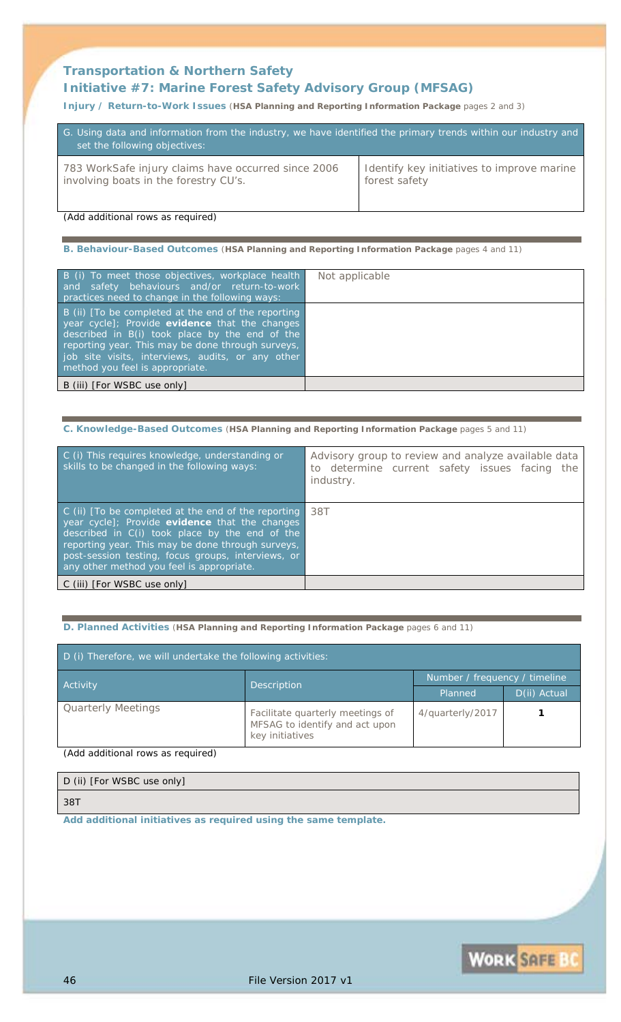### **Transportation & Northern Safety Initiative #7:** *Marine Forest Safety Advisory Group (MFSAG)*

#### **Injury / Return-to-Work Issues** (**HSA Planning and Reporting Information Package** pages 2 and 3)

| G. Using data and information from the industry, we have identified the primary trends within our industry and<br>set the following objectives: |                                            |
|-------------------------------------------------------------------------------------------------------------------------------------------------|--------------------------------------------|
| 783 WorkSafe injury claims have occurred since 2006                                                                                             | Identify key initiatives to improve marine |
| involving boats in the forestry CU's.                                                                                                           | forest safety                              |

*(Add additional rows as required)*

### **B. Behaviour-Based Outcomes** (**HSA Planning and Reporting Information Package** pages 4 and 11)

| B (i) To meet those objectives, workplace health<br>and safety behaviours and/or return-to-work<br>practices need to change in the following ways:                                                                                                                                                   | Not applicable |
|------------------------------------------------------------------------------------------------------------------------------------------------------------------------------------------------------------------------------------------------------------------------------------------------------|----------------|
| B (ii) [To be completed at the end of the reporting<br>year cycle]; Provide evidence that the changes<br>described in B(i) took place by the end of the<br>reporting year. This may be done through surveys,<br>job site visits, interviews, audits, or any other<br>method you feel is appropriate. |                |
| B (iii) [For WSBC use only]                                                                                                                                                                                                                                                                          |                |

#### **C. Knowledge-Based Outcomes** (**HSA Planning and Reporting Information Package** pages 5 and 11)

| C (i) This requires knowledge, understanding or<br>skills to be changed in the following ways:                                                                                                                                                                                                                  | Advisory group to review and analyze available data<br>to determine current safety issues facing the<br><i>industry.</i> |
|-----------------------------------------------------------------------------------------------------------------------------------------------------------------------------------------------------------------------------------------------------------------------------------------------------------------|--------------------------------------------------------------------------------------------------------------------------|
| C (ii) [To be completed at the end of the reporting<br>year cycle]; Provide evidence that the changes<br>described in C(i) took place by the end of the<br>reporting year. This may be done through surveys,<br>post-session testing, focus groups, interviews, or<br>any other method you feel is appropriate. | .38T                                                                                                                     |
| C (iii) [For WSBC use only]                                                                                                                                                                                                                                                                                     |                                                                                                                          |

#### **D. Planned Activities** (**HSA Planning and Reporting Information Package** pages 6 and 11)

| D (i) Therefore, we will undertake the following activities: |                                                                                       |                               |              |
|--------------------------------------------------------------|---------------------------------------------------------------------------------------|-------------------------------|--------------|
| Activity                                                     | Description                                                                           | Number / frequency / timeline |              |
|                                                              |                                                                                       | Planned                       | D(ii) Actual |
| <b>Quarterly Meetings</b>                                    | Facilitate quarterly meetings of<br>MFSAG to identify and act upon<br>key initiatives | 4/quarterly/2017              |              |

*(Add additional rows as required)*

| D (ii) [For WSBC use only] |  |
|----------------------------|--|
| 38T                        |  |

*Add additional initiatives as required using the same template.*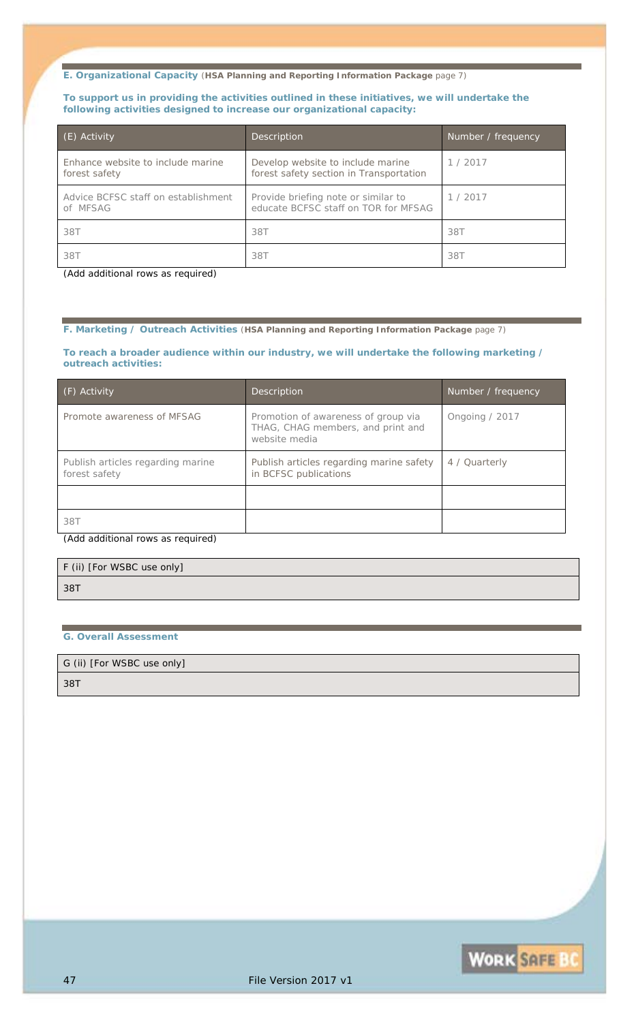#### **To support us in providing the activities outlined in these initiatives, we will undertake the following activities designed to increase our organizational capacity:**

| (E) Activity                                       | Description                                                                  | Number / frequency |
|----------------------------------------------------|------------------------------------------------------------------------------|--------------------|
| Enhance website to include marine<br>forest safety | Develop website to include marine<br>forest safety section in Transportation | 1/2017             |
| Advice BCFSC staff on establishment<br>of MFSAG    | Provide briefing note or similar to<br>educate BCFSC staff on TOR for MFSAG  | 1/2017             |
| 38T                                                | 38T                                                                          | 38T                |
| 38T                                                | 38T                                                                          | 38T                |

*(Add additional rows as required)*

#### **F. Marketing / Outreach Activities** (**HSA Planning and Reporting Information Package** page 7)

**To reach a broader audience within our industry, we will undertake the following marketing / outreach activities:**

| (F) Activity                                       | <b>Description</b>                                                                        | Number / frequency |
|----------------------------------------------------|-------------------------------------------------------------------------------------------|--------------------|
| Promote awareness of MFSAG                         | Promotion of awareness of group via<br>THAG, CHAG members, and print and<br>website media | Ongoing $/2017$    |
| Publish articles regarding marine<br>forest safety | Publish articles regarding marine safety<br>in BCFSC publications                         | 4 / Quarterly      |
|                                                    |                                                                                           |                    |
| 38T                                                |                                                                                           |                    |
| (Add additional rows as required)                  |                                                                                           |                    |

| F (ii) [For WSBC use only] |
|----------------------------|
| 38T                        |
|                            |

#### **G. Overall Assessment**

G (ii) [For WSBC use only]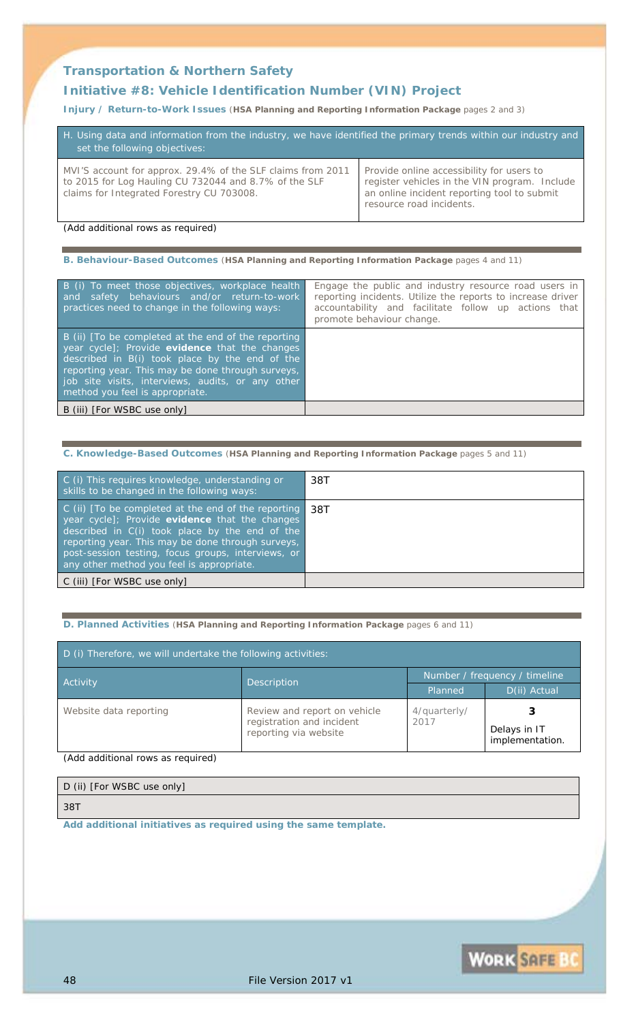### **Transportation & Northern Safety**

### **Initiative #8:** *Vehicle Identification Number (VIN) Project*

**Injury / Return-to-Work Issues** (**HSA Planning and Reporting Information Package** pages 2 and 3)

| H. Using data and information from the industry, we have identified the primary trends within our industry and<br>set the following objectives:                   |                                                                                                                                                                       |  |
|-------------------------------------------------------------------------------------------------------------------------------------------------------------------|-----------------------------------------------------------------------------------------------------------------------------------------------------------------------|--|
| MVI'S account for approx. 29.4% of the SLF claims from 2011<br>to 2015 for Log Hauling CU 732044 and 8.7% of the SLF<br>claims for Integrated Forestry CU 703008. | Provide online accessibility for users to<br>register vehicles in the VIN program. Include<br>an online incident reporting tool to submit<br>resource road incidents. |  |

*(Add additional rows as required)*

**B. Behaviour-Based Outcomes** (**HSA Planning and Reporting Information Package** pages 4 and 11)

| B (i) To meet those objectives, workplace health<br>and safety behaviours and/or return-to-work<br>practices need to change in the following ways:                                                                                                                                                   | Engage the public and industry resource road users in<br>reporting incidents. Utilize the reports to increase driver<br>accountability and facilitate follow up actions that<br>promote behaviour change. |
|------------------------------------------------------------------------------------------------------------------------------------------------------------------------------------------------------------------------------------------------------------------------------------------------------|-----------------------------------------------------------------------------------------------------------------------------------------------------------------------------------------------------------|
| B (ii) [To be completed at the end of the reporting<br>year cycle]; Provide evidence that the changes<br>described in B(i) took place by the end of the<br>reporting year. This may be done through surveys,<br>job site visits, interviews, audits, or any other<br>method you feel is appropriate. |                                                                                                                                                                                                           |
| B (iii) [For WSBC use only]                                                                                                                                                                                                                                                                          |                                                                                                                                                                                                           |

**C. Knowledge-Based Outcomes** (**HSA Planning and Reporting Information Package** pages 5 and 11)

| C (i) This requires knowledge, understanding or<br>skills to be changed in the following ways:                                                                                                                                                                                                                  | 38T |
|-----------------------------------------------------------------------------------------------------------------------------------------------------------------------------------------------------------------------------------------------------------------------------------------------------------------|-----|
| C (ii) [To be completed at the end of the reporting<br>year cycle]; Provide evidence that the changes<br>described in C(i) took place by the end of the<br>reporting year. This may be done through surveys,<br>post-session testing, focus groups, interviews, or<br>any other method you feel is appropriate. | 38T |
| C (iii) [For WSBC use only]                                                                                                                                                                                                                                                                                     |     |

#### **D. Planned Activities** (**HSA Planning and Reporting Information Package** pages 6 and 11)

| D (i) Therefore, we will undertake the following activities: |                                                                                    |                               |                                 |
|--------------------------------------------------------------|------------------------------------------------------------------------------------|-------------------------------|---------------------------------|
| Activity                                                     |                                                                                    | Number / frequency / timeline |                                 |
|                                                              | Description                                                                        | Planned                       | D(ii) Actual                    |
| Website data reporting                                       | Review and report on vehicle<br>registration and incident<br>reporting via website | 4/quarterly/<br>2017          | Delays in IT<br>implementation. |

*(Add additional rows as required)*

| D (ii) [For WSBC use only] |  |
|----------------------------|--|
| 38T                        |  |

*Add additional initiatives as required using the same template.*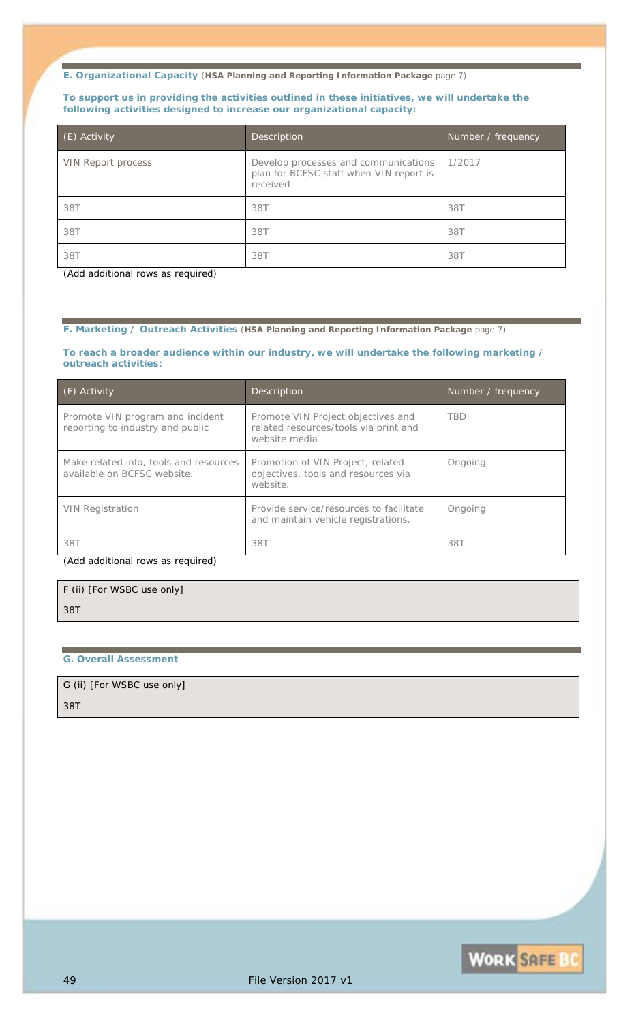#### **To support us in providing the activities outlined in these initiatives, we will undertake the following activities designed to increase our organizational capacity:**

| (E) Activity              | Description                                                                                 | Number / frequency |
|---------------------------|---------------------------------------------------------------------------------------------|--------------------|
| <b>VIN Report process</b> | Develop processes and communications<br>plan for BCFSC staff when VIN report is<br>received | 1/2017             |
| 38T                       | 38T                                                                                         | 38T                |
| 38T                       | <i>38T</i>                                                                                  | 38T                |
| 38T                       | 38T                                                                                         | 387                |

*(Add additional rows as required)*

#### **F. Marketing / Outreach Activities** (**HSA Planning and Reporting Information Package** page 7)

#### **To reach a broader audience within our industry, we will undertake the following marketing / outreach activities:**

| (F) Activity                                                          | <b>Description</b>                                                                           | Number / frequency |
|-----------------------------------------------------------------------|----------------------------------------------------------------------------------------------|--------------------|
| Promote VIN program and incident<br>reporting to industry and public  | Promote VIN Project objectives and<br>related resources/tools via print and<br>website media | <b>TBD</b>         |
| Make related info, tools and resources<br>available on BCFSC website. | Promotion of VIN Project, related<br>objectives, tools and resources via<br>website.         | Ongoing            |
| <b>VIN Registration</b>                                               | Provide service/resources to facilitate<br>and maintain vehicle registrations.               | Ongoing            |
| 38T                                                                   | 38T                                                                                          | 38T                |

*(Add additional rows as required)*

## F (ii) [For WSBC use only] *38T*

#### **G. Overall Assessment**

### G (ii) [For WSBC use only]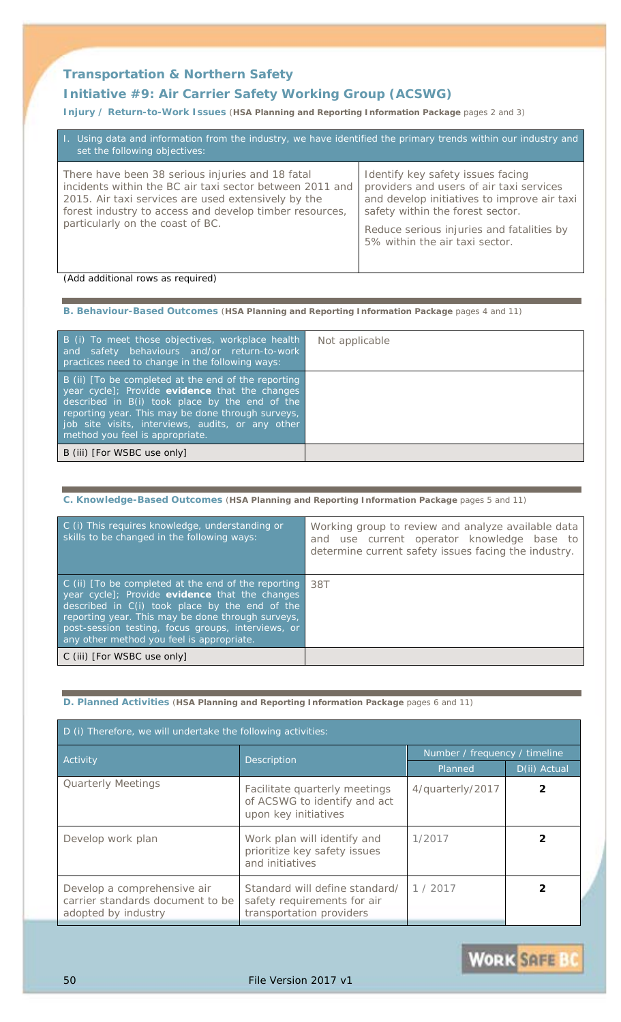## **Transportation & Northern Safety**

### **Initiative #9:** *Air Carrier Safety Working Group (ACSWG)*

**Injury / Return-to-Work Issues** (**HSA Planning and Reporting Information Package** pages 2 and 3)

| I. Using data and information from the industry, we have identified the primary trends within our industry and<br>set the following objectives:                                                                                                                    |                                                                                                                                                                                                                                                 |
|--------------------------------------------------------------------------------------------------------------------------------------------------------------------------------------------------------------------------------------------------------------------|-------------------------------------------------------------------------------------------------------------------------------------------------------------------------------------------------------------------------------------------------|
| There have been 38 serious injuries and 18 fatal<br>incidents within the BC air taxi sector between 2011 and<br>2015. Air taxi services are used extensively by the<br>forest industry to access and develop timber resources,<br>particularly on the coast of BC. | Identify key safety issues facing<br>providers and users of air taxi services<br>and develop initiatives to improve air taxi<br>safety within the forest sector.<br>Reduce serious injuries and fatalities by<br>5% within the air taxi sector. |

*(Add additional rows as required)*

#### **B. Behaviour-Based Outcomes** (**HSA Planning and Reporting Information Package** pages 4 and 11)

| B (i) To meet those objectives, workplace health<br>and safety behaviours and/or return-to-work<br>practices need to change in the following ways:                                                                                                                                                  | Not applicable |
|-----------------------------------------------------------------------------------------------------------------------------------------------------------------------------------------------------------------------------------------------------------------------------------------------------|----------------|
| B (ii) To be completed at the end of the reporting<br>year cycle]; Provide evidence that the changes<br>described in B(i) took place by the end of the<br>reporting year. This may be done through surveys,<br>job site visits, interviews, audits, or any other<br>method you feel is appropriate. |                |
| B (iii) [For WSBC use only]                                                                                                                                                                                                                                                                         |                |

#### **C. Knowledge-Based Outcomes** (**HSA Planning and Reporting Information Package** pages 5 and 11)

| C (i) This requires knowledge, understanding or<br>skills to be changed in the following ways:                                                                                                                                                                                                                  | Working group to review and analyze available data<br>and use current operator knowledge base to<br>determine current safety issues facing the industry. |
|-----------------------------------------------------------------------------------------------------------------------------------------------------------------------------------------------------------------------------------------------------------------------------------------------------------------|----------------------------------------------------------------------------------------------------------------------------------------------------------|
| C (ii) [To be completed at the end of the reporting<br>year cycle]; Provide evidence that the changes<br>described in C(i) took place by the end of the<br>reporting year. This may be done through surveys,<br>post-session testing, focus groups, interviews, or<br>any other method you feel is appropriate. | 38T                                                                                                                                                      |
| C (iii) [For WSBC use only]                                                                                                                                                                                                                                                                                     |                                                                                                                                                          |

#### **D. Planned Activities** (**HSA Planning and Reporting Information Package** pages 6 and 11)

| D (i) Therefore, we will undertake the following activities:                           |                                                                                           |                               |              |
|----------------------------------------------------------------------------------------|-------------------------------------------------------------------------------------------|-------------------------------|--------------|
| Activity                                                                               | Description                                                                               | Number / frequency / timeline |              |
|                                                                                        |                                                                                           | Planned                       | D(ii) Actual |
| <b>Quarterly Meetings</b>                                                              | Facilitate quarterly meetings<br>of ACSWG to identify and act<br>upon key initiatives     | 4/quarterly/2017              |              |
| Develop work plan                                                                      | Work plan will identify and<br>prioritize key safety issues<br>and initiatives            | 1/2017                        |              |
| Develop a comprehensive air<br>carrier standards document to be<br>adopted by industry | Standard will define standard/<br>safety requirements for air<br>transportation providers | 1/2017                        |              |

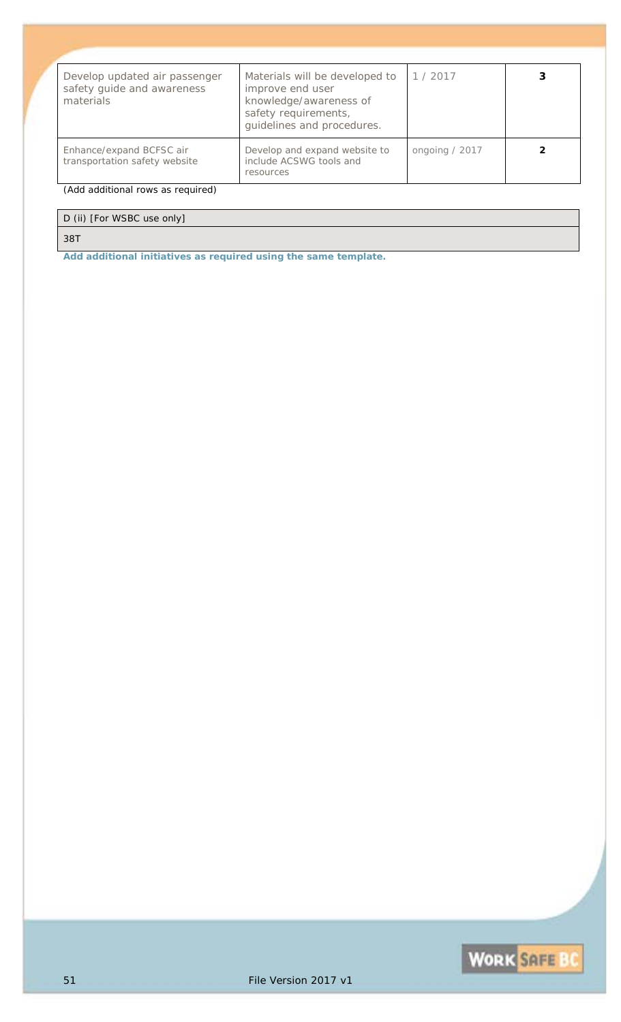| Develop updated air passenger<br>safety guide and awareness<br>materials | Materials will be developed to<br>improve end user<br>knowledge/awareness of<br>safety requirements,<br>guidelines and procedures. | 1/2017         |  |
|--------------------------------------------------------------------------|------------------------------------------------------------------------------------------------------------------------------------|----------------|--|
| Enhance/expand BCFSC air<br>transportation safety website                | Develop and expand website to<br>include ACSWG tools and<br>resources                                                              | ongoing / 2017 |  |
| (Add additional rows as required)                                        |                                                                                                                                    |                |  |

### D (ii) [For WSBC use only]

#### *38T*

*Add additional initiatives as required using the same template.*

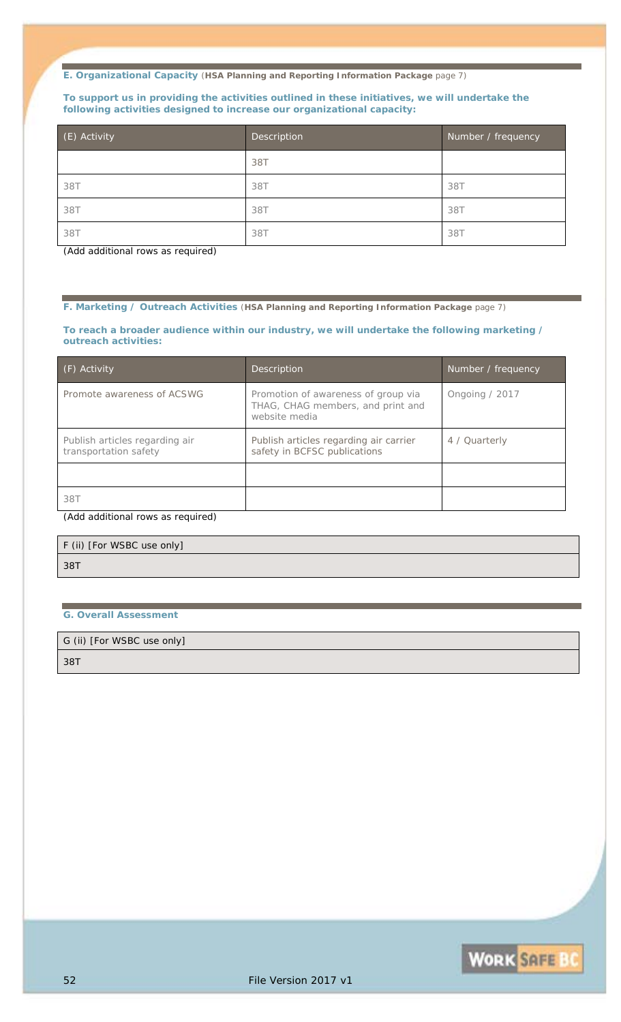#### **To support us in providing the activities outlined in these initiatives, we will undertake the following activities designed to increase our organizational capacity:**

| (E) Activity | Description | Number / frequency |
|--------------|-------------|--------------------|
|              | 38T         |                    |
| 38T          | 38T         | 38T                |
| 38T          | 38T         | 38T                |
| 38T          | 38T         | 387                |

*(Add additional rows as required)*

**F. Marketing / Outreach Activities** (**HSA Planning and Reporting Information Package** page 7)

**To reach a broader audience within our industry, we will undertake the following marketing / outreach activities:**

| (F) Activity                                            | Description                                                                               | Number / frequency |
|---------------------------------------------------------|-------------------------------------------------------------------------------------------|--------------------|
| Promote awareness of ACSWG                              | Promotion of awareness of group via<br>THAG, CHAG members, and print and<br>website media | Ongoing / 2017     |
| Publish articles regarding air<br>transportation safety | Publish articles regarding air carrier<br>safety in BCFSC publications                    | 4 / Quarterly      |
|                                                         |                                                                                           |                    |
| 38T                                                     |                                                                                           |                    |
| $(0,0,0)$ colditional value as required)                |                                                                                           |                    |

*(Add additional rows as required)*

| F (ii) [For WSBC use only] |  |
|----------------------------|--|
| 38T                        |  |

#### **G. Overall Assessment**

G (ii) [For WSBC use only]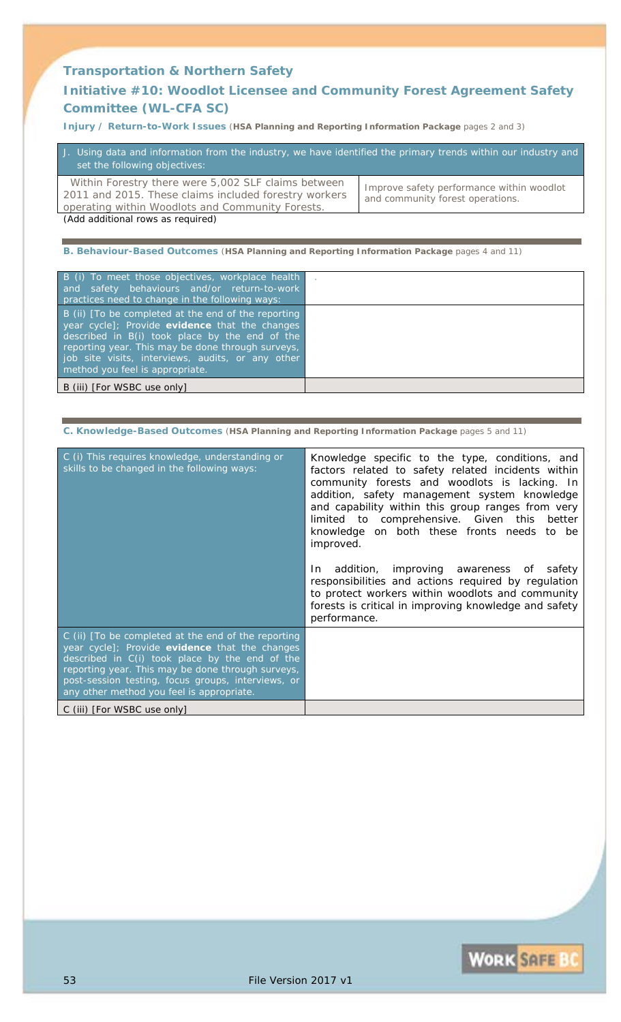### **Transportation & Northern Safety**

### **Initiative #10:** *Woodlot Licensee and Community Forest Agreement Safety Committee (WL-CFA SC)*

**Injury / Return-to-Work Issues** (**HSA Planning and Reporting Information Package** pages 2 and 3)

| J. Using data and information from the industry, we have identified the primary trends within our industry and<br>set the following objectives:                  |                                                                               |
|------------------------------------------------------------------------------------------------------------------------------------------------------------------|-------------------------------------------------------------------------------|
| Within Forestry there were 5,002 SLF claims between<br>2011 and 2015. These claims included forestry workers<br>operating within Woodlots and Community Forests. | Improve safety performance within woodlot<br>and community forest operations. |
| (Add additional rows as required)                                                                                                                                |                                                                               |

**B. Behaviour-Based Outcomes** (**HSA Planning and Reporting Information Package** pages 4 and 11)

| B (i) To meet those objectives, workplace health<br>and safety behaviours and/or return-to-work<br>practices need to change in the following ways:                                                                                                                                                  |  |
|-----------------------------------------------------------------------------------------------------------------------------------------------------------------------------------------------------------------------------------------------------------------------------------------------------|--|
| B (ii) To be completed at the end of the reporting<br>year cycle]; Provide evidence that the changes<br>described in B(i) took place by the end of the<br>reporting year. This may be done through surveys,<br>job site visits, interviews, audits, or any other<br>method you feel is appropriate. |  |
| B (iii) [For WSBC use only]                                                                                                                                                                                                                                                                         |  |

**C. Knowledge-Based Outcomes** (**HSA Planning and Reporting Information Package** pages 5 and 11)

| C (i) This requires knowledge, understanding or<br>skills to be changed in the following ways:                                                                                                                                                                                                                  | Knowledge specific to the type, conditions, and<br>factors related to safety related incidents within<br>community forests and woodlots is lacking. In<br>addition, safety management system knowledge<br>and capability within this group ranges from very<br>limited to comprehensive. Given this better<br>knowledge on both these fronts needs to be<br><i>improved.</i><br>In addition, improving awareness of safety<br>responsibilities and actions required by regulation<br>to protect workers within woodlots and community<br>forests is critical in improving knowledge and safety<br>performance. |
|-----------------------------------------------------------------------------------------------------------------------------------------------------------------------------------------------------------------------------------------------------------------------------------------------------------------|----------------------------------------------------------------------------------------------------------------------------------------------------------------------------------------------------------------------------------------------------------------------------------------------------------------------------------------------------------------------------------------------------------------------------------------------------------------------------------------------------------------------------------------------------------------------------------------------------------------|
| C (ii) [To be completed at the end of the reporting<br>year cycle]; Provide evidence that the changes<br>described in C(i) took place by the end of the<br>reporting year. This may be done through surveys,<br>post-session testing, focus groups, interviews, or<br>any other method you feel is appropriate. |                                                                                                                                                                                                                                                                                                                                                                                                                                                                                                                                                                                                                |
| C (iii) [For WSBC use only]                                                                                                                                                                                                                                                                                     |                                                                                                                                                                                                                                                                                                                                                                                                                                                                                                                                                                                                                |

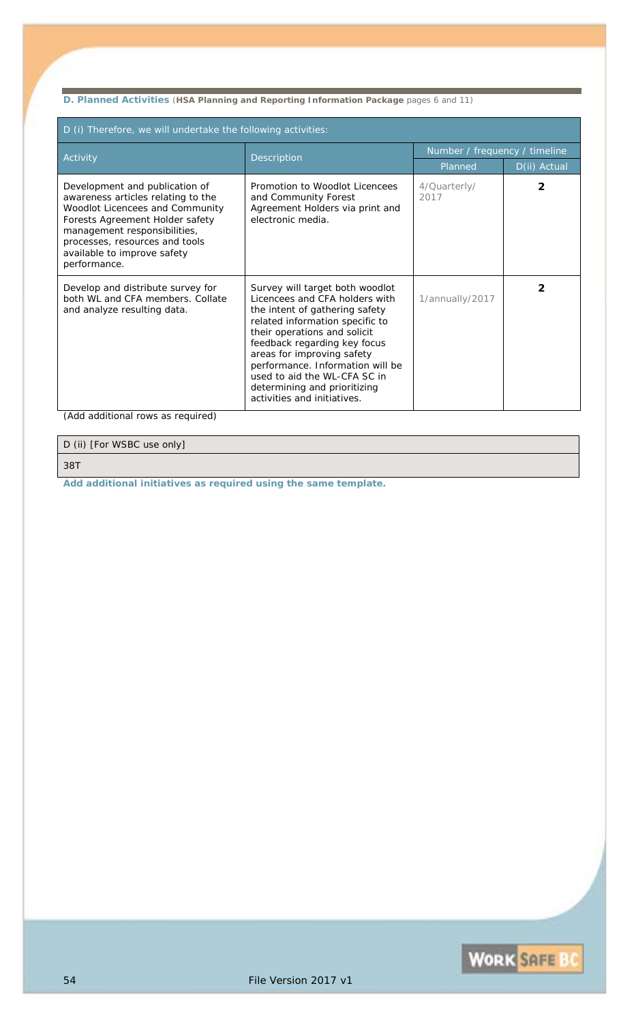**D. Planned Activities** (**HSA Planning and Reporting Information Package** pages 6 and 11)

| D (i) Therefore, we will undertake the following activities:                                                                                                                                                                                                |                                                                                                                                                                                                                                                                                                                                                                         |                               |              |
|-------------------------------------------------------------------------------------------------------------------------------------------------------------------------------------------------------------------------------------------------------------|-------------------------------------------------------------------------------------------------------------------------------------------------------------------------------------------------------------------------------------------------------------------------------------------------------------------------------------------------------------------------|-------------------------------|--------------|
| Activity                                                                                                                                                                                                                                                    | Description                                                                                                                                                                                                                                                                                                                                                             | Number / frequency / timeline |              |
|                                                                                                                                                                                                                                                             |                                                                                                                                                                                                                                                                                                                                                                         | Planned                       | D(ii) Actual |
| Development and publication of<br>awareness articles relating to the<br>Woodlot Licencees and Community<br>Forests Agreement Holder safety<br>management responsibilities,<br>processes, resources and tools<br>available to improve safety<br>performance. | Promotion to Woodlot Licencees<br>and Community Forest<br>Agreement Holders via print and<br>electronic media.                                                                                                                                                                                                                                                          | 4/Quarterly/<br>2017          |              |
| Develop and distribute survey for<br>both WL and CFA members. Collate<br>and analyze resulting data.                                                                                                                                                        | Survey will target both woodlot<br>Licencees and CFA holders with<br>the intent of gathering safety<br>related information specific to<br>their operations and solicit<br>feedback regarding key focus<br>areas for improving safety<br>performance. Information will be<br>used to aid the WL-CFA SC in<br>determining and prioritizing<br>activities and initiatives. | 1/annually/2017               | 2            |

*(Add additional rows as required)*

D (ii) [For WSBC use only]

*38T*

*Add additional initiatives as required using the same template.*